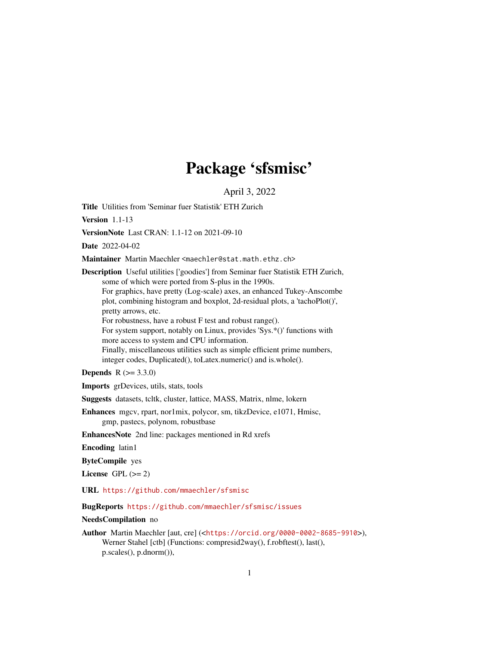# Package 'sfsmisc'

April 3, 2022

<span id="page-0-0"></span>Title Utilities from 'Seminar fuer Statistik' ETH Zurich

Version 1.1-13

VersionNote Last CRAN: 1.1-12 on 2021-09-10

Date 2022-04-02

Maintainer Martin Maechler <maechler@stat.math.ethz.ch>

Description Useful utilities ['goodies'] from Seminar fuer Statistik ETH Zurich, some of which were ported from S-plus in the 1990s.

For graphics, have pretty (Log-scale) axes, an enhanced Tukey-Anscombe plot, combining histogram and boxplot, 2d-residual plots, a 'tachoPlot()', pretty arrows, etc.

For robustness, have a robust F test and robust range().

For system support, notably on Linux, provides 'Sys.\*()' functions with more access to system and CPU information.

Finally, miscellaneous utilities such as simple efficient prime numbers, integer codes, Duplicated(), toLatex.numeric() and is.whole().

**Depends** R  $(>= 3.3.0)$ 

Imports grDevices, utils, stats, tools

Suggests datasets, tcltk, cluster, lattice, MASS, Matrix, nlme, lokern

Enhances mgcv, rpart, nor1mix, polycor, sm, tikzDevice, e1071, Hmisc, gmp, pastecs, polynom, robustbase

EnhancesNote 2nd line: packages mentioned in Rd xrefs

Encoding latin1

ByteCompile yes

License GPL  $(>= 2)$ 

URL <https://github.com/mmaechler/sfsmisc>

BugReports <https://github.com/mmaechler/sfsmisc/issues>

NeedsCompilation no

Author Martin Maechler [aut, cre] (<<https://orcid.org/0000-0002-8685-9910>>), Werner Stahel [ctb] (Functions: compresid2way(), f.robftest(), last(), p.scales(), p.dnorm()),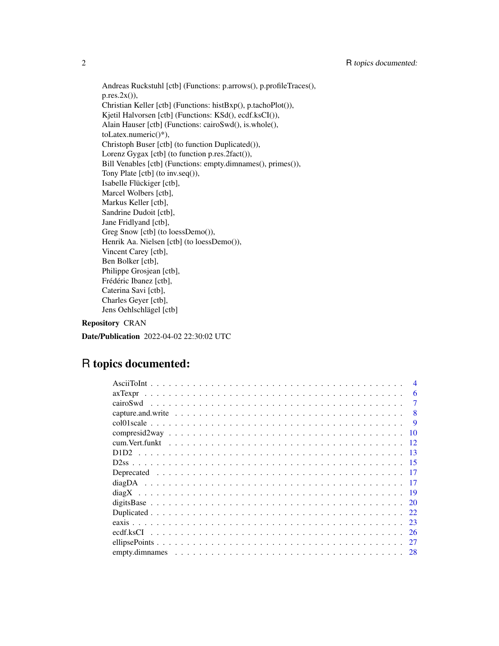Andreas Ruckstuhl [ctb] (Functions: p.arrows(), p.profileTraces(),  $p,res.2x()$ ), Christian Keller [ctb] (Functions: histBxp(), p.tachoPlot()), Kjetil Halvorsen [ctb] (Functions: KSd(), ecdf.ksCI()), Alain Hauser [ctb] (Functions: cairoSwd(), is.whole(), toLatex.numeric()\*), Christoph Buser [ctb] (to function Duplicated()), Lorenz Gygax [ctb] (to function p.res.2fact()), Bill Venables [ctb] (Functions: empty.dimnames(), primes()), Tony Plate [ctb] (to inv.seq()), Isabelle Flückiger [ctb], Marcel Wolbers [ctb], Markus Keller [ctb], Sandrine Dudoit [ctb], Jane Fridlyand [ctb], Greg Snow [ctb] (to loessDemo()), Henrik Aa. Nielsen [ctb] (to loessDemo()), Vincent Carey [ctb], Ben Bolker [ctb], Philippe Grosjean [ctb], Frédéric Ibanez [ctb], Caterina Savi [ctb], Charles Geyer [ctb], Jens Oehlschlägel [ctb]

# Repository CRAN

Date/Publication 2022-04-02 22:30:02 UTC

# R topics documented:

| 6             |
|---------------|
| 7<br>cairoSwd |
| 8             |
| 9             |
| 10            |
| -12           |
| -13           |
|               |
|               |
|               |
| - 19          |
| <b>20</b>     |
| 22            |
| 23            |
| <sup>26</sup> |
| 27            |
| 28            |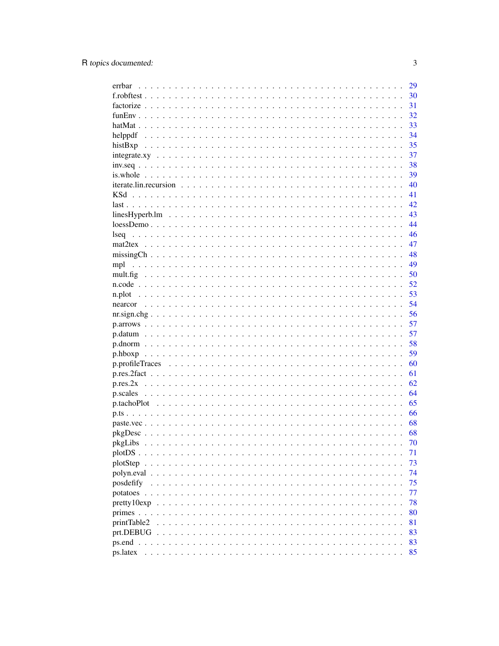| errbar               | 29 |
|----------------------|----|
|                      | 30 |
|                      | 31 |
|                      | 32 |
|                      | 33 |
| helppdf              | 34 |
| histBxp              | 35 |
|                      | 37 |
| $inv.seq$            | 38 |
|                      | 39 |
|                      | 40 |
| KSd                  | 41 |
|                      | 42 |
|                      | 43 |
|                      | 44 |
| lseq                 | 46 |
|                      | 47 |
|                      | 48 |
|                      | 49 |
|                      | 50 |
|                      | 52 |
|                      |    |
| n.plot               | 53 |
|                      | 54 |
|                      | 56 |
|                      | 57 |
|                      | 57 |
|                      | 58 |
|                      | 59 |
|                      | 60 |
|                      | 61 |
|                      | 62 |
| p.scales             | 64 |
|                      | 65 |
|                      | 66 |
|                      | 68 |
|                      | 68 |
|                      | 70 |
|                      | 71 |
| plotStep<br>$\cdots$ | 73 |
| polyn.eval           | 74 |
| posdefify            | 75 |
| potatoes $\ldots$ .  | 77 |
| perty10exp           | 78 |
| primes $\ldots$ .    | 80 |
| printTable2          | 81 |
| prt.DEBUG            | 83 |
| $ps.end \dots$       | 83 |
| ps.latex             | 85 |
|                      |    |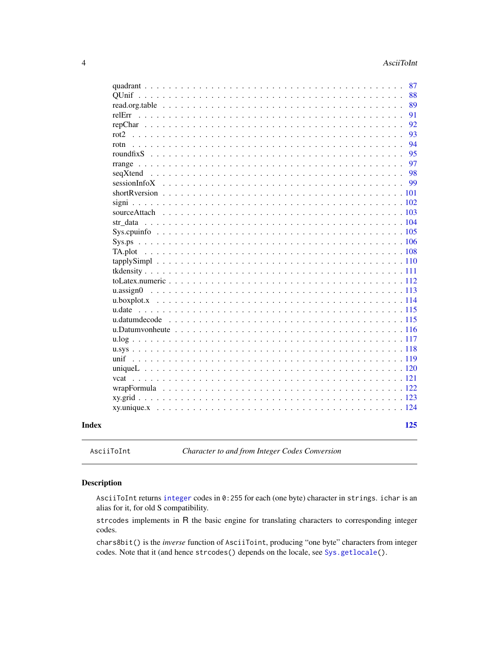<span id="page-3-0"></span>

|       | 87<br>88                                                                                                                                                                                                                                   |
|-------|--------------------------------------------------------------------------------------------------------------------------------------------------------------------------------------------------------------------------------------------|
|       | 89                                                                                                                                                                                                                                         |
|       | 91                                                                                                                                                                                                                                         |
|       | 92                                                                                                                                                                                                                                         |
|       | 93<br>$rot2$                                                                                                                                                                                                                               |
|       | 94<br>rotn<br>$\mathbf{L}$                                                                                                                                                                                                                 |
|       | 95<br>roundfix $S$ ,                                                                                                                                                                                                                       |
|       | 97                                                                                                                                                                                                                                         |
|       | 98                                                                                                                                                                                                                                         |
|       | 99                                                                                                                                                                                                                                         |
|       |                                                                                                                                                                                                                                            |
|       |                                                                                                                                                                                                                                            |
|       |                                                                                                                                                                                                                                            |
|       |                                                                                                                                                                                                                                            |
|       |                                                                                                                                                                                                                                            |
|       |                                                                                                                                                                                                                                            |
|       |                                                                                                                                                                                                                                            |
|       |                                                                                                                                                                                                                                            |
|       |                                                                                                                                                                                                                                            |
|       |                                                                                                                                                                                                                                            |
|       |                                                                                                                                                                                                                                            |
|       |                                                                                                                                                                                                                                            |
|       | u.date                                                                                                                                                                                                                                     |
|       | u.datumdecode                                                                                                                                                                                                                              |
|       |                                                                                                                                                                                                                                            |
|       |                                                                                                                                                                                                                                            |
|       | $u.sys \ldots \ldots \ldots$<br>$\ddot{\phantom{a}}$                                                                                                                                                                                       |
|       | unif $\ldots$<br>119<br>$\mathbf{r}$                                                                                                                                                                                                       |
|       | unique $L \ldots \ldots$<br>$\overline{a}$                                                                                                                                                                                                 |
|       | vcat<br>$\mathcal{A}$ . The set of the set of the set of the set of the set of the set of the set of the set of the set of the set of the set of the set of the set of the set of the set of the set of the set of the set of the set of t |
|       |                                                                                                                                                                                                                                            |
|       |                                                                                                                                                                                                                                            |
|       |                                                                                                                                                                                                                                            |
| Index | 125                                                                                                                                                                                                                                        |

AsciiToInt *Character to and from Integer Codes Conversion*

# Description

AsciiToInt returns [integer](#page-0-0) codes in 0:255 for each (one byte) character in strings. ichar is an alias for it, for old S compatibility.

strcodes implements in R the basic engine for translating characters to corresponding integer codes.

chars8bit() is the *inverse* function of AsciiToint, producing "one byte" characters from integer codes. Note that it (and hence strcodes() depends on the locale, see [Sys.getlocale\(](#page-0-0)).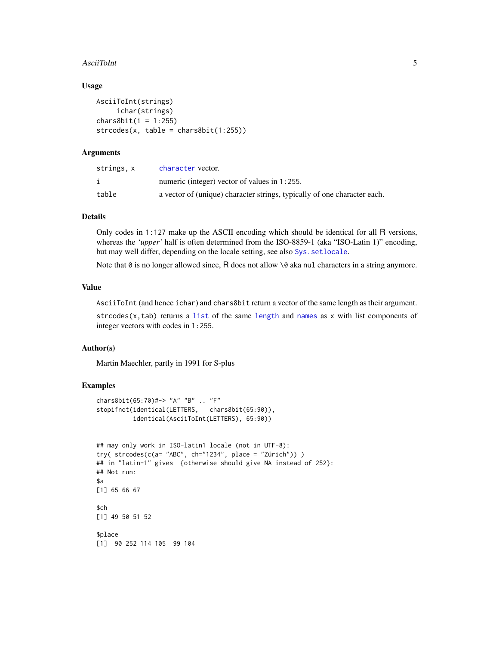#### AsciiToInt 5

#### Usage

```
AsciiToInt(strings)
     ichar(strings)
chars8bit(i = 1:255)stroodes(x, table = chars8bit(1:255))
```
### Arguments

| strings, x | character vector.                                                        |
|------------|--------------------------------------------------------------------------|
|            | numeric (integer) vector of values in 1:255.                             |
| table      | a vector of (unique) character strings, typically of one character each. |

#### Details

Only codes in 1:127 make up the ASCII encoding which should be identical for all R versions, whereas the *'upper'* half is often determined from the ISO-8859-1 (aka "ISO-Latin 1)" encoding, but may well differ, depending on the locale setting, see also [Sys.setlocale](#page-0-0).

Note that  $\theta$  is no longer allowed since, R does not allow  $\Diamond \theta$  aka nul characters in a string anymore.

# Value

AsciiToInt (and hence ichar) and chars8bit return a vector of the same length as their argument.

strcodes $(x, tab)$  returns a [list](#page-0-0) of the same [length](#page-0-0) and [names](#page-0-0) as  $x$  with list components of integer vectors with codes in 1:255.

#### Author(s)

Martin Maechler, partly in 1991 for S-plus

# Examples

```
chars8bit(65:70)#-> "A" "B" .. "F"
stopifnot(identical(LETTERS, chars8bit(65:90)),
          identical(AsciiToInt(LETTERS), 65:90))
```

```
## may only work in ISO-latin1 locale (not in UTF-8):
try( strcodes(c(a= "ABC", ch="1234", place = "Zürich")) )
## in "latin-1" gives {otherwise should give NA instead of 252}:
## Not run:
$a[1] 65 66 67
$ch
[1] 49 50 51 52
$place
[1] 90 252 114 105 99 104
```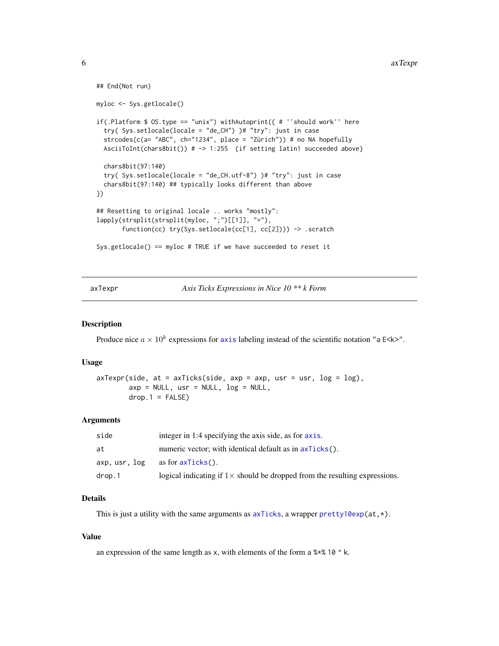```
## End(Not run)
myloc <- Sys.getlocale()
if(.Platform $ OS.type == "unix") withAutoprint({ # ''should work'' here
  try( Sys.setlocale(locale = "de_CH") )# "try": just in case
  strcodes(c(a= "ABC", ch="1234", place = "Zürich")) # no NA hopefully
  AsciiToInt(chars8bit()) # -> 1:255 {if setting latin1 succeeded above}
  chars8bit(97:140)
  try( Sys.setlocale(locale = "de_CH.utf-8") )# "try": just in case
  chars8bit(97:140) ## typically looks different than above
})
## Resetting to original locale .. works "mostly":
lapply(strsplit(strsplit(myloc, ";")[[1]], "="),
       function(cc) try(Sys.setlocale(cc[1], cc[2]))) -> .scratch
Sys.getlocale() == myloc # TRUE if we have succeeded to reset it
```
<span id="page-5-1"></span>axTexpr *Axis Ticks Expressions in Nice 10 \*\* k Form*

#### Description

Produce nice  $a \times 10^k$  expressions for [axis](#page-0-0) labeling instead of the scientific notation "a E<k>".

#### Usage

```
axTexpr(side, at = axTicks(side, axp = axp, usr = usr, log = log),axy = NULL, usr = NULL, log = NULL,
       drop.1 = FALSE)
```
#### Arguments

| side        | integer in 1:4 specifying the axis side, as for axis.                              |
|-------------|------------------------------------------------------------------------------------|
| at          | numeric vector; with identical default as in $a \times Ticks($ ).                  |
| axp.usr.log | as for $axTicks()$ .                                                               |
| drop.1      | logical indicating if $1 \times$ should be dropped from the resulting expressions. |

# Details

This is just a utility with the same arguments as  $axTicks$ , a wrapper [pretty10exp\(](#page-77-1)at, $\star$ ).

### Value

an expression of the same length as x, with elements of the form a  $%x$  10  $^{\circ}$  k.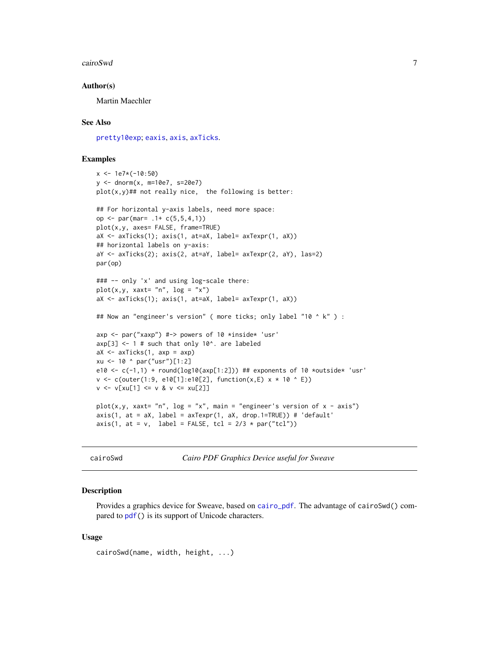#### <span id="page-6-0"></span>cairoSwd 7

#### Author(s)

Martin Maechler

#### See Also

[pretty10exp](#page-77-1); [eaxis](#page-22-1), [axis](#page-0-0), [axTicks](#page-0-0).

#### Examples

```
x <- 1e7*(-10:50)
y <- dnorm(x, m=10e7, s=20e7)
plot(x, y)## not really nice, the following is better:
## For horizontal y-axis labels, need more space:
op <- par(mar= .1+ c(5,5,4,1))
plot(x,y, axes= FALSE, frame=TRUE)
aX <- axTicks(1); axis(1, at=aX, label= axTexpr(1, aX))
## horizontal labels on y-axis:
aY <- axTicks(2); axis(2, at=aY, label= axTexpr(2, aY), las=2)
par(op)
### -- only 'x' and using log-scale there:
plot(x,y, x + z'')aX <- axTicks(1); axis(1, at=aX, label= axTexpr(1, aX))
## Now an "engineer's version" ( more ticks; only label "10 ^ k" ) :
axp <- par("xaxp") #-> powers of 10 *inside* 'usr'
exp[3] <- 1 # such that only 10^. are labeled
aX \leftarrow axTicks(1, axp = axp)xu <- 10 ^ par("usr")[1:2]
e10 <- c(-1,1) + round(log10(axp[1:2])) ## exponents of 10 *outside* 'usr'
v \le c (outer(1:9, e10[1]:e10[2], function(x,E) x * 10 ^ E))
v \le v[xu[1] \le v 8 v \le xu[2]]plot(x,y, xaxt= "n", log = "x", main = "engineer's version of x - axis")
axis(1, at = aX, label = axTexpr(1, aX, drop.1=TRUE)) # 'default'
axis(1, at = v, label = FALSE, tol = 2/3 * par("tcl"))
```
cairoSwd *Cairo PDF Graphics Device useful for Sweave*

#### **Description**

Provides a graphics device for Sweave, based on [cairo\\_pdf](#page-0-0). The advantage of cairoSwd() compared to [pdf\(](#page-0-0)) is its support of Unicode characters.

```
cairoSwd(name, width, height, ...)
```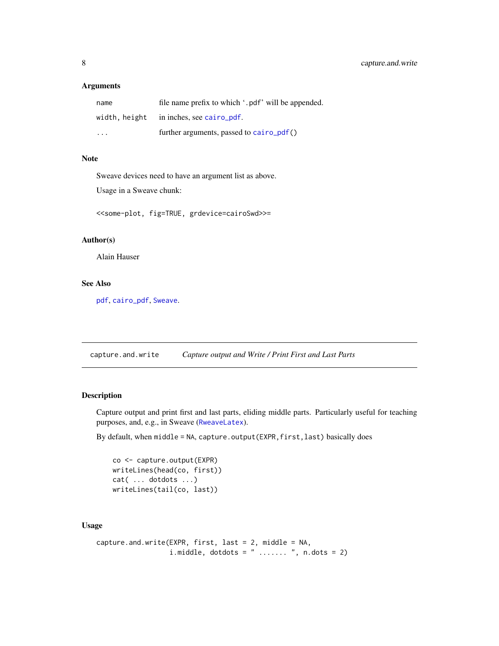# <span id="page-7-0"></span>Arguments

| name          | file name prefix to which '.pdf' will be appended. |
|---------------|----------------------------------------------------|
| width, height | in inches, see cairo_pdf.                          |
| $\cdot$       | further arguments, passed to $cairo\_pdf()$        |

#### Note

Sweave devices need to have an argument list as above.

Usage in a Sweave chunk:

<<some-plot, fig=TRUE, grdevice=cairoSwd>>=

# Author(s)

Alain Hauser

# See Also

[pdf](#page-0-0), [cairo\\_pdf](#page-0-0), [Sweave](#page-0-0).

capture.and.write *Capture output and Write / Print First and Last Parts*

# Description

Capture output and print first and last parts, eliding middle parts. Particularly useful for teaching purposes, and, e.g., in Sweave ([RweaveLatex](#page-0-0)).

By default, when middle = NA, capture.output(EXPR,first,last) basically does

co <- capture.output(EXPR) writeLines(head(co, first)) cat( ... dotdots ...) writeLines(tail(co, last))

```
capture.and.write(EXPR, first, last = 2, middle = NA,
                  i.middle, dotdots = " ....... ", n.dots = 2)
```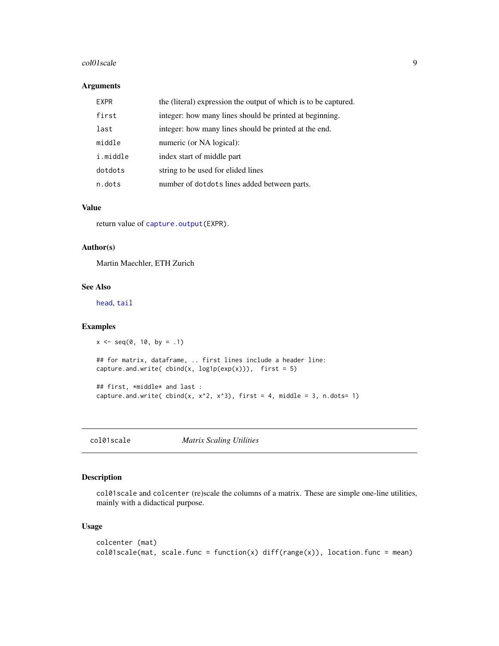#### <span id="page-8-0"></span>col01scale 9

### Arguments

| <b>EXPR</b> | the (literal) expression the output of which is to be captured. |
|-------------|-----------------------------------------------------------------|
| first       | integer: how many lines should be printed at beginning.         |
| last        | integer: how many lines should be printed at the end.           |
| middle      | numeric (or NA logical):                                        |
| i.middle    | index start of middle part                                      |
| dotdots     | string to be used for elided lines                              |
| n.dots      | number of dotdots lines added between parts.                    |

#### Value

return value of [capture.output\(](#page-0-0)EXPR).

# Author(s)

Martin Maechler, ETH Zurich

# See Also

[head](#page-0-0), [tail](#page-0-0)

#### Examples

```
x \le - seq(0, 10, by = .1)
## for matrix, dataframe, .. first lines include a header line:
capture.and.write( cbind(x, log1p(exp(x))), first = 5)
## first, *middle* and last :
capture.and.write( cbind(x, x^2, x^3), first = 4, middle = 3, n.dots= 1)
```
col01scale *Matrix Scaling Utilities*

# Description

col01scale and colcenter (re)scale the columns of a matrix. These are simple one-line utilities, mainly with a didactical purpose.

```
colcenter (mat)
col01scale(mat, scale.func = function(x) diff(range(x)), location.func = mean)
```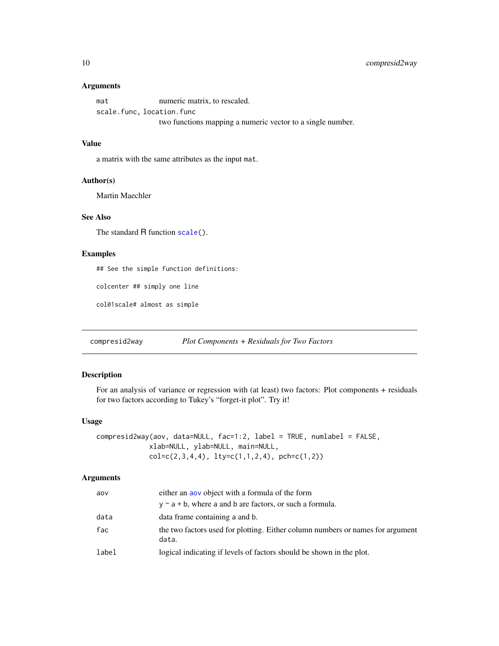#### <span id="page-9-0"></span>Arguments

mat numeric matrix, to rescaled. scale.func, location.func two functions mapping a numeric vector to a single number.

# Value

a matrix with the same attributes as the input mat.

# Author(s)

Martin Maechler

# See Also

The standard R function [scale\(](#page-0-0)).

#### Examples

## See the simple function definitions:

colcenter ## simply one line

col01scale# almost as simple

compresid2way *Plot Components + Residuals for Two Factors*

#### Description

For an analysis of variance or regression with (at least) two factors: Plot components + residuals for two factors according to Tukey's "forget-it plot". Try it!

# Usage

```
compresid2way(aov, data=NULL, fac=1:2, label = TRUE, numlabel = FALSE,
             xlab=NULL, ylab=NULL, main=NULL,
             col=c(2,3,4,4), lty=c(1,1,2,4), pch=c(1,2))
```
#### Arguments

| aov   | either an aov object with a formula of the form                                         |
|-------|-----------------------------------------------------------------------------------------|
|       | $y \sim a + b$ , where a and b are factors, or such a formula.                          |
| data  | data frame containing a and b.                                                          |
| fac   | the two factors used for plotting. Either column numbers or names for argument<br>data. |
| label | logical indicating if levels of factors should be shown in the plot.                    |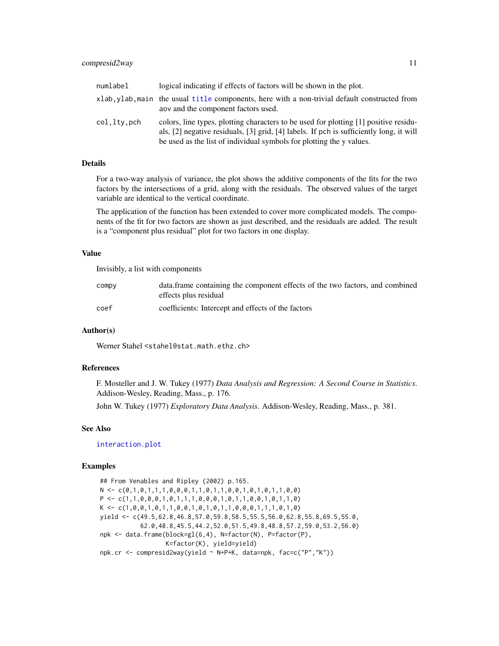| numlabel    | logical indicating if effects of factors will be shown in the plot.                                                                                                                                                                                     |
|-------------|---------------------------------------------------------------------------------------------------------------------------------------------------------------------------------------------------------------------------------------------------------|
|             | xlab, ylab, main the usual title components, here with a non-trivial default constructed from<br>aov and the component factors used.                                                                                                                    |
| col.lty.pch | colors, line types, plotting characters to be used for plotting [1] positive residu-<br>als, [2] negative residuals, [3] grid, [4] labels. If pch is sufficiently long, it will<br>be used as the list of individual symbols for plotting the y values. |

#### Details

For a two-way analysis of variance, the plot shows the additive components of the fits for the two factors by the intersections of a grid, along with the residuals. The observed values of the target variable are identical to the vertical coordinate.

The application of the function has been extended to cover more complicated models. The components of the fit for two factors are shown as just described, and the residuals are added. The result is a "component plus residual" plot for two factors in one display.

#### Value

Invisibly, a list with components

| COMPV | data. frame containing the component effects of the two factors, and combined<br>effects plus residual |
|-------|--------------------------------------------------------------------------------------------------------|
| coef  | coefficients: Intercept and effects of the factors                                                     |

# Author(s)

Werner Stahel <stahel@stat.math.ethz.ch>

# References

F. Mosteller and J. W. Tukey (1977) *Data Analysis and Regression: A Second Course in Statistics*. Addison-Wesley, Reading, Mass., p. 176.

John W. Tukey (1977) *Exploratory Data Analysis*. Addison-Wesley, Reading, Mass., p. 381.

#### See Also

[interaction.plot](#page-0-0)

#### Examples

## From Venables and Ripley (2002) p.165. N <- c(0,1,0,1,1,1,0,0,0,1,1,0,1,1,0,0,1,0,1,0,1,1,0,0)  $P \leftarrow c(1,1,0,0,0,1,0,1,1,1,0,0,0,1,0,1,1,0,0,1,0,1,1,0)$  $K \leftarrow c(1, 0, 0, 1, 0, 1, 1, 0, 0, 1, 0, 1, 0, 1, 1, 0, 0, 0, 1, 1, 1, 0, 1, 0)$ yield <- c(49.5,62.8,46.8,57.0,59.8,58.5,55.5,56.0,62.8,55.8,69.5,55.0, 62.0,48.8,45.5,44.2,52.0,51.5,49.8,48.8,57.2,59.0,53.2,56.0) npk <- data.frame(block=gl(6,4), N=factor(N), P=factor(P), K=factor(K), yield=yield) npk.cr <- compresid2way(yield ~ N+P+K, data=npk, fac=c("P","K"))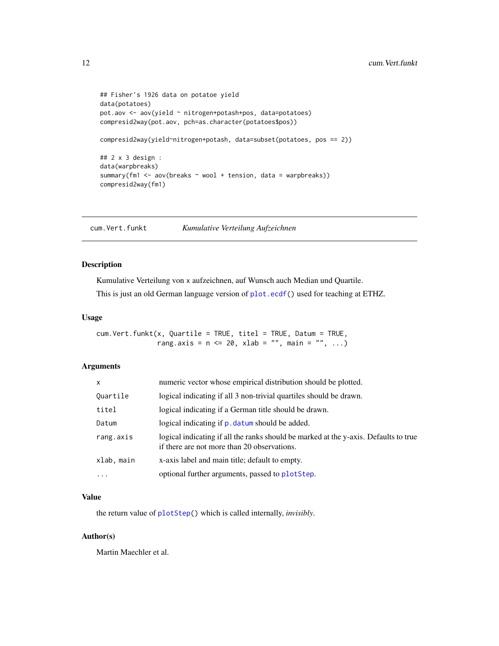```
## Fisher's 1926 data on potatoe yield
data(potatoes)
pot.aov <- aov(yield ~ nitrogen+potash+pos, data=potatoes)
compresid2way(pot.aov, pch=as.character(potatoes$pos))
compresid2way(yield~nitrogen+potash, data=subset(potatoes, pos == 2))
## 2 x 3 design :
data(warpbreaks)
summary(fm1 <- aov(breaks ~ wool + tension, data = warpbreaks))
compresid2way(fm1)
```
cum.Vert.funkt *Kumulative Verteilung Aufzeichnen*

# Description

Kumulative Verteilung von x aufzeichnen, auf Wunsch auch Median und Quartile.

This is just an old German language version of [plot.ecdf\(](#page-0-0)) used for teaching at ETHZ.

#### Usage

```
cum.Vert.funkt(x, Quartile = TRUE, titel = TRUE, Datum = TRUE,
               rang.axis = n \le 20, xlab = "", main = "", ...)
```
#### Arguments

| $\mathsf{x}$ | numeric vector whose empirical distribution should be plotted.                                                                      |
|--------------|-------------------------------------------------------------------------------------------------------------------------------------|
| Quartile     | logical indicating if all 3 non-trivial quartiles should be drawn.                                                                  |
| titel        | logical indicating if a German title should be drawn.                                                                               |
| Datum        | logical indicating if p. datum should be added.                                                                                     |
| rang.axis    | logical indicating if all the ranks should be marked at the y-axis. Defaults to true<br>if there are not more than 20 observations. |
| xlab, main   | x-axis label and main title; default to empty.                                                                                      |
| $\ddots$     | optional further arguments, passed to plotStep.                                                                                     |

# Value

the return value of [plotStep\(](#page-72-1)) which is called internally, *invisibly*.

### Author(s)

Martin Maechler et al.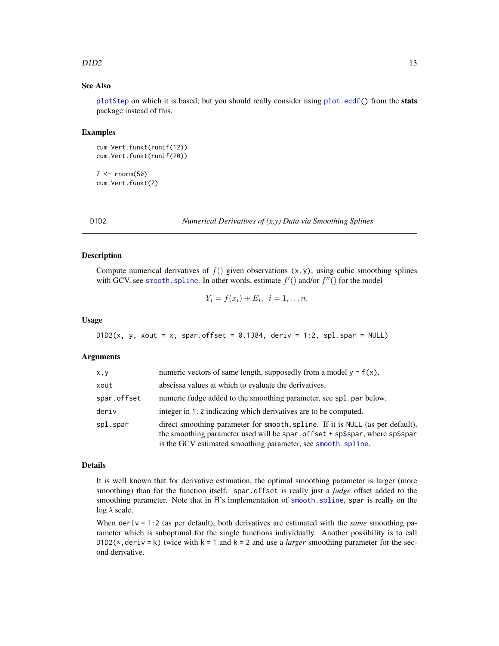#### <span id="page-12-0"></span> $D1D2$  13

# See Also

[plotStep](#page-72-1) on which it is based; but you should really consider using [plot.ecdf\(](#page-0-0)) from the stats package instead of this.

#### Examples

```
cum.Vert.funkt(runif(12))
cum.Vert.funkt(runif(20))
```
 $Z \leftarrow \text{norm}(50)$ cum.Vert.funkt(Z)

<span id="page-12-1"></span>

D1D2 *Numerical Derivatives of (x,y) Data via Smoothing Splines*

#### Description

Compute numerical derivatives of  $f()$  given observations  $(x, y)$ , using cubic smoothing splines with GCV, see smooth. spline. In other words, estimate  $f'($  and/or  $f''()$  for the model

$$
Y_i = f(x_i) + E_i, \quad i = 1, \ldots n,
$$

#### Usage

 $D1D2(x, y, xout = x, span.$ offset = 0.1384, deriv = 1:2, spl.spar = NULL)

#### Arguments

| x, y        | numeric vectors of same length, supposedly from a model $y \sim f(x)$ .                                                                                                                                                         |
|-------------|---------------------------------------------------------------------------------------------------------------------------------------------------------------------------------------------------------------------------------|
| xout        | abscissa values at which to evaluate the derivatives.                                                                                                                                                                           |
| spar.offset | numeric fudge added to the smoothing parameter, see spl. par below.                                                                                                                                                             |
| deriv       | integer in 1:2 indicating which derivatives are to be computed.                                                                                                                                                                 |
| spl.spar    | direct smoothing parameter for smooth. spline. If it is NULL (as per default),<br>the smoothing parameter used will be spar. offset + sp\$spar, where sp\$spar<br>is the GCV estimated smoothing parameter, see smooth. spline. |

#### Details

It is well known that for derivative estimation, the optimal smoothing parameter is larger (more smoothing) than for the function itself. spar.offset is really just a *fudge* offset added to the smoothing parameter. Note that in R's implementation of smooth. spline, spar is really on the  $\log \lambda$  scale.

When deriv = 1:2 (as per default), both derivatives are estimated with the *same* smoothing parameter which is suboptimal for the single functions individually. Another possibility is to call D1D2( $\star$ , deriv = k) twice with k = 1 and k = 2 and use a *larger* smoothing parameter for the second derivative.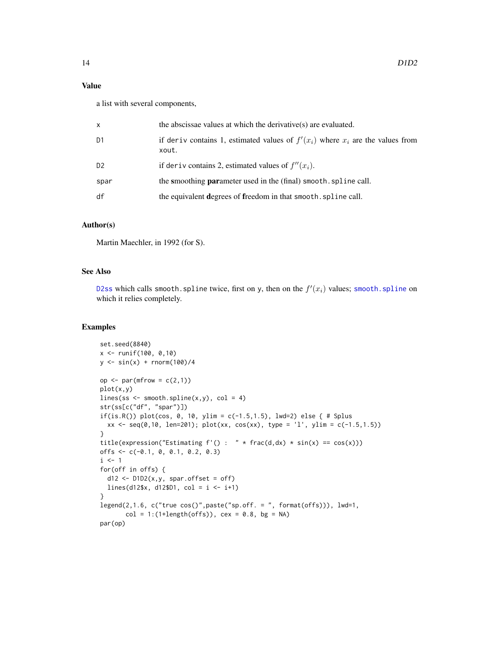# Value

a list with several components,

| x    | the abscissae values at which the derivative(s) are evaluated.                               |
|------|----------------------------------------------------------------------------------------------|
| D1   | if derive contains 1, estimated values of $f'(x_i)$ where $x_i$ are the values from<br>xout. |
| D2   | if deriv contains 2, estimated values of $f''(x_i)$ .                                        |
| spar | the smoothing <b>parameter</b> used in the (final) smooth, spline call.                      |
| df   | the equivalent degrees of freedom in that smooth. spline call.                               |

# Author(s)

Martin Maechler, in 1992 (for S).

#### See Also

[D2ss](#page-14-1) which calls [smooth.spline](#page-0-0) twice, first on y, then on the  $f'(x_i)$  values; smooth.spline on which it relies completely.

# Examples

```
set.seed(8840)
x <- runif(100, 0,10)
y \le - \sin(x) + \text{norm}(100)/4op \leq par(mfrow = c(2,1))
plot(x,y)
lines(ss \leq smooth.spline(x,y), col = 4)
str(ss[c("df", "spar")])
if(is.R()) plot(cos, 0, 10, ylim = c(-1.5, 1.5), lwd=2) else { # Splusxx \leq seq(0,10, len=201); plot(xx, cos(xx), type = 'l', ylim = c(-1.5,1.5))}
title(expression("Estimating f'( ) : " * frac(d, dx) * sin(x) == cos(x)))offs <- c(-0.1, 0, 0.1, 0.2, 0.3)
i \leq 1for(off in offs) {
 d12 \leq D1D2(x,y, span.offset = off)lines(d12$x, d12$D1, col = i <- i+1)
}
legend(2,1.6, c("true cos()",paste("sp.off. = ", format(offs))), lwd=1,
       col = 1: (1 + length(offs)), cex = 0.8, bg = NA)par(op)
```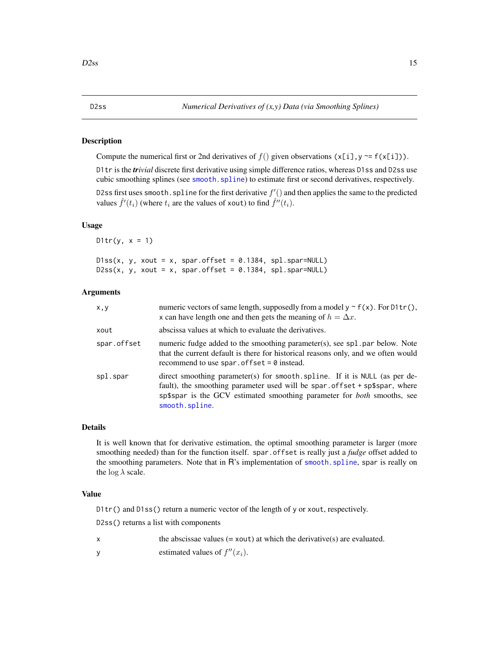#### <span id="page-14-1"></span><span id="page-14-0"></span>Description

Compute the numerical first or 2nd derivatives of  $f()$  given observations  $(x[i], y \sim f(x[i]))$ .

D1tr is the *trivial* discrete first derivative using simple difference ratios, whereas D1ss and D2ss use cubic smoothing splines (see [smooth.spline](#page-0-0)) to estimate first or second derivatives, respectively. D2ss first uses smooth. spline for the first derivative  $f'($  and then applies the same to the predicted values  $\hat{f}'(t_i)$  (where  $t_i$  are the values of xout) to find  $\hat{f}''(t_i)$ .

#### Usage

D1tr(y,  $x = 1$ )

|  |  |  | $D1ss(x, y, xout = x, span.offset = 0.1384, spl.spar=NULL)$ |
|--|--|--|-------------------------------------------------------------|
|  |  |  | D2ss(x, y, xout = x, spar.offset = 0.1384, spl.spar=NULL)   |

#### Arguments

| x, y        | numeric vectors of same length, supposedly from a model $y \sim f(x)$ . For D1tr(),<br>x can have length one and then gets the meaning of $h = \Delta x$ .                                                                                                    |
|-------------|---------------------------------------------------------------------------------------------------------------------------------------------------------------------------------------------------------------------------------------------------------------|
| xout        | abscissa values at which to evaluate the derivatives.                                                                                                                                                                                                         |
| spar.offset | numeric fudge added to the smoothing parameter(s), see sp1. par below. Note<br>that the current default is there for historical reasons only, and we often would<br>recommend to use spar. of fset $= 0$ instead.                                             |
| spl.spar    | direct smoothing parameter(s) for smooth spline. If it is NULL (as per de-<br>fault), the smoothing parameter used will be spar. offset + sp\$spar, where<br>sp\$spar is the GCV estimated smoothing parameter for <i>both</i> smooths, see<br>smooth.spline. |

#### Details

It is well known that for derivative estimation, the optimal smoothing parameter is larger (more smoothing needed) than for the function itself. spar.offset is really just a *fudge* offset added to the smoothing parameters. Note that in R's implementation of [smooth.spline](#page-0-0), spar is really on the  $\log \lambda$  scale.

#### Value

D1tr() and D1ss() return a numeric vector of the length of y or xout, respectively.

D2ss() returns a list with components

- $x$  the abscissae values (= xout) at which the derivative(s) are evaluated.
- y estimated values of  $f''(x_i)$ .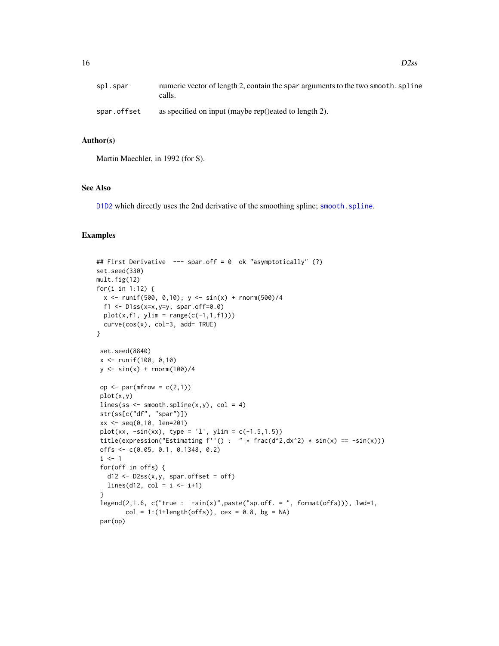| spl.spar    | numeric vector of length 2, contain the spar arguments to the two smooth. spline<br>calls. |
|-------------|--------------------------------------------------------------------------------------------|
| spar.offset | as specified on input (maybe rep()eated to length 2).                                      |

# Author(s)

Martin Maechler, in 1992 (for S).

# See Also

[D1D2](#page-12-1) which directly uses the 2nd derivative of the smoothing spline; [smooth.spline](#page-0-0).

#### Examples

```
## First Derivative --- spar.off = 0 ok "asymptotically" (?)
set.seed(330)
mult.fig(12)
for(i in 1:12) {
  x \le runif(500, 0,10); y \le sin(x) + rnorm(500)/4
  f1 <- D1ss(x=x,y=y, spar.off=0.0)
 plot(x, f1, ylim = range(c(-1, 1, f1)))curve(cos(x), col=3, add= TRUE)}
set.seed(8840)
x <- runif(100, 0,10)
y \le - \sin(x) + \text{norm}(100)/4op \leq par(mfrow = c(2,1))
 plot(x,y)
 lines(ss <- smooth.spline(x,y), col = 4)
 str(ss[c("df", "spar")])
 xx <- seq(0,10, len=201)
 plot(xx, -sin(xx), type = 'l', ylim = c(-1.5, 1.5))title(expression("Estimating f''() : " * frac(d^2, dx^2) * sin(x) == -sin(x)))
 offs <- c(0.05, 0.1, 0.1348, 0.2)
 i \leq 1for(off in offs) {
  d12 \leq D2ss(x,y, span.offset = off)lines(d12, col = i \leftarrow i+1)
 }
 legend(2,1.6, c("true : -sin(x)", paste("sp.off. = ", format(offs))), lwd=1,col = 1: (1 + length(offs)), cex = 0.8, bg = NA)par(op)
```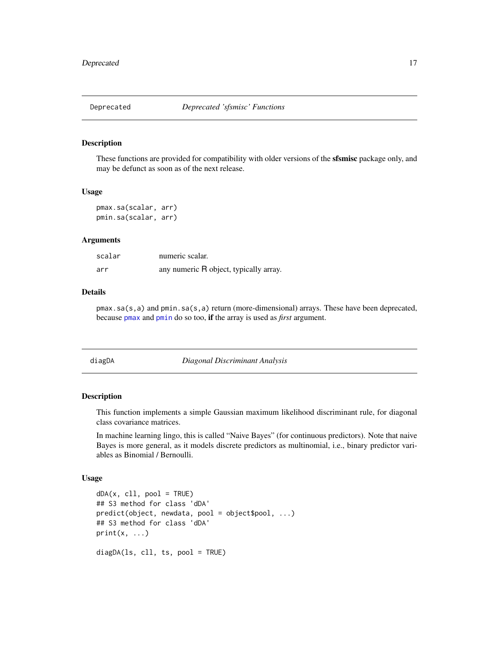# <span id="page-16-0"></span>Description

These functions are provided for compatibility with older versions of the **sfsmisc** package only, and may be defunct as soon as of the next release.

#### Usage

```
pmax.sa(scalar, arr)
pmin.sa(scalar, arr)
```
#### Arguments

| scalar | numeric scalar.                        |
|--------|----------------------------------------|
| arr    | any numeric R object, typically array. |

# Details

pmax.sa(s,a) and pmin.sa(s,a) return (more-dimensional) arrays. These have been deprecated, because [pmax](#page-0-0) and [pmin](#page-0-0) do so too, if the array is used as *first* argument.

diagDA *Diagonal Discriminant Analysis*

# Description

This function implements a simple Gaussian maximum likelihood discriminant rule, for diagonal class covariance matrices.

In machine learning lingo, this is called "Naive Bayes" (for continuous predictors). Note that naive Bayes is more general, as it models discrete predictors as multinomial, i.e., binary predictor variables as Binomial / Bernoulli.

```
dDA(x, c11, pool = TRUE)## S3 method for class 'dDA'
predict(object, newdata, pool = object$pool, ...)
## S3 method for class 'dDA'
print(x, \ldots)diagDA(ls, cll, ts, pool = TRUE)
```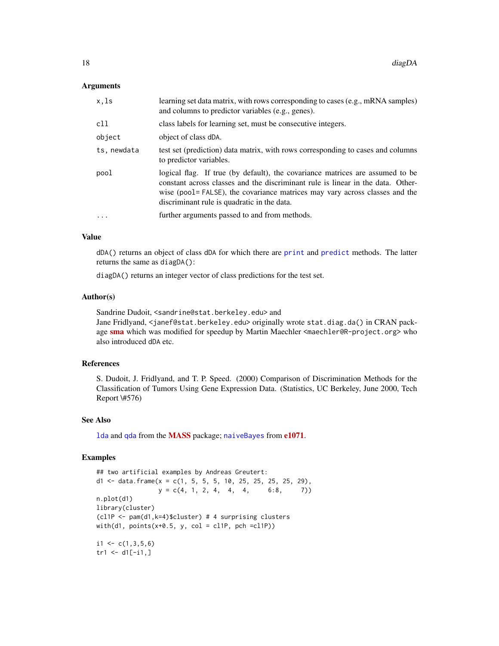#### Arguments

| x,ls        | learning set data matrix, with rows corresponding to cases (e.g., mRNA samples)<br>and columns to predictor variables (e.g., genes).                                                                                                                                                            |
|-------------|-------------------------------------------------------------------------------------------------------------------------------------------------------------------------------------------------------------------------------------------------------------------------------------------------|
| c11         | class labels for learning set, must be consecutive integers.                                                                                                                                                                                                                                    |
| object      | object of class dDA.                                                                                                                                                                                                                                                                            |
| ts, newdata | test set (prediction) data matrix, with rows corresponding to cases and columns<br>to predictor variables.                                                                                                                                                                                      |
| pool        | logical flag. If true (by default), the covariance matrices are assumed to be<br>constant across classes and the discriminant rule is linear in the data. Other-<br>wise (pool = FALSE), the covariance matrices may vary across classes and the<br>discriminant rule is quadratic in the data. |
| $\cdot$     | further arguments passed to and from methods.                                                                                                                                                                                                                                                   |
|             |                                                                                                                                                                                                                                                                                                 |

# Value

dDA() returns an object of class dDA for which there are [print](#page-0-0) and [predict](#page-0-0) methods. The latter returns the same as diagDA():

diagDA() returns an integer vector of class predictions for the test set.

#### Author(s)

Sandrine Dudoit, <sandrine@stat.berkeley.edu> and

Jane Fridlyand, <janef@stat.berkeley.edu> originally wrote stat.diag.da() in CRAN package [sma](https://CRAN.R-project.org/package=sma) which was modified for speedup by Martin Maechler <maechler@R-project.org> who also introduced dDA etc.

# References

S. Dudoit, J. Fridlyand, and T. P. Speed. (2000) Comparison of Discrimination Methods for the Classification of Tumors Using Gene Expression Data. (Statistics, UC Berkeley, June 2000, Tech Report \#576)

#### See Also

[lda](#page-0-0) and [qda](#page-0-0) from the [MASS](https://CRAN.R-project.org/package=MASS) package; [naiveBayes](#page-0-0) from [e1071](https://CRAN.R-project.org/package=e1071).

#### Examples

## two artificial examples by Andreas Greutert: d1 <- data.frame( $x = c(1, 5, 5, 5, 10, 25, 25, 25, 29)$ ,  $y = c(4, 1, 2, 4, 4, 4, 6:8, 7)$ n.plot(d1) library(cluster) (cl1P <- pam(d1,k=4)\$cluster) # 4 surprising clusters with(d1, points( $x+0.5$ , y, col = cl1P, pch =cl1P))  $i1 \leftarrow c(1,3,5,6)$  $tr1 < -d1[-i1, ]$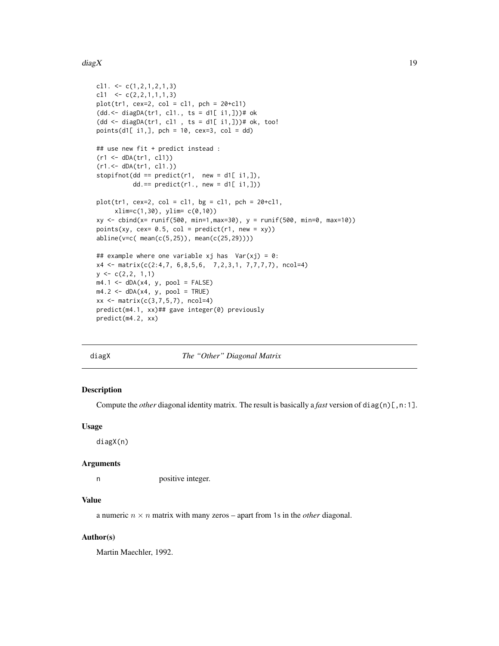#### <span id="page-18-0"></span>diag $X$  19

```
cl1. \leq c(1, 2, 1, 2, 1, 3)cl1 \leftarrow c(2,2,1,1,1,3)
plot(tr1, cex=2, col = c11, pch = 20 + c11)(dd.<- diagDA(tr1, cl1., ts = d1[ i1,]))# ok
(dd \leftarrow diagDA(tr1, cl1, ts = d1[i1,])# ok, too!
points(d1[ i1,], pch = 10, cex=3, col = dd)
## use new fit + predict instead :
(r1 \leq dDA(tr1, cl1))(r1.<- dDA(tr1, cl1.))
stopifnot(dd == predict(r1, new = d1[i1,]),
           dd == predict(r1., new = d1[i1,])plot(tr1, cex=2, col = c11, bg = c11, pch = 20 + c11,xlim=c(1,30), ylim= c(0,10))
xy \le - \text{cbind}(x= \text{runif}(500, \text{ min=1}, \text{max=30}), y = \text{runif}(500, \text{ min=0}, \text{max=10}))points(xy, cex= 0.5, col = predict(r1, new = xy))
abline(v=c( mean(c(5,25)), mean(c(25,29))))
## example where one variable xj has Var(xj) = 0:
x4 <- matrix(c(2:4,7, 6,8,5,6, 7,2,3,1, 7,7,7,7), ncol=4)
y \leftarrow c(2, 2, 1, 1)m4.1 \leftarrow dDA(x4, y, pool = FALSE)m4.2 \leq dDA(x4, y, pool = TRUE)xx \le - matrix(c(3,7,5,7), ncol=4)
predict(m4.1, xx)## gave integer(0) previously
predict(m4.2, xx)
```
diagX *The "Other" Diagonal Matrix*

#### Description

Compute the *other* diagonal identity matrix. The result is basically a *fast* version of diag(n)[, n:1].

#### Usage

diagX(n)

#### Arguments

n positive integer.

# Value

a numeric  $n \times n$  matrix with many zeros – apart from 1s in the *other* diagonal.

#### Author(s)

Martin Maechler, 1992.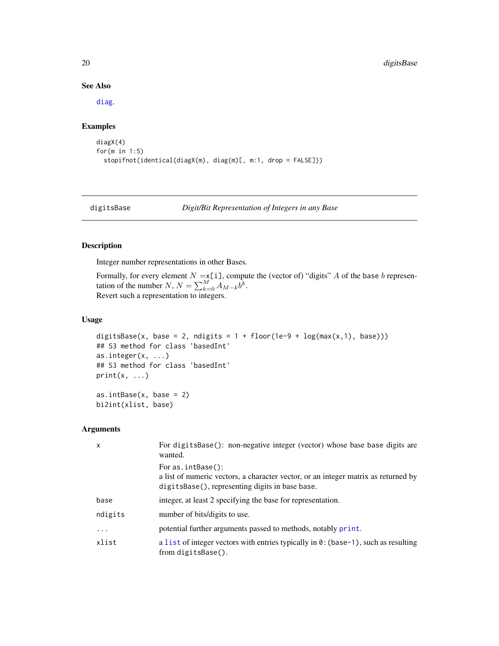### See Also

[diag](#page-0-0).

# Examples

```
diagX(4)
for(m in 1:5)
  stopifnot(identical(diagX(m), diag(m)[, m:1, drop = FALSE]))
```

```
digitsBase Digit/Bit Representation of Integers in any Base
```
#### Description

Integer number representations in other Bases.

Formally, for every element  $N = x[i]$ , compute the (vector of) "digits" A of the base b representation of the number  $N$ ,  $N = \sum_{k=0}^{M} A_{M-k} \dot{b}^k$ . Revert such a representation to integers.

# Usage

```
digitsBase(x, base = 2, ndigits = 1 + floor(1e-9 + log(max(x,1), base)))
## S3 method for class 'basedInt'
as.integer(x, ...)## S3 method for class 'basedInt'
print(x, \ldots)as.intBase(x, base = 2)bi2int(xlist, base)
```
#### Arguments

| x         | For digits Base (): non-negative integer (vector) whose base base digits are<br>wanted.                                                                       |
|-----------|---------------------------------------------------------------------------------------------------------------------------------------------------------------|
|           | For $as.intBase()$ :<br>a list of numeric vectors, a character vector, or an integer matrix as returned by<br>digitsBase(), representing digits in base base. |
| base      | integer, at least 2 specifying the base for representation.                                                                                                   |
| ndigits   | number of bits/digits to use.                                                                                                                                 |
| $\ddotsc$ | potential further arguments passed to methods, notably print.                                                                                                 |
| xlist     | a list of integer vectors with entries typically in $\theta$ : (base-1), such as resulting<br>from digitsBase().                                              |

<span id="page-19-0"></span>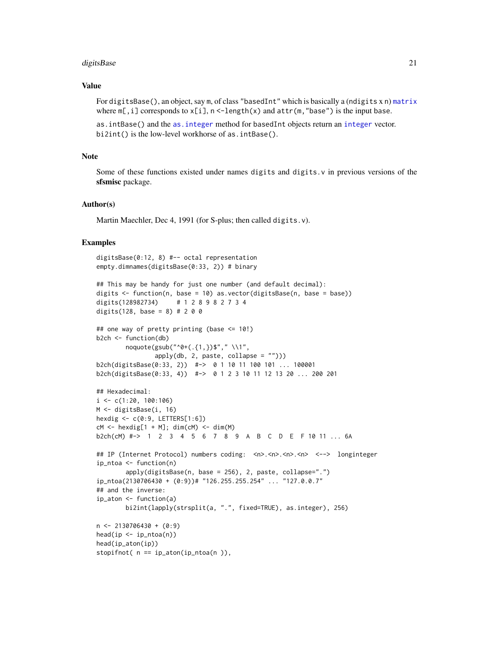#### digitsBase 21

# Value

For digitsBase(), an object, say m, of class "basedInt" which is basically a (ndigits x n) [matrix](#page-0-0) where  $m$ [, i] corresponds to  $x[i]$ ,  $n <$ -length(x) and  $attr(m, "base")$  is the input base.

as.intBase() and the [as.integer](#page-0-0) method for basedInt objects return an [integer](#page-0-0) vector. bi2int() is the low-level workhorse of as.intBase().

# Note

Some of these functions existed under names digits and digits. v in previous versions of the sfsmisc package.

#### Author(s)

Martin Maechler, Dec 4, 1991 (for S-plus; then called digits.v).

#### Examples

```
digitsBase(0:12, 8) #-- octal representation
empty.dimnames(digitsBase(0:33, 2)) # binary
## This may be handy for just one number (and default decimal):
digits <- function(n, base = 10) as.vector(digitsBase(n, base = base))
digits(128982734) # 1 2 8 9 8 2 7 3 4
digits(128, base = 8) # 2 0 0
## one way of pretty printing (base <= 10!)
b2ch <- function(db)
       noquote(gsub("^0+(.{1,})$"," \\1",
               apply(db, 2, paste, collapse = "")))
b2ch(digitsBase(0:33, 2)) #-> 0 1 10 11 100 101 ... 100001
b2ch(digitsBase(0:33, 4)) #-> 0 1 2 3 10 11 12 13 20 ... 200 201
## Hexadecimal:
i \leq c(1:20, 100:106)M <- digitsBase(i, 16)
hexdig <- c(0:9, LETTERS[1:6])
cM < - hexdig[1 + M]; dim(cM) <- dim(M)
b2ch(cM) #-> 1 2 3 4 5 6 7 8 9 A B C D E F 10 11 ... 6A
## IP (Internet Protocol) numbers coding: <n>.<n>.<n>.<n> <--> longinteger
ip_ntoa <- function(n)
       apply(digitsBase(n, base = 256), 2, paste, collapse=".")
ip_ntoa(2130706430 + (0:9))# "126.255.255.254" ... "127.0.0.7"
## and the inverse:
ip_aton <- function(a)
       bi2int(lapply(strsplit(a, ".", fixed=TRUE), as.integer), 256)
n \le -2130706430 + (0:9)head(ip <- ip_ntoa(n))
head(ip_aton(ip))
stopifnot(n == ip_atom(ip_ntoa(n)),
```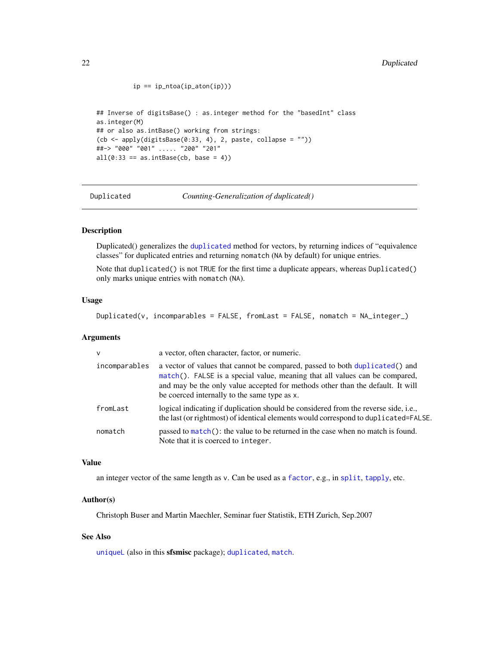```
ip == ip\_ntoa(ip\_aton(ip))## Inverse of digitsBase() : as.integer method for the "basedInt" class
as.integer(M)
## or also as.intBase() working from strings:
(cb \leq apply(digitsBase(0:33, 4), 2, paste, collapse = ""))##-> "000" "001" ..... "200" "201"
all(0:33 == as.intBase(cb, base = 4))
```
Duplicated *Counting-Generalization of duplicated()*

#### Description

Duplicated() generalizes the [duplicated](#page-0-0) method for vectors, by returning indices of "equivalence classes" for duplicated entries and returning nomatch (NA by default) for unique entries.

Note that duplicated() is not TRUE for the first time a duplicate appears, whereas Duplicated() only marks unique entries with nomatch (NA).

# Usage

Duplicated(v, incomparables = FALSE, fromLast = FALSE, nomatch =  $NA\_integer_$ )

#### Arguments

| $\mathsf{v}$  | a vector, often character, factor, or numeric.                                                                                                                                                                                                                                                |
|---------------|-----------------------------------------------------------------------------------------------------------------------------------------------------------------------------------------------------------------------------------------------------------------------------------------------|
| incomparables | a vector of values that cannot be compared, passed to both duplicated () and<br>match(). FALSE is a special value, meaning that all values can be compared,<br>and may be the only value accepted for methods other than the default. It will<br>be coerced internally to the same type as x. |
| fromLast      | logical indicating if duplication should be considered from the reverse side, i.e.,<br>the last (or rightmost) of identical elements would correspond to duplicated=FALSE.                                                                                                                    |
| nomatch       | passed to $match()$ : the value to be returned in the case when no match is found.<br>Note that it is coerced to integer.                                                                                                                                                                     |

#### Value

an integer vector of the same length as v. Can be used as a [factor](#page-0-0), e.g., in [split](#page-0-0), [tapply](#page-0-0), etc.

#### Author(s)

Christoph Buser and Martin Maechler, Seminar fuer Statistik, ETH Zurich, Sep.2007

#### See Also

[uniqueL](#page-119-1) (also in this sfsmisc package); [duplicated](#page-0-0), [match](#page-0-0).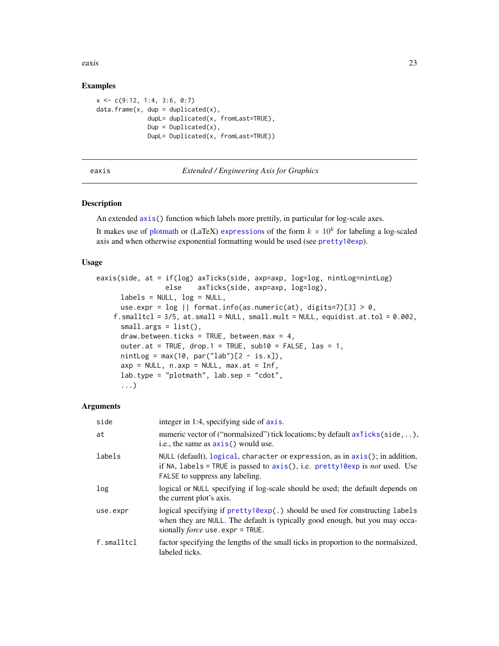<span id="page-22-0"></span>eaxis 23

# Examples

```
x \leq -c(9:12, 1:4, 3:6, 0:7)data.frame(x, dup = duplicated(x),
              dupL= duplicated(x, fromLast=TRUE),
              Dup = Duplicated(x),
              DupL= Duplicated(x, fromLast=TRUE))
```
# <span id="page-22-1"></span>eaxis *Extended / Engineering Axis for Graphics*

# **Description**

An extended [axis\(](#page-0-0)) function which labels more prettily, in particular for log-scale axes.

It makes use of [plotmath](#page-0-0) or (LaTeX) [expression](#page-0-0)s of the form  $k \times 10^k$  for labeling a log-scaled axis and when otherwise exponential formatting would be used (see [pretty10exp](#page-77-1)).

#### Usage

```
eaxis(side, at = if(log) axTicks(side, axp=axp, log=log, nintLog=nintLog)
                 else axTicks(side, axp=axp, log=log),
     labels = NULL, log = NULL,use.expr = \log || format.info(as.numeric(at), digits=7)[3] > 0,
    f.smalltcl = 3/5, at.small = NULL, small.mult = NULL, equidist.at.tol = 0.002,
     small.args = list(),
     draw.between.ticks = TRUE, between.max = 4,
     outer.at = TRUE, drop.1 = TRUE, sub10 = FALSE, las = 1,
     nintLog = max(10, par("lab")[2 - is.x]),axy = NULL, n.argv = NULL, max.at = Inf,
     lab.type = "plotmath", lab.sep = "cdot",
      ...)
```
#### Arguments

| side       | integer in 1:4, specifying side of axis.                                                                                                                                                                       |
|------------|----------------------------------------------------------------------------------------------------------------------------------------------------------------------------------------------------------------|
| at         | numeric vector of ("normal sized") tick locations; by default $axTicks(side, \ldots)$ ,<br>i.e., the same as $axis()$ would use.                                                                               |
| labels     | NULL (default), $logical$ , character or expression, as in $axis$ ); in addition,<br>if NA, labels = TRUE is passed to $axis()$ , i.e. pretty 10exp is <i>not</i> used. Use<br>FALSE to suppress any labeling. |
| log        | logical or NULL specifying if log-scale should be used; the default depends on<br>the current plot's axis.                                                                                                     |
| use.expr   | logical specifying if pretty10exp(.) should be used for constructing labels<br>when they are NULL. The default is typically good enough, but you may occa-<br>sionally <i>force</i> use, $expr = TRUE$ .       |
| f.smalltcl | factor specifying the lengths of the small ticks in proportion to the normal sized,<br>labeled ticks.                                                                                                          |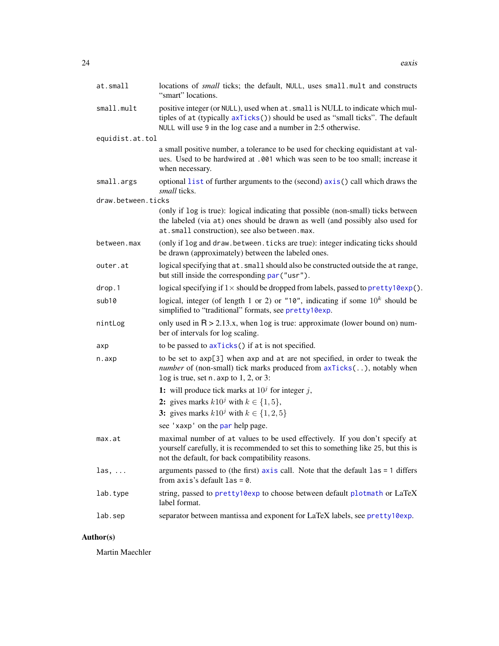| at.small           | locations of small ticks; the default, NULL, uses small mult and constructs<br>"smart" locations.                                                                                                                                    |
|--------------------|--------------------------------------------------------------------------------------------------------------------------------------------------------------------------------------------------------------------------------------|
| small.mult         | positive integer (or NULL), used when at . small is NULL to indicate which mul-<br>tiples of at (typically axTicks()) should be used as "small ticks". The default<br>NULL will use 9 in the log case and a number in 2:5 otherwise. |
| equidist.at.tol    |                                                                                                                                                                                                                                      |
|                    | a small positive number, a tolerance to be used for checking equidistant at val-<br>ues. Used to be hardwired at .001 which was seen to be too small; increase it<br>when necessary.                                                 |
| small.args         | optional list of further arguments to the (second) $axis()$ call which draws the<br><i>small</i> ticks.                                                                                                                              |
| draw.between.ticks |                                                                                                                                                                                                                                      |
|                    | (only if log is true): logical indicating that possible (non-small) ticks between<br>the labeled (via at) ones should be drawn as well (and possibly also used for<br>at.small construction), see also between.max.                  |
| between.max        | (only if log and draw. between. ticks are true): integer indicating ticks should<br>be drawn (approximately) between the labeled ones.                                                                                               |
| outer.at           | logical specifying that at. small should also be constructed outside the at range,<br>but still inside the corresponding par ("usr").                                                                                                |
| drop.1             | logical specifying if $1 \times$ should be dropped from labels, passed to pretty $10 \exp$ .                                                                                                                                         |
| sub10              | logical, integer (of length 1 or 2) or "10", indicating if some $10^k$ should be<br>simplified to "traditional" formats, see pretty10exp.                                                                                            |
| nintLog            | only used in $R > 2.13.x$ , when log is true: approximate (lower bound on) num-<br>ber of intervals for log scaling.                                                                                                                 |
| axp                | to be passed to $axTicks()$ if at is not specified.                                                                                                                                                                                  |
| n.axp              | to be set to axp[3] when axp and at are not specified, in order to tweak the<br><i>number</i> of (non-small) tick marks produced from $axTicks($ ), notably when<br>$log$ is true, set n. axp to 1, 2, or 3:                         |
|                    | 1: will produce tick marks at $10j$ for integer j,                                                                                                                                                                                   |
|                    | 2: gives marks $k10^j$ with $k \in \{1, 5\}$ ,                                                                                                                                                                                       |
|                    | 3: gives marks $k10^j$ with $k \in \{1, 2, 5\}$                                                                                                                                                                                      |
|                    | see 'xaxp' on the par help page.                                                                                                                                                                                                     |
| max.at             | maximal number of at values to be used effectively. If you don't specify at<br>yourself carefully, it is recommended to set this to something like 25, but this is<br>not the default, for back compatibility reasons.               |
| $\ln s, \ldots$    | arguments passed to (the first) $axis$ call. Note that the default $las = 1$ differs<br>from $axis's$ default $las = 0$ .                                                                                                            |
| lab.type           | string, passed to pretty10exp to choose between default plotmath or LaTeX<br>label format.                                                                                                                                           |
| lab.sep            | separator between mantissa and exponent for LaTeX labels, see pretty10exp.                                                                                                                                                           |

# Author(s)

Martin Maechler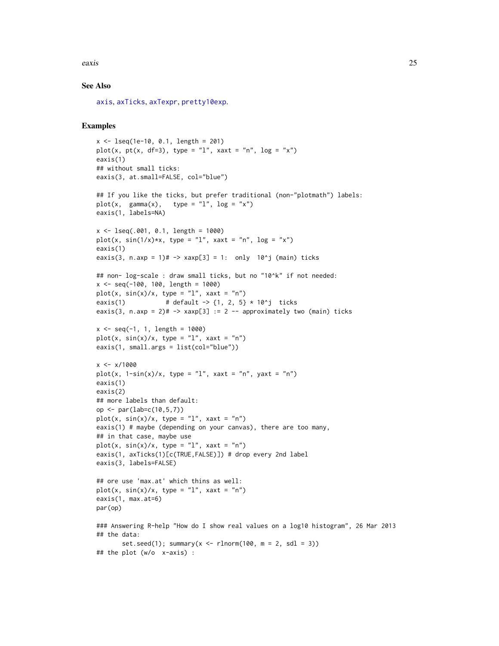eaxis 25

# See Also

[axis](#page-0-0), [axTicks](#page-0-0), [axTexpr](#page-5-1), [pretty10exp](#page-77-1).

# Examples

```
x <- lseq(1e-10, 0.1, length = 201)
plot(x, pt(x, df=3), type = "l", xaxt = "n", log = "x")
eaxis(1)
## without small ticks:
eaxis(3, at.small=FALSE, col="blue")
## If you like the ticks, but prefer traditional (non-"plotmath") labels:
plot(x, gamma(x), type = "l", log = "x")eaxis(1, labels=NA)
x \le - lseq(.001, 0.1, length = 1000)
plot(x, sin(1/x)*x, type = "l", xax = "n", log = "x")eaxis(1)
eaxis(3, n.axp = 1)# \rightarrow xaxp[3] = 1: only 10^j (main) ticks
## non- log-scale : draw small ticks, but no "10^k" if not needed:
x <- seq(-100, 100, length = 1000)
plot(x, sin(x)/x, type = "l", xaxt = "n")
eaxis(1) \# \text{ default } \text{-} > \{1, 2, 5\} \times 10^{\circ} \text{j} ticks
eaxis(3, n.axp = 2)# \rightarrow xaxp[3] := 2 -- approximately two (main) ticks
x \le - seq(-1, 1, length = 1000)
plot(x, sin(x)/x, type = "l", xaxt = "n")eaxis(1, small.args = list(col="blue"))
x < -x/1000plot(x, 1-sin(x)/x, type = "l", xaxt = "n", yaxt = "n")
eaxis(1)
eaxis(2)
## more labels than default:
op <- par(lab=c(10,5,7))
plot(x, sin(x)/x, type = "l", xaxt = "n")eaxis(1) # maybe (depending on your canvas), there are too many,
## in that case, maybe use
plot(x, sin(x)/x, type = "l", xaxt = "n")eaxis(1, axTicks(1)[c(TRUE,FALSE)]) # drop every 2nd label
eaxis(3, labels=FALSE)
## ore use 'max.at' which thins as well:
plot(x, sin(x)/x, type = "l", xaxt = "n")eaxis(1, max.at=6)
par(op)
### Answering R-help "How do I show real values on a log10 histogram", 26 Mar 2013
## the data:
       set.seed(1); summary(x \le rlnorm(100, m = 2, sdl = 3))
## the plot (w/o x-axis) :
```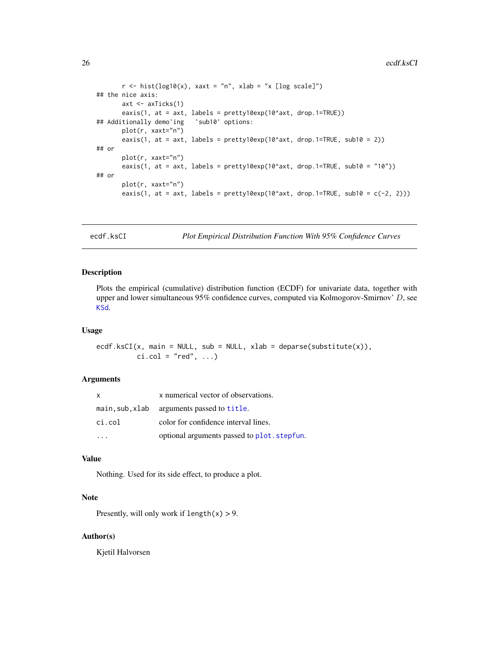```
r \le - hist(log10(x), xaxt = "n", xlab = "x [log scale]")
## the nice axis:
       axt <- axTicks(1)
       eaxis(1, at = axt, labels = pretty10exp(10^axt, drop.1=TRUE))
## Additionally demo'ing 'sub10' options:
       plot(r, xaxt="n")
       eaxis(1, at = axt, labels = pretty10exp(10^axt, drop.1=TRUE, sub10 = 2))
## or
       plot(r, xaxt="n")
       eaxis(1, at = axt, labels = pretty10exp(10^axt, drop.1=TRUE, sub10 = "10"))
## or
       plot(r, xaxt="n")
       eaxis(1, at = axt, labels = prety10exp(10^{\text{A}}axt, drop.1=TRUE, sub10 = c(-2, 2)))
```
ecdf.ksCI *Plot Empirical Distribution Function With 95% Confidence Curves*

#### Description

Plots the empirical (cumulative) distribution function (ECDF) for univariate data, together with upper and lower simultaneous 95% confidence curves, computed via Kolmogorov-Smirnov' D, see [KSd](#page-40-1).

#### Usage

ecdf.ksCI(x, main = NULL, sub = NULL, xlab = deparse(substitute(x)),  $ci.col = "red", ...$ 

#### Arguments

| x      | x numerical vector of observations.         |
|--------|---------------------------------------------|
|        | main, sub, xlab arguments passed to title.  |
| ci.col | color for confidence interval lines.        |
|        | optional arguments passed to plot. stepfun. |

#### Value

Nothing. Used for its side effect, to produce a plot.

# Note

Presently, will only work if  $length(x) > 9$ .

#### Author(s)

Kjetil Halvorsen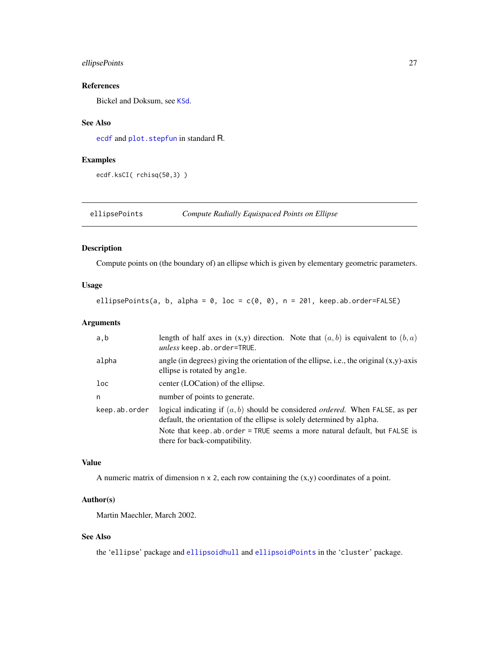# <span id="page-26-0"></span>ellipsePoints 27

# References

Bickel and Doksum, see [KSd](#page-40-1).

#### See Also

[ecdf](#page-0-0) and [plot.stepfun](#page-0-0) in standard R.

# Examples

ecdf.ksCI( rchisq(50,3) )

ellipsePoints *Compute Radially Equispaced Points on Ellipse*

# Description

Compute points on (the boundary of) an ellipse which is given by elementary geometric parameters.

# Usage

ellipsePoints(a, b, alpha =  $0$ , loc =  $c(0, 0)$ , n = 201, keep.ab.order=FALSE)

# Arguments

| a,b             | length of half axes in $(x,y)$ direction. Note that $(a, b)$ is equivalent to $(b, a)$<br>unless keep.ab.order=TRUE.                                              |
|-----------------|-------------------------------------------------------------------------------------------------------------------------------------------------------------------|
| alpha           | angle (in degrees) giving the orientation of the ellipse, i.e., the original $(x,y)$ -axis<br>ellipse is rotated by angle.                                        |
| 1 <sub>oc</sub> | center (LOCation) of the ellipse.                                                                                                                                 |
| n               | number of points to generate.                                                                                                                                     |
| keep.ab.order   | logical indicating if $(a, b)$ should be considered <i>ordered</i> . When FALSE, as per<br>default, the orientation of the ellipse is solely determined by alpha. |
|                 | Note that keep, ab, order = TRUE seems a more natural default, but FALSE is<br>there for back-compatibility.                                                      |

# Value

A numeric matrix of dimension  $n \times 2$ , each row containing the  $(x,y)$  coordinates of a point.

# Author(s)

Martin Maechler, March 2002.

# See Also

the 'ellipse' package and [ellipsoidhull](#page-0-0) and [ellipsoidPoints](#page-0-0) in the 'cluster' package.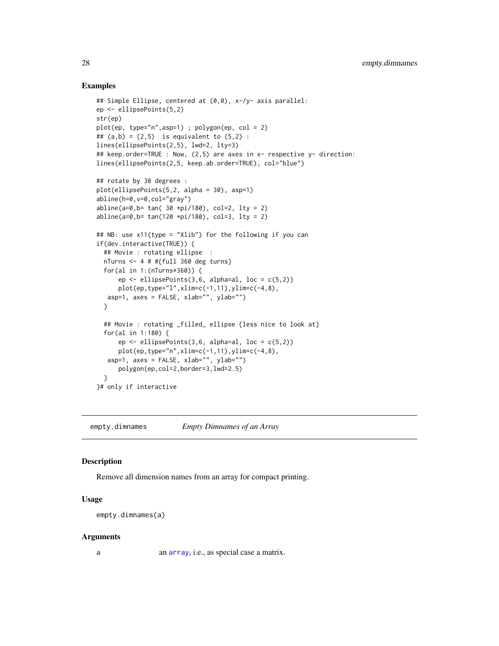# <span id="page-27-0"></span>Examples

```
## Simple Ellipse, centered at (0,0), x-/y- axis parallel:
ep <- ellipsePoints(5,2)
str(ep)
plot(ep, type="n",asp=1) ; polygon(ep, col = 2)
## (a,b) = (2,5) is equivalent to (5,2) :
lines(ellipsePoints(2,5), lwd=2, lty=3)
## keep.order=TRUE : Now, (2,5) are axes in x- respective y- direction:
lines(ellipsePoints(2,5, keep.ab.order=TRUE), col="blue")
## rotate by 30 degrees :
plot(ellipsePoints(5,2, alpha = 30), asp=1)
abline(h=0,v=0,col="gray")
abline(a=0,b= tan( 30 \times pi/180), col=2, lty = 2)
abline(a=0,b= tan(120 *pi/180), col=3, lty = 2)
## NB: use x11(type = "Xlib") for the following if you can
if(dev.interactive(TRUE)) {
  ## Movie : rotating ellipse :
  nTurns <- 4 # #{full 360 deg turns}
  for(al in 1:(nTurns*360)) {
      ep \le ellipsePoints(3,6, alpha=al, loc = c(5,2))
      plot(ep,type="l",xlim=c(-1,11),ylim=c(-4,8),
  asp=1, axes = FALSE, xlab="", ylab="")
  }
  ## Movie : rotating _filled_ ellipse {less nice to look at}
  for(al in 1:180) {
      ep \le ellipsePoints(3,6, alpha=al, loc = c(5,2))
      plot(ep,type="n",xlim=c(-1,11),ylim=c(-4,8),
   asp=1, axes = FALSE, xlab="", ylab="")
      polygon(ep,col=2,border=3,lwd=2.5)
  }
}# only if interactive
```
empty.dimnames *Empty Dimnames of an Array*

# Description

Remove all dimension names from an array for compact printing.

#### Usage

empty.dimnames(a)

#### Arguments

a an [array](#page-0-0), i.e., as special case a matrix.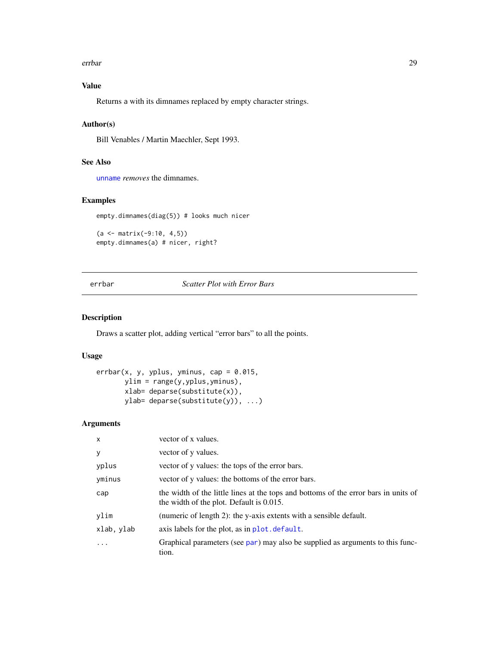#### <span id="page-28-0"></span>errbar 29

# Value

Returns a with its dimnames replaced by empty character strings.

# Author(s)

Bill Venables / Martin Maechler, Sept 1993.

# See Also

[unname](#page-0-0) *removes* the dimnames.

#### Examples

empty.dimnames(diag(5)) # looks much nicer

```
(a < - matrix(-9:10, 4,5))
empty.dimnames(a) # nicer, right?
```
<span id="page-28-1"></span>errbar *Scatter Plot with Error Bars*

# Description

Draws a scatter plot, adding vertical "error bars" to all the points.

#### Usage

```
erbar(x, y, yplus, yminus, cap = 0.015,ylim = range(y,yplus,yminus),
      xlab= deparse(substitute(x)),
      ylab= deparse(substitute(y)), ...)
```
# Arguments

| X          | vector of x values.                                                                                                             |
|------------|---------------------------------------------------------------------------------------------------------------------------------|
| у          | vector of y values.                                                                                                             |
| yplus      | vector of y values: the tops of the error bars.                                                                                 |
| yminus     | vector of y values: the bottoms of the error bars.                                                                              |
| cap        | the width of the little lines at the tops and bottoms of the error bars in units of<br>the width of the plot. Default is 0.015. |
| ylim       | (numeric of length 2): the y-axis extents with a sensible default.                                                              |
| xlab, ylab | axis labels for the plot, as in plot. default.                                                                                  |
| $\ddots$   | Graphical parameters (see par) may also be supplied as arguments to this func-<br>tion.                                         |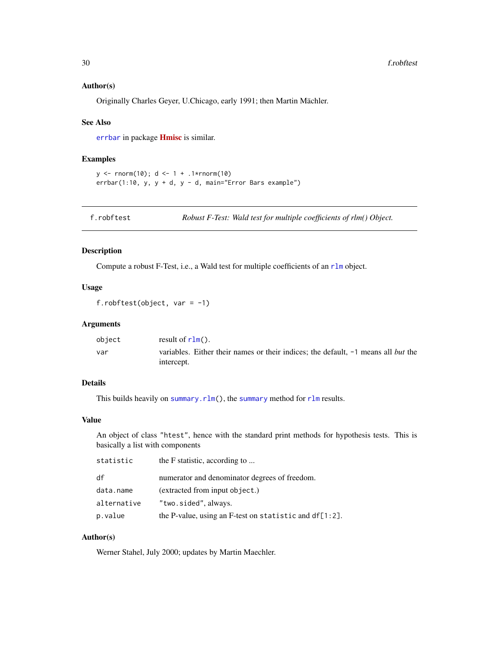#### <span id="page-29-0"></span>Author(s)

Originally Charles Geyer, U.Chicago, early 1991; then Martin Mächler.

#### See Also

[errbar](#page-28-1) in package [Hmisc](https://CRAN.R-project.org/package=Hmisc) is similar.

#### Examples

```
y <- rnorm(10); d <- 1 + .1*rnorm(10)
erbar(1:10, y, y + d, y - d, main="Error Bars example")
```
f.robftest *Robust F-Test: Wald test for multiple coefficients of rlm() Object.*

# Description

Compute a robust F-Test, i.e., a Wald test for multiple coefficients of an [rlm](#page-0-0) object.

# Usage

f.robftest(object, var =  $-1$ )

# Arguments

| object | result of $rlm()$ .                                                                             |
|--------|-------------------------------------------------------------------------------------------------|
| var    | variables. Either their names or their indices; the default. -1 means all but the<br>intercept. |

# Details

This builds heavily on [summary.rlm\(](#page-0-0)), the [summary](#page-0-0) method for [rlm](#page-0-0) results.

# Value

An object of class "htest", hence with the standard print methods for hypothesis tests. This is basically a list with components

| statistic   | the F statistic, according to                          |
|-------------|--------------------------------------------------------|
| df          | numerator and denominator degrees of freedom.          |
| data.name   | (extracted from input object.)                         |
| alternative | "two.sided", always.                                   |
| p.value     | the P-value, using an F-test on statistic and df[1:2]. |

# Author(s)

Werner Stahel, July 2000; updates by Martin Maechler.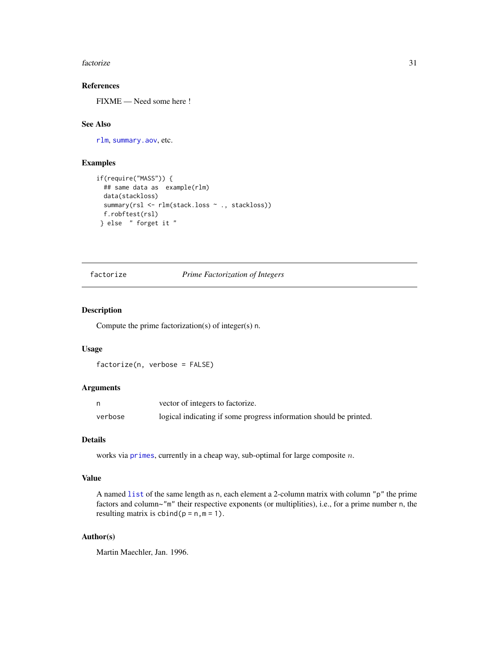#### <span id="page-30-0"></span>factorize 31

# References

FIXME — Need some here !

# See Also

[rlm](#page-0-0), [summary.aov](#page-0-0), etc.

# Examples

```
if(require("MASS")) {
 ## same data as example(rlm)
 data(stackloss)
 summary(rsl <- rlm(stack.loss ~ ., stackloss))
 f.robftest(rsl)
} else " forget it "
```
# <span id="page-30-1"></span>factorize *Prime Factorization of Integers*

# Description

Compute the prime factorization(s) of integer(s) n.

#### Usage

factorize(n, verbose = FALSE)

# Arguments

|         | vector of integers to factorize.                                   |
|---------|--------------------------------------------------------------------|
| verbose | logical indicating if some progress information should be printed. |

# Details

works via [primes](#page-79-1), currently in a cheap way, sub-optimal for large composite n.

#### Value

A named [list](#page-0-0) of the same length as n, each element a 2-column matrix with column "p" the prime factors and column~"m" their respective exponents (or multiplities), i.e., for a prime number n, the resulting matrix is  $cbind(p = n, m = 1)$ .

### Author(s)

Martin Maechler, Jan. 1996.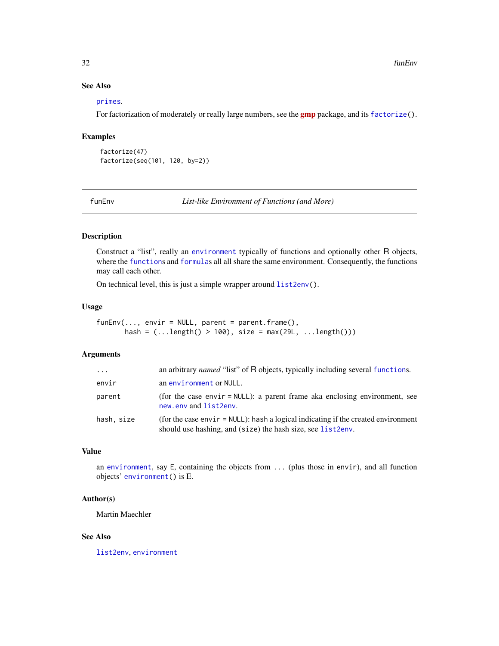# <span id="page-31-0"></span>See Also

#### [primes](#page-79-1).

For factorization of moderately or really large numbers, see the **[gmp](https://CRAN.R-project.org/package=gmp)** package, and its [factorize\(](#page-30-1)).

# Examples

```
factorize(47)
factorize(seq(101, 120, by=2))
```
funEnv *List-like Environment of Functions (and More)*

# Description

Construct a "list", really an [environment](#page-0-0) typically of functions and optionally other R objects, where the [function](#page-0-0)s and [formula](#page-0-0)s all all share the same environment. Consequently, the functions may call each other.

On technical level, this is just a simple wrapper around [list2env\(](#page-0-0)).

#### Usage

 $funEnv(\ldots, envir = NULL, parent = parent.frame(),$ hash = (...length() > 100), size = max(29L, ...length()))

# Arguments

| $\cdot$    | an arbitrary <i>named</i> "list" of R objects, typically including several functions.                                                                  |
|------------|--------------------------------------------------------------------------------------------------------------------------------------------------------|
| envir      | an environment or NULL.                                                                                                                                |
| parent     | (for the case envir $=$ NULL): a parent frame aka enclosing environment, see<br>new.env and list2env.                                                  |
| hash, size | (for the case enviruption = NULL): hash a logical indicating if the created environment<br>should use hashing, and (size) the hash size, see list2env. |

#### Value

an [environment](#page-0-0), say E, containing the objects from ... (plus those in envir), and all function objects' [environment\(](#page-0-0)) is E.

#### Author(s)

Martin Maechler

### See Also

[list2env](#page-0-0), [environment](#page-0-0)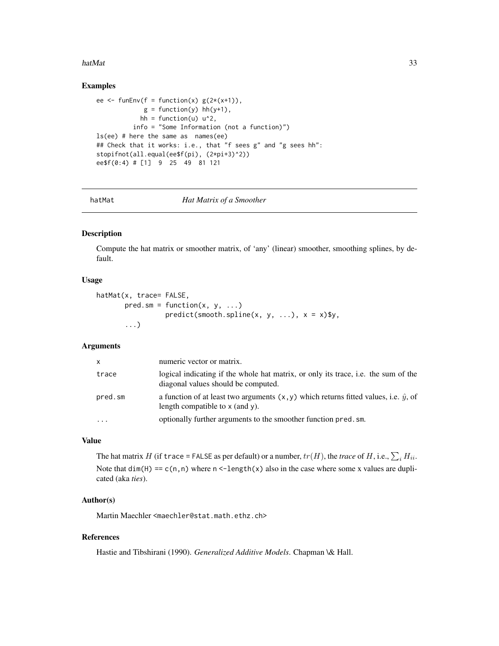#### <span id="page-32-0"></span>hatMat 33

#### Examples

```
ee \le funEnv(f = function(x) g(2*(x+1)),
            g = function(y) hh(y+1),
           hh = function(u) u^2,
         info = "Some Information (not a function)")
ls(ee) # here the same as names(ee)
## Check that it works: i.e., that "f sees g" and "g sees hh":
stopifnot(all.equal(ee$f(pi), (2*pi+3)^2))
ee$f(0:4) # [1] 9 25 49 81 121
```

```
hatMat Hat Matrix of a Smoother
```
# Description

Compute the hat matrix or smoother matrix, of 'any' (linear) smoother, smoothing splines, by default.

#### Usage

```
hatMat(x, trace= FALSE,
      pred.sm = function(x, y, ...)predict(smooth.split(x, y, ...), x = x)$y,
       ...)
```
#### Arguments

| <b>X</b>  | numeric vector or matrix.                                                                                                         |
|-----------|-----------------------------------------------------------------------------------------------------------------------------------|
| trace     | logical indicating if the whole hat matrix, or only its trace, i.e. the sum of the<br>diagonal values should be computed.         |
| pred.sm   | a function of at least two arguments $(x, y)$ which returns fitted values, i.e. $\hat{y}$ , of<br>length compatible to x (and y). |
| $\ddotsc$ | optionally further arguments to the smoother function pred. sm.                                                                   |

#### Value

The hat matrix  $H$  (if  $\text{trace} = \text{FALSE}$  as per default) or a number,  $tr(H)$ , the  $trace$  of  $H$ , i.e.,  $\sum_i H_{ii}$ . Note that dim(H) ==  $c(n,n)$  where n <-length(x) also in the case where some x values are duplicated (aka *ties*).

# Author(s)

Martin Maechler <maechler@stat.math.ethz.ch>

# References

Hastie and Tibshirani (1990). *Generalized Additive Models*. Chapman \& Hall.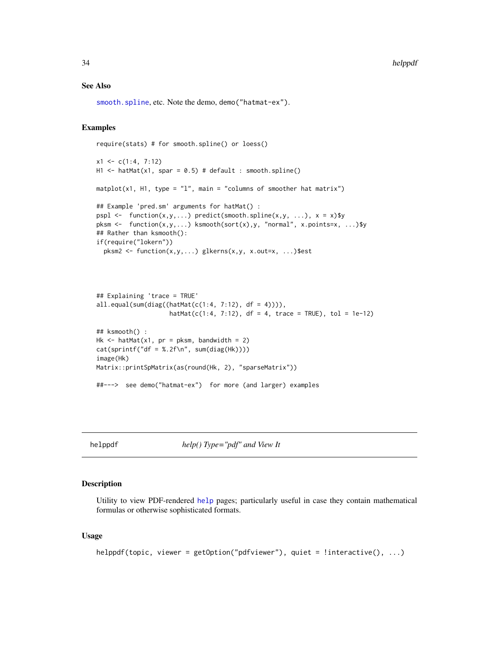#### <span id="page-33-0"></span>See Also

[smooth.spline](#page-0-0), etc. Note the demo, demo("hatmat-ex").

#### Examples

```
require(stats) # for smooth.spline() or loess()
x1 \leftarrow c(1:4, 7:12)H1 <- hatMat(x1, spar = 0.5) # default : smooth.spline()
matplot(x1, H1, type = "1", main = "columns of smoother hat matrix")
## Example 'pred.sm' arguments for hatMat() :
pspl <- function(x,y,...) predict(smooth.spline(x,y, ...), x = x)$y
pksm <- function(x,y,...) ksmooth(sort(x),y, "normal", x.points=x, ...)$y
## Rather than ksmooth():
if(require("lokern"))
  pksm2 <- function(x,y,...) glkerns(x,y, x.out=x, ...)$est
```

```
## Explaining 'trace = TRUE'
all.equal(sum(diag((hatMat(c(1:4, 7:12), df = 4)))),
                    hat(c(1:4, 7:12), df = 4, trace = TRUE), tol = 1e-12)## ksmooth() :
Hk \leq hatMat(x1, pr = pksm, bandwidth = 2)
cat(sprintf("df = %.2f\n'n", sum(diag(Hk))))image(Hk)
Matrix::printSpMatrix(as(round(Hk, 2), "sparseMatrix"))
##---> see demo("hatmat-ex") for more (and larger) examples
```

```
helppdf help() Type="pdf" and View It
```
#### Description

Utility to view PDF-rendered [help](#page-0-0) pages; particularly useful in case they contain mathematical formulas or otherwise sophisticated formats.

```
helppdf(topic, viewer = getOption("pdfviewer"), quiet = !interactive(), ...)
```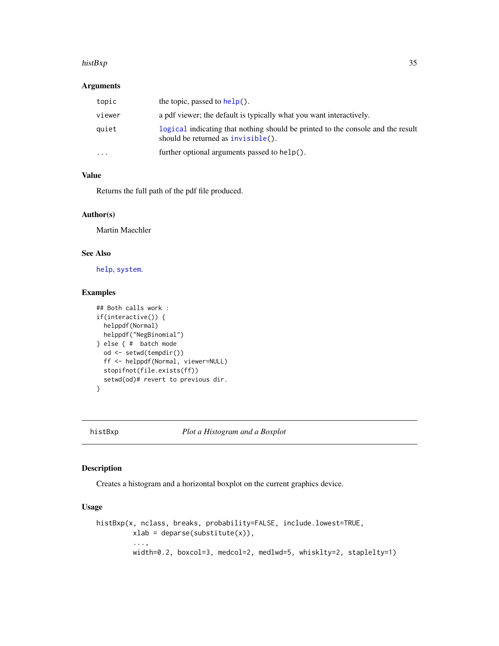#### <span id="page-34-0"></span>histBxp 35

### Arguments

| topic    | the topic, passed to $help()$ .                                                                                       |
|----------|-----------------------------------------------------------------------------------------------------------------------|
| viewer   | a pdf viewer; the default is typically what you want interactively.                                                   |
| quiet    | logical indicating that nothing should be printed to the console and the result<br>should be returned as invisible(). |
| $\cdots$ | further optional arguments passed to help().                                                                          |

# Value

Returns the full path of the pdf file produced.

# Author(s)

Martin Maechler

# See Also

[help](#page-0-0), [system](#page-0-0).

# Examples

```
## Both calls work :
if(interactive()) {
 helppdf(Normal)
 helppdf("NegBinomial")
} else { # batch mode
  od <- setwd(tempdir())
  ff <- helppdf(Normal, viewer=NULL)
  stopifnot(file.exists(ff))
  setwd(od)# revert to previous dir.
}
```
# histBxp *Plot a Histogram and a Boxplot*

# Description

Creates a histogram and a horizontal boxplot on the current graphics device.

```
histBxp(x, nclass, breaks, probability=FALSE, include.lowest=TRUE,
        xlab = deparse(substitute(x)),
         ...,
        width=0.2, boxcol=3, medcol=2, medlwd=5, whisklty=2, staplelty=1)
```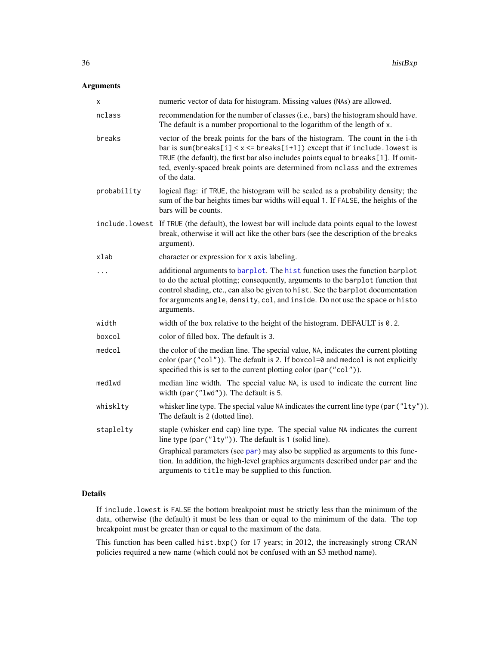# Arguments

| x              | numeric vector of data for histogram. Missing values (NAs) are allowed.                                                                                                                                                                                                                                                                               |
|----------------|-------------------------------------------------------------------------------------------------------------------------------------------------------------------------------------------------------------------------------------------------------------------------------------------------------------------------------------------------------|
| nclass         | recommendation for the number of classes (i.e., bars) the histogram should have.<br>The default is a number proportional to the logarithm of the length of x.                                                                                                                                                                                         |
| breaks         | vector of the break points for the bars of the histogram. The count in the i-th<br>bar is sum(breaks[i] < $x$ <= breaks[i+1]) except that if include. lowest is<br>TRUE (the default), the first bar also includes points equal to breaks[1]. If omit-<br>ted, evenly-spaced break points are determined from nclass and the extremes<br>of the data. |
| probability    | logical flag: if TRUE, the histogram will be scaled as a probability density; the<br>sum of the bar heights times bar widths will equal 1. If FALSE, the heights of the<br>bars will be counts.                                                                                                                                                       |
| include.lowest | If TRUE (the default), the lowest bar will include data points equal to the lowest<br>break, otherwise it will act like the other bars (see the description of the breaks<br>argument).                                                                                                                                                               |
| xlab           | character or expression for x axis labeling.                                                                                                                                                                                                                                                                                                          |
|                | additional arguments to barplot. The hist function uses the function barplot<br>to do the actual plotting; consequently, arguments to the barplot function that<br>control shading, etc., can also be given to hist. See the barplot documentation<br>for arguments angle, density, col, and inside. Do not use the space or histo<br>arguments.      |
| width          | width of the box relative to the height of the histogram. DEFAULT is 0.2.                                                                                                                                                                                                                                                                             |
| boxcol         | color of filled box. The default is 3.                                                                                                                                                                                                                                                                                                                |
| medcol         | the color of the median line. The special value, NA, indicates the current plotting<br>color (par("col")). The default is 2. If boxcol=0 and medcol is not explicitly<br>specified this is set to the current plotting color (par("col")).                                                                                                            |
| medlwd         | median line width. The special value NA, is used to indicate the current line<br>width $(\text{par}("1wd"))$ . The default is 5.                                                                                                                                                                                                                      |
| whisklty       | whisker line type. The special value NA indicates the current line type (par ("1ty")).<br>The default is 2 (dotted line).                                                                                                                                                                                                                             |
| staplelty      | staple (whisker end cap) line type. The special value NA indicates the current<br>line type (par("1ty")). The default is 1 (solid line).                                                                                                                                                                                                              |
|                | Graphical parameters (see par) may also be supplied as arguments to this func-<br>tion. In addition, the high-level graphics arguments described under par and the<br>arguments to title may be supplied to this function.                                                                                                                            |

# Details

If include.lowest is FALSE the bottom breakpoint must be strictly less than the minimum of the data, otherwise (the default) it must be less than or equal to the minimum of the data. The top breakpoint must be greater than or equal to the maximum of the data.

This function has been called hist.bxp() for 17 years; in 2012, the increasingly strong CRAN policies required a new name (which could not be confused with an S3 method name).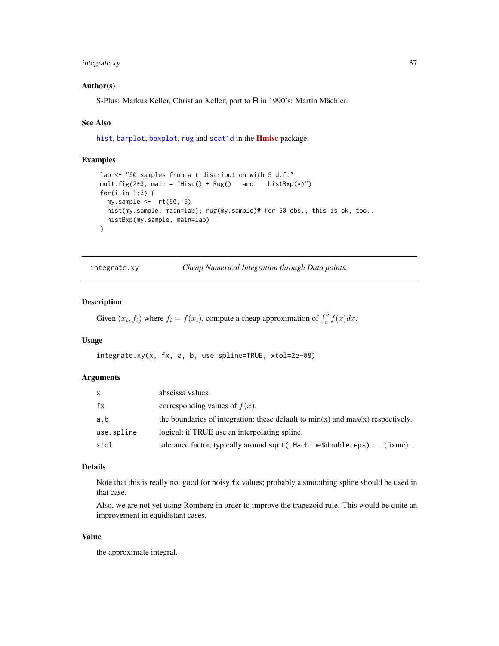## integrate.xy 37

### Author(s)

S-Plus: Markus Keller, Christian Keller; port to R in 1990's: Martin Mächler.

#### See Also

[hist](#page-0-0), [barplot](#page-0-0), [boxplot](#page-0-0), [rug](#page-0-0) and [scat1d](#page-0-0) in the **[Hmisc](https://CRAN.R-project.org/package=Hmisc)** package.

### Examples

```
lab <- "50 samples from a t distribution with 5 d.f."
mult.fig(2*3, main = "Hist() + \text{Rug}) and histBxp(*)")
for(i in 1:3) {
  my.sample \leftarrow rt(50, 5)hist(my.sample, main=lab); rug(my.sample)# for 50 obs., this is ok, too..
  histBxp(my.sample, main=lab)
}
```
integrate.xy *Cheap Numerical Integration through Data points.*

## Description

Given  $(x_i, f_i)$  where  $f_i = f(x_i)$ , compute a cheap approximation of  $\int_a^b f(x) dx$ .

## Usage

integrate.xy(x, fx, a, b, use.spline=TRUE, xtol=2e-08)

### Arguments

| x          | abscissa values.                                                                    |
|------------|-------------------------------------------------------------------------------------|
| fx         | corresponding values of $f(x)$ .                                                    |
| a.b        | the boundaries of integration; these default to $min(x)$ and $max(x)$ respectively. |
| use.spline | logical; if TRUE use an interpolating spline.                                       |
| xtol       | tolerance factor, typically around sqrt(.Machine\$double.eps) (fixme)               |

#### Details

Note that this is really not good for noisy fx values; probably a smoothing spline should be used in that case.

Also, we are not yet using Romberg in order to improve the trapezoid rule. This would be quite an improvement in equidistant cases.

## Value

the approximate integral.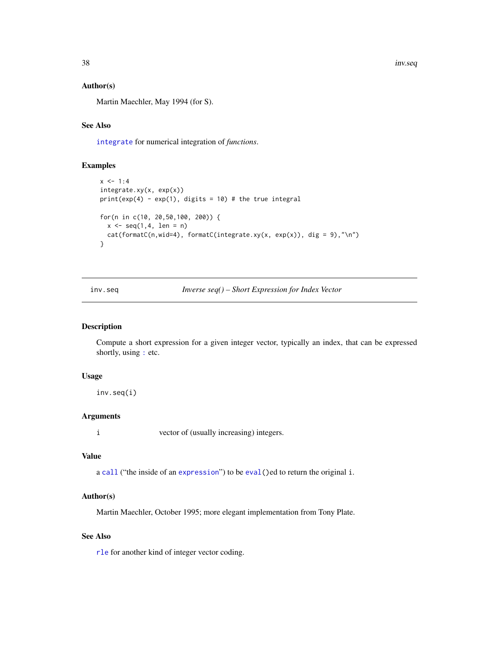38 inv.seq

### Author(s)

Martin Maechler, May 1994 (for S).

# See Also

[integrate](#page-0-0) for numerical integration of *functions*.

## Examples

```
x < -1:4integrate.xy(x, exp(x))
print(exp(4) - exp(1), digits = 10) # the true integral
for(n in c(10, 20,50,100, 200)) {
 x \le - seq(1,4, len = n)
 cat(fromnatC(n, wid=4), formatC(integrate.xy(x, exp(x)), dig = 9), "\\n")}
```
inv.seq *Inverse seq() – Short Expression for Index Vector*

#### Description

Compute a short expression for a given integer vector, typically an index, that can be expressed shortly, using [:](#page-0-0) etc.

### Usage

inv.seq(i)

## Arguments

i vector of (usually increasing) integers.

#### Value

a [call](#page-0-0) ("the inside of an [expression](#page-0-0)") to be [eval\(](#page-0-0))ed to return the original i.

### Author(s)

Martin Maechler, October 1995; more elegant implementation from Tony Plate.

### See Also

[rle](#page-0-0) for another kind of integer vector coding.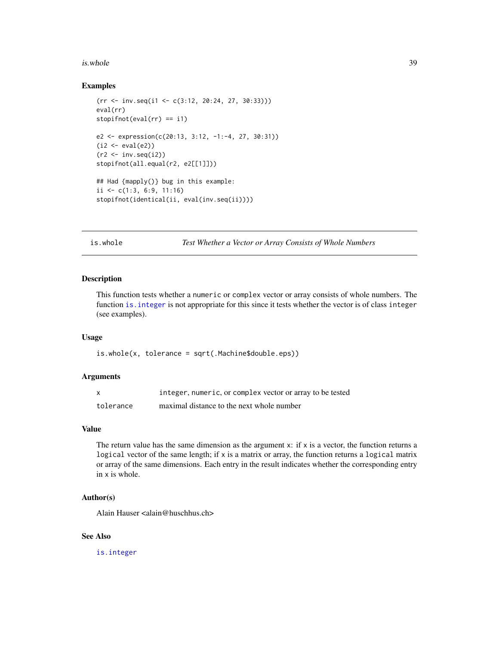#### is.whole 39

### Examples

```
(rr \leftarrow inv.\text{seq}(i1 \leftarrow c(3:12, 20:24, 27, 30:33)))eval(rr)
stopifnot(eval(rr) == i1)
e2 <- expression(c(20:13, 3:12, -1:-4, 27, 30:31))
(i2 \leftarrow eval(e2))(r2 \leq -inv \text{seq}(i2))stopifnot(all.equal(r2, e2[[1]]))
## Had {mapply()} bug in this example:
ii <- c(1:3, 6:9, 11:16)
stopifnot(identical(ii, eval(inv.seq(ii))))
```
is.whole *Test Whether a Vector or Array Consists of Whole Numbers*

## Description

This function tests whether a numeric or complex vector or array consists of whole numbers. The function [is.integer](#page-0-0) is not appropriate for this since it tests whether the vector is of class integer (see examples).

### Usage

is.whole(x, tolerance = sqrt(.Machine\$double.eps))

#### Arguments

|           | integer, numeric, or complex vector or array to be tested |
|-----------|-----------------------------------------------------------|
| tolerance | maximal distance to the next whole number                 |

## Value

The return value has the same dimension as the argument  $x$ : if  $x$  is a vector, the function returns a logical vector of the same length; if x is a matrix or array, the function returns a logical matrix or array of the same dimensions. Each entry in the result indicates whether the corresponding entry in x is whole.

#### Author(s)

Alain Hauser <alain@huschhus.ch>

### See Also

[is.integer](#page-0-0)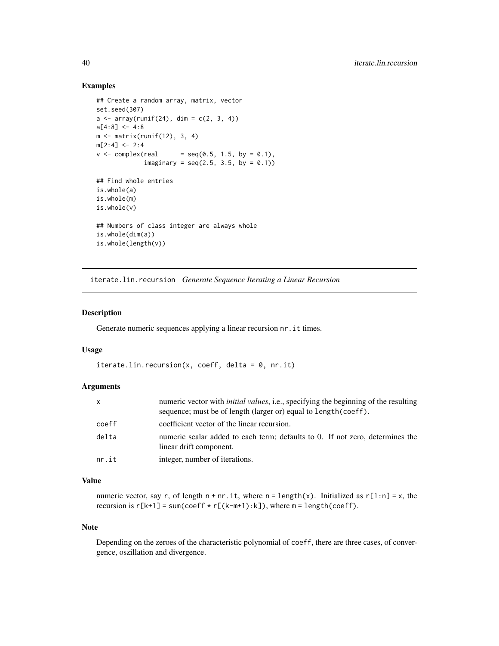### Examples

```
## Create a random array, matrix, vector
set.seed(307)
a \leq -\arctan(\text{runif}(24), \text{dim} = c(2, 3, 4))a[4:8] < -4:8m \leq - matrix(runif(12), 3, 4)
m[2:4] < -2:4v \le complex(real = seq(0.5, 1.5, by = 0.1),
             imaginary = seq(2.5, 3.5, by = 0.1)## Find whole entries
is.whole(a)
is.whole(m)
is.whole(v)
## Numbers of class integer are always whole
is.whole(dim(a))
is.whole(length(v))
```
iterate.lin.recursion *Generate Sequence Iterating a Linear Recursion*

## Description

Generate numeric sequences applying a linear recursion nr.it times.

## Usage

```
iterate.lin.recursion(x, coeff, delta = 0, nr.it)
```
## Arguments

| x     | numeric vector with <i>initial values</i> , <i>i.e.</i> , specifying the beginning of the resulting<br>sequence; must be of length (larger or) equal to length (coeff). |
|-------|-------------------------------------------------------------------------------------------------------------------------------------------------------------------------|
| coeff | coefficient vector of the linear recursion.                                                                                                                             |
| delta | numeric scalar added to each term; defaults to 0. If not zero, determines the<br>linear drift component.                                                                |
| nr.it | integer, number of iterations.                                                                                                                                          |

## Value

numeric vector, say r, of length  $n + nr$ . it, where  $n = length(x)$ . Initialized as  $r[1:n] = x$ , the recursion is  $r[k+1] = sum(coeff * r[(k-m+1):k])$ , where  $m = length(coeff)$ .

#### Note

Depending on the zeroes of the characteristic polynomial of coeff, there are three cases, of convergence, oszillation and divergence.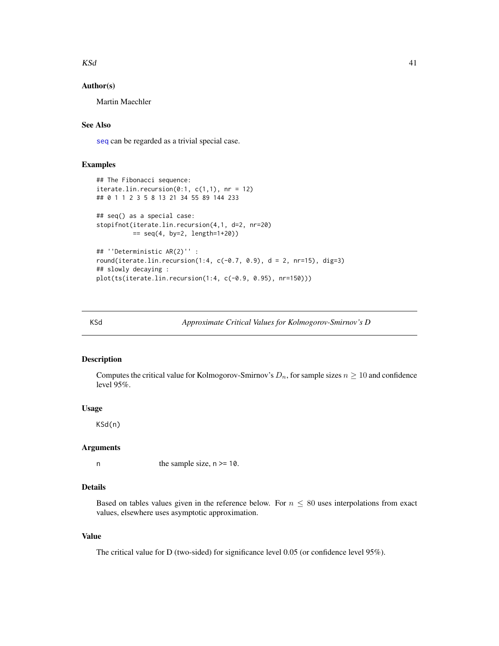### $KSd$  41

## Author(s)

Martin Maechler

# See Also

[seq](#page-0-0) can be regarded as a trivial special case.

### Examples

```
## The Fibonacci sequence:
iterate.lin.recursion(0:1, c(1,1), nr = 12)## 0 1 1 2 3 5 8 13 21 34 55 89 144 233
## seq() as a special case:
stopifnot(iterate.lin.recursion(4,1, d=2, nr=20)
         == seq(4, by=2, length=1+20))
## ''Deterministic AR(2)'' :
round(iterate.lin.recursion(1:4, c(-0.7, 0.9), d = 2, nr=15), dig=3)
## slowly decaying :
plot(ts(iterate.lin.recursion(1:4, c(-0.9, 0.95), nr=150)))
```
KSd *Approximate Critical Values for Kolmogorov-Smirnov's D*

## Description

Computes the critical value for Kolmogorov-Smirnov's  $D_n$ , for sample sizes  $n \geq 10$  and confidence level 95%.

### Usage

KSd(n)

### Arguments

n the sample size,  $n \geq 10$ .

## Details

Based on tables values given in the reference below. For  $n \leq 80$  uses interpolations from exact values, elsewhere uses asymptotic approximation.

#### Value

The critical value for D (two-sided) for significance level 0.05 (or confidence level 95%).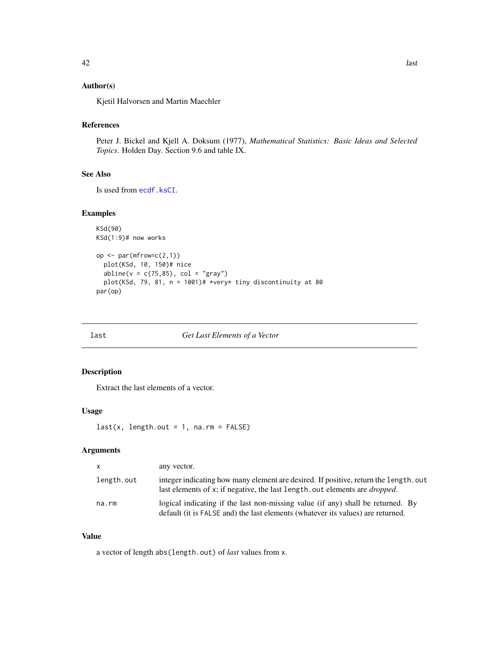# Author(s)

Kjetil Halvorsen and Martin Maechler

# References

Peter J. Bickel and Kjell A. Doksum (1977), *Mathematical Statistics: Basic Ideas and Selected Topics*. Holden Day. Section 9.6 and table IX.

## See Also

Is used from [ecdf.ksCI](#page-25-0).

## Examples

```
KSd(90)
KSd(1:9)# now works
op \leq par(mfrow=c(2,1))
  plot(KSd, 10, 150)# nice
  abline(v = c(75, 85), col = "gray")
  plot(KSd, 79, 81, n = 1001)# *very* tiny discontinuity at 80
par(op)
```
last *Get Last Elements of a Vector*

### Description

Extract the last elements of a vector.

### Usage

 $last(x, length.out = 1, na.rm = FALSE)$ 

### Arguments

| $\mathsf{X}$ | any vector.                                                                                                                                                                 |
|--------------|-----------------------------------------------------------------------------------------------------------------------------------------------------------------------------|
| length.out   | integer indicating how many element are desired. If positive, return the length, out<br>last elements of x; if negative, the last length, out elements are <i>dropped</i> . |
| na.rm        | logical indicating if the last non-missing value (if any) shall be returned. By<br>default (it is FALSE and) the last elements (whatever its values) are returned.          |

### Value

a vector of length abs(length.out) of *last* values from x.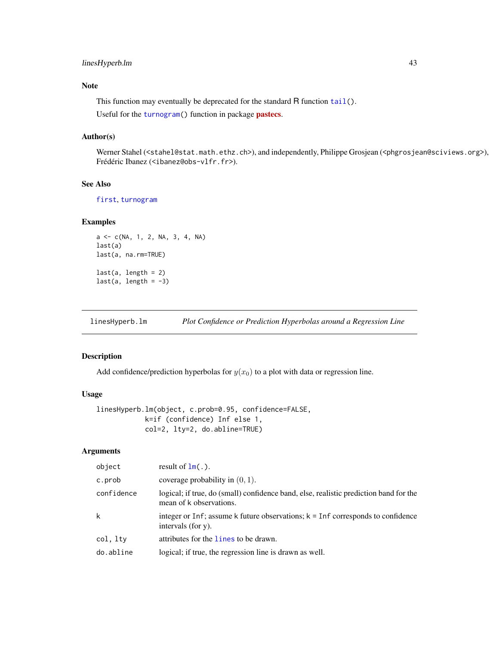## linesHyperb.lm 43

## Note

This function may eventually be deprecated for the standard R function  $tail(.)$  $tail(.)$ .

Useful for the [turnogram\(](#page-0-0)) function in package **[pastecs](https://CRAN.R-project.org/package=pastecs)**.

### Author(s)

Werner Stahel (<stahel@stat.math.ethz.ch>), and independently, Philippe Grosjean (<phgrosjean@sciviews.org>), Frédéric Ibanez (<ibanez@obs-vlfr.fr>).

# See Also

[first](#page-0-0), [turnogram](#page-0-0)

### Examples

```
a <- c(NA, 1, 2, NA, 3, 4, NA)
last(a)
last(a, na.rm=TRUE)
last(a, length = 2)last(a, length = -3)
```
linesHyperb.lm *Plot Confidence or Prediction Hyperbolas around a Regression Line*

## Description

Add confidence/prediction hyperbolas for  $y(x_0)$  to a plot with data or regression line.

### Usage

```
linesHyperb.lm(object, c.prob=0.95, confidence=FALSE,
            k=if (confidence) Inf else 1,
            col=2, lty=2, do.abline=TRUE)
```
## Arguments

| object     | result of $lm(.)$ .                                                                                              |
|------------|------------------------------------------------------------------------------------------------------------------|
| c.prob     | coverage probability in $(0, 1)$ .                                                                               |
| confidence | logical; if true, do (small) confidence band, else, realistic prediction band for the<br>mean of k observations. |
| k          | integer or Inf; assume k future observations; $k = \text{Inf}$ corresponds to confidence<br>intervals (for y).   |
| col, ltv   | attributes for the lines to be drawn.                                                                            |
| do.abline  | logical; if true, the regression line is drawn as well.                                                          |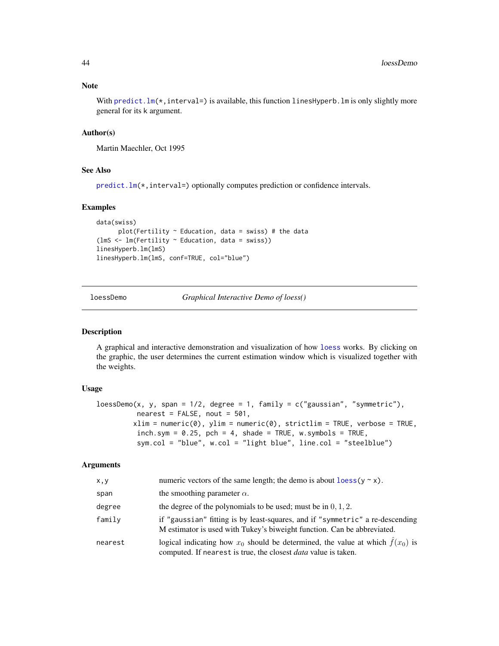With predict.  $lm(*)$ , interval=) is available, this function linesHyperb. Im is only slightly more general for its k argument.

### Author(s)

Martin Maechler, Oct 1995

## See Also

predict.  $lm(*)$ , interval=) optionally computes prediction or confidence intervals.

## Examples

```
data(swiss)
      plot(Fertility \sim Education, data = swiss) # the data
(lmS <- lm(Fertility ~ Education, data = swiss))
linesHyperb.lm(lmS)
linesHyperb.lm(lmS, conf=TRUE, col="blue")
```
loessDemo *Graphical Interactive Demo of loess()*

## Description

A graphical and interactive demonstration and visualization of how [loess](#page-0-0) works. By clicking on the graphic, the user determines the current estimation window which is visualized together with the weights.

### Usage

```
lossDemo(x, y, span = 1/2, degree = 1, family = c("gaussian", "symmetric"),nearest = FALSE, not = 501,xlim = numeric(0), ylim = numeric(0), strictlim = TRUE, verbose = TRUE,inch.sym = 0.25, pch = 4, shade = TRUE, w.symbols = TRUE,
         sym.col = "blue", w.col = "light blue", line.col = "steelblue")
```
### **Arguments**

| x, y    | numeric vectors of the same length; the demo is about $\log(y \sim x)$ .                                                                                         |
|---------|------------------------------------------------------------------------------------------------------------------------------------------------------------------|
| span    | the smoothing parameter $\alpha$ .                                                                                                                               |
| degree  | the degree of the polynomials to be used; must be in $0, 1, 2$ .                                                                                                 |
| family  | if "gaussian" fitting is by least-squares, and if "symmetric" a re-descending<br>M estimator is used with Tukey's biweight function. Can be abbreviated.         |
| nearest | logical indicating how $x_0$ should be determined, the value at which $\hat{f}(x_0)$ is<br>computed. If nearest is true, the closest <i>data</i> value is taken. |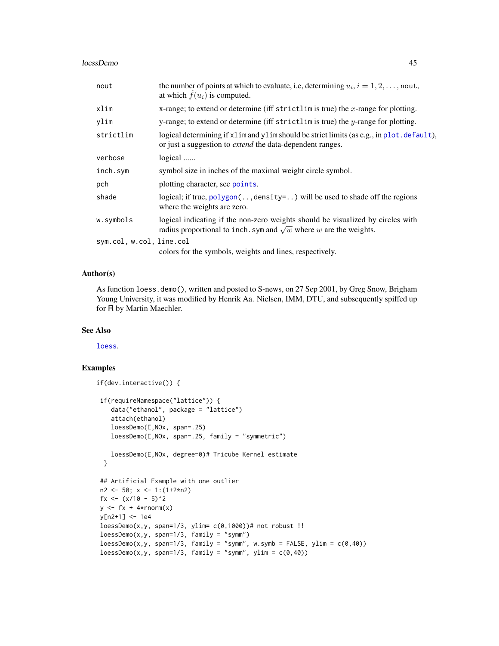#### loessDemo 45

| nout                     | the number of points at which to evaluate, i.e, determining $u_i$ , $i = 1, 2, \dots$ , nout,<br>at which $\hat{f}(u_i)$ is computed.                                |
|--------------------------|----------------------------------------------------------------------------------------------------------------------------------------------------------------------|
| xlim                     | x-range; to extend or determine (iff strictlim is true) the x-range for plotting.                                                                                    |
| ylim                     | y-range; to extend or determine (iff strictlim is true) the $y$ -range for plotting.                                                                                 |
| strictlim                | logical determining if x l im and y l im should be strict limits (as e.g., in p l ot . default),<br>or just a suggestion to <i>extend</i> the data-dependent ranges. |
| verbose                  | logical                                                                                                                                                              |
| inch.sym                 | symbol size in inches of the maximal weight circle symbol.                                                                                                           |
| pch                      | plotting character, see points.                                                                                                                                      |
| shade                    | logical; if true, $polygon($ , density=) will be used to shade off the regions<br>where the weights are zero.                                                        |
| w.symbols                | logical indicating if the non-zero weights should be visualized by circles with<br>radius proportional to inch. sym and $\sqrt{w}$ where w are the weights.          |
| sym.col, w.col, line.col |                                                                                                                                                                      |
|                          | colors for the symbols, weights and lines, respectively.                                                                                                             |

# Author(s)

As function loess.demo(), written and posted to S-news, on 27 Sep 2001, by Greg Snow, Brigham Young University, it was modified by Henrik Aa. Nielsen, IMM, DTU, and subsequently spiffed up for R by Martin Maechler.

### See Also

[loess](#page-0-0).

```
if(dev.interactive()) {
if(requireNamespace("lattice")) {
   data("ethanol", package = "lattice")
   attach(ethanol)
   loessDemo(E,NOx, span=.25)
   loessDemo(E,NOx, span=.25, family = "symmetric")
   loessDemo(E,NOx, degree=0)# Tricube Kernel estimate
 }
## Artificial Example with one outlier
n2 <- 50; x <- 1:(1+2*n2)
fx <- (x/10 - 5)^2y \leq f x + 4*rnorm(x)y[n2+1] <- 1e4
loesDemo(x,y, span=1/3, ylim= c(0,1000))# not robust !!
loesDemo(x, y, span=1/3, family = "symm")loesDemo(x,y, span=1/3, family = "symm", w.symb = FALSE, ylim = c(0,40))loesDemo(x, y, span=1/3, family = "symm", ylim = c(0, 40))
```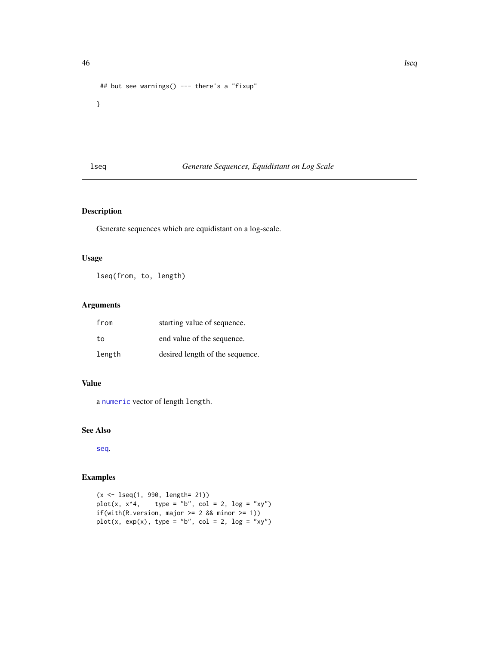```
## but see warnings() --- there's a "fixup"
}
```
# lseq *Generate Sequences, Equidistant on Log Scale*

# Description

Generate sequences which are equidistant on a log-scale.

## Usage

lseq(from, to, length)

# Arguments

| from   | starting value of sequence.     |
|--------|---------------------------------|
| tο     | end value of the sequence.      |
| length | desired length of the sequence. |

## Value

a [numeric](#page-0-0) vector of length length.

## See Also

[seq](#page-0-0).

```
(x <- lseq(1, 990, length= 21))
plot(x, x^4, type = "b", col = 2, log = "xy")
if(with(R.version, major >= 2 & % minor >= 1))plot(x, exp(x), type = "b", col = 2, log = "xy")
```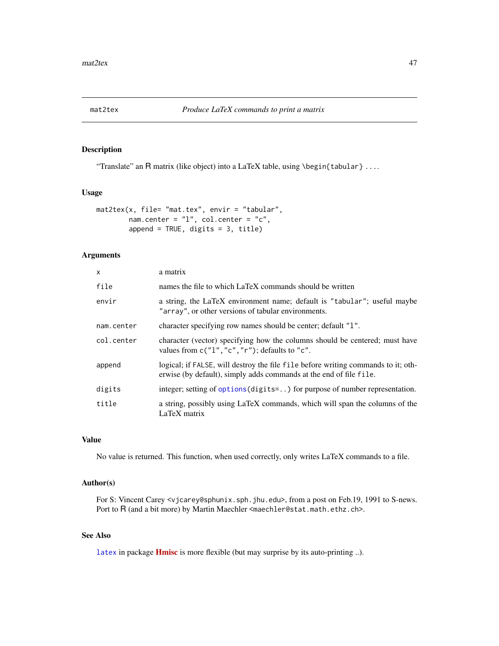## Description

"Translate" an R matrix (like object) into a LaTeX table, using \begin{tabular} ....

## Usage

```
mat2tex(x, file= "mat.tex", envir = "tabular",
        nam.center = "l", col.center = "c",
        append = TRUE, digits = 3, title)
```
# Arguments

| X          | a matrix                                                                                                                                                |
|------------|---------------------------------------------------------------------------------------------------------------------------------------------------------|
| file       | names the file to which LaTeX commands should be written                                                                                                |
| envir      | a string, the LaTeX environment name; default is "tabular"; useful maybe<br>"array", or other versions of tabular environments.                         |
| nam.center | character specifying row names should be center; default "1".                                                                                           |
| col.center | character (vector) specifying how the columns should be centered; must have<br>values from $c("1", "c", "r")$ ; defaults to "c".                        |
| append     | logical; if FALSE, will destroy the file file before writing commands to it; oth-<br>erwise (by default), simply adds commands at the end of file file. |
| digits     | integer; setting of options (digits=) for purpose of number representation.                                                                             |
| title      | a string, possibly using LaTeX commands, which will span the columns of the<br>LaTeX matrix                                                             |

## Value

No value is returned. This function, when used correctly, only writes LaTeX commands to a file.

## Author(s)

For S: Vincent Carey <vjcarey@sphunix.sph.jhu.edu>, from a post on Feb.19, 1991 to S-news. Port to R (and a bit more) by Martin Maechler <maechler@stat.math.ethz.ch>.

## See Also

[latex](#page-0-0) in package [Hmisc](https://CRAN.R-project.org/package=Hmisc) is more flexible (but may surprise by its auto-printing ..).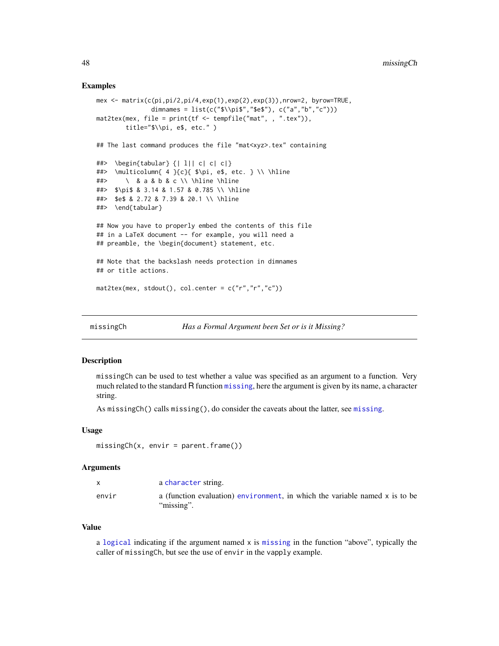### Examples

```
mex <- matrix(c(pi,pi/2,pi/4,exp(1),exp(2),exp(3)),nrow=2, byrow=TRUE,
               dimnames = list(c("$$\pi", "se",', c("a", "b", "c"))mat2tex(mex, file = print(tf <= tempfile("mat", , ".tex")),
        title="$\\pi, e$, etc." )
## The last command produces the file "mat<xyz>.tex" containing
##> \begin{tabular} {| l|| c| c| c|}
##> \multicolumn{ 4 }{c}{ $\pi, e$, etc. } \\ \hline
##> \ & a & b & c \\ \hline \hline
##> $\pi$ & 3.14 & 1.57 & 0.785 \\ \hline
##> $e$ & 2.72 & 7.39 & 20.1 \\ \hline
##> \end{tabular}
## Now you have to properly embed the contents of this file
## in a LaTeX document -- for example, you will need a
## preamble, the \begin{document} statement, etc.
## Note that the backslash needs protection in dimnames
## or title actions.
mat2tex(mex, stdout(), col.center = c("r", "r", "c"))
```
missingCh *Has a Formal Argument been Set or is it Missing?*

|  | Has a Formal Argument been Set or is it Missing? |  |  |  |
|--|--------------------------------------------------|--|--|--|
|  |                                                  |  |  |  |

#### Description

missingCh can be used to test whether a value was specified as an argument to a function. Very much related to the standard R function [missing](#page-0-0), here the argument is given by its name, a character string.

As missingCh() calls missing(), do consider the caveats about the latter, see [missing](#page-0-0).

### Usage

```
missingCh(x, envir = parent.frame())
```
#### Arguments

|       | a character string.                                                                       |
|-------|-------------------------------------------------------------------------------------------|
| envir | a (function evaluation) environment, in which the variable named x is to be<br>"missing". |

#### Value

a [logical](#page-0-0) indicating if the argument named x is [missing](#page-0-0) in the function "above", typically the caller of missingCh, but see the use of envir in the vapply example.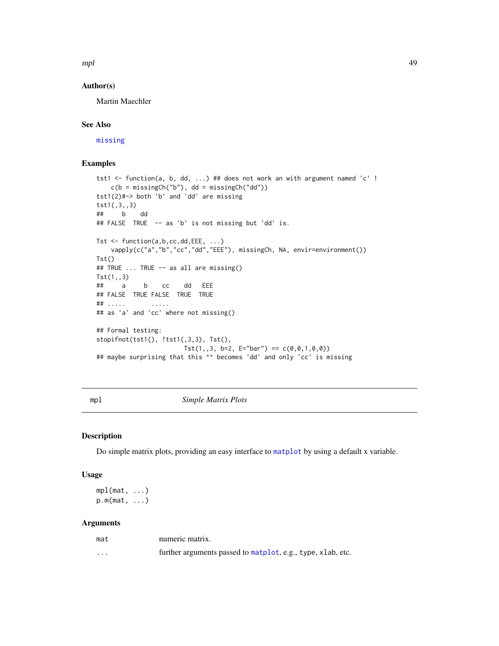$mpl$  and the contract of the contract of the contract of the contract of the contract of the contract of the contract of the contract of the contract of the contract of the contract of the contract of the contract of the

### Author(s)

Martin Maechler

### See Also

[missing](#page-0-0)

## Examples

```
tst1 <- function(a, b, dd, ...) ## does not work an with argument named 'c' !
   c(b = missingCh("b"), dd = missingCh("dd"))
tst1(2)#-> both 'b' and 'dd' are missing
tst1(,3,,3)
## b dd
## FALSE TRUE -- as 'b' is not missing but 'dd' is.
Tst \leq function(a,b,cc,dd,EEE, ...)
   vapply(c("a","b","cc","dd","EEE"), missingCh, NA, envir=environment())
Tst()
## TRUE ... TRUE -- as all are missing()
Tst(1,,3)
## a b cc dd EEE
## FALSE TRUE FALSE TRUE TRUE
## ..... .....
## as 'a' and 'cc' where not missing()
## Formal testing:
stopifnot(tst1(), !tst1(,3,3), Tst(),
                       Tst(1, 3, b=2, E="bar") == c(0, 0, 1, 0, 0))## maybe surprising that this ^^ becomes 'dd' and only 'cc' is missing
```
## mpl *Simple Matrix Plots*

## Description

Do simple matrix plots, providing an easy interface to [matplot](#page-0-0) by using a default x variable.

### Usage

mpl(mat, ...) p.m(mat, ...)

### Arguments

| mat | numeric matrix.                                             |
|-----|-------------------------------------------------------------|
| .   | further arguments passed to matplot, e.g., type, xlab, etc. |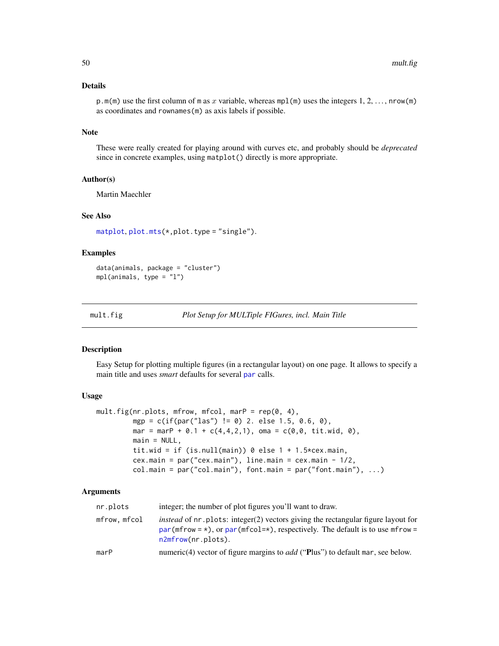## Details

p.m(m) use the first column of m as x variable, whereas mpl(m) uses the integers 1, 2, ..., nrow(m) as coordinates and rownames(m) as axis labels if possible.

#### Note

These were really created for playing around with curves etc, and probably should be *deprecated* since in concrete examples, using matplot() directly is more appropriate.

## Author(s)

Martin Maechler

## See Also

[matplot](#page-0-0), [plot.mts\(](#page-0-0)\*,plot.type = "single").

### Examples

```
data(animals, package = "cluster")
mpl(animals, type = "l")
```
<span id="page-49-0"></span>mult.fig *Plot Setup for MULTiple FIGures, incl. Main Title*

### Description

Easy Setup for plotting multiple figures (in a rectangular layout) on one page. It allows to specify a main title and uses *smart* defaults for several [par](#page-0-0) calls.

### Usage

```
mult.fig(nr.plots, mfrow, mfcol, marP = rep(0, 4),
         mgp = c(if(par("las") != 0) 2. else 1.5, 0.6, 0),
         mar = marP + 0.1 + c(4,4,2,1), oma = c(0,0, \text{ tit.wid}, 0),
         main = NULL,
         tit.wid = if (is.null(main)) 0 else 1 + 1.5*cex.main,
         cex.main = par("cex.main"), line.main = cex.main - 1/2,
         col.main = par("col.main"), font.main = par("font.main"), ...)
```
### Arguments

| nr.plots     | integer; the number of plot figures you'll want to draw.                                                                                                                                                         |
|--------------|------------------------------------------------------------------------------------------------------------------------------------------------------------------------------------------------------------------|
| mfrow, mfcol | <i>instead</i> of $nr$ , plots: integer(2) vectors giving the rectangular figure layout for<br>par(mfrow = $\star$ ), or par(mfcol= $\star$ ), respectively. The default is to use mfrow =<br>n2mfrow(nr.plots). |
| marP         | numeric(4) vector of figure margins to <i>add</i> ("Plus") to default mar, see below.                                                                                                                            |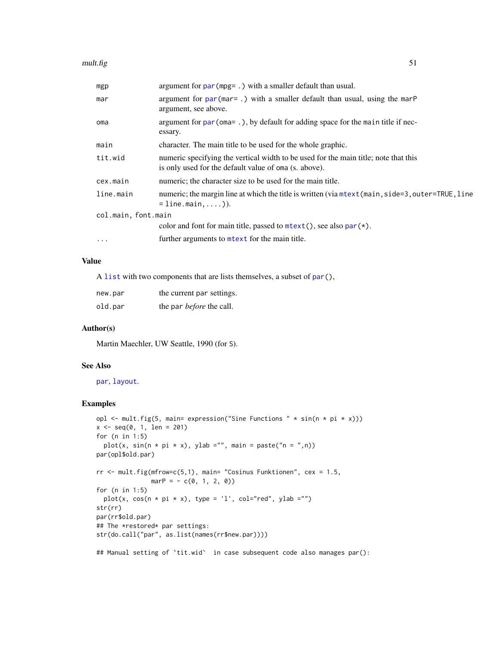| mgp                 | argument for $par(mpg=.)$ with a smaller default than usual.                                                                                 |  |
|---------------------|----------------------------------------------------------------------------------------------------------------------------------------------|--|
| mar                 | argument for $par(max = .)$ with a smaller default than usual, using the marp<br>argument, see above.                                        |  |
| oma                 | argument for $par(\text{oma} = .)$ , by default for adding space for the main title if nec-<br>essary.                                       |  |
| main                | character. The main title to be used for the whole graphic.                                                                                  |  |
| tit.wid             | numeric specifying the vertical width to be used for the main title; note that this<br>is only used for the default value of oma (s. above). |  |
| cex.main            | numeric; the character size to be used for the main title.                                                                                   |  |
| line.main           | numeric; the margin line at which the title is written (via mtext (main, side=3, outer=TRUE, line<br>$=$ line.main, )).                      |  |
| col.main, font.main |                                                                                                                                              |  |
|                     | color and font for main title, passed to $mtext{text}($ , see also $par(*)$ .                                                                |  |
| $\ddots$ .          | further arguments to metext for the main title.                                                                                              |  |

## Value

A [list](#page-0-0) with two components that are lists themselves, a subset of [par\(](#page-0-0)),

| new.par | the current par settings.       |
|---------|---------------------------------|
| old.par | the par <i>before</i> the call. |

## Author(s)

Martin Maechler, UW Seattle, 1990 (for S).

### See Also

[par](#page-0-0), [layout](#page-0-0).

```
opl <- mult.fig(5, main= expression("Sine Functions " * sin(n * pi * x)))
x \leq -\text{seq}(0, 1, \text{ len} = 201)for (n in 1:5)
  plot(x, sin(n * pi * x), ylab ="", main = paste("n = ",n))
par(opl$old.par)
rr <- mult.fig(mfrow=c(5,1), main= "Cosinus Funktionen", cex = 1.5,
               marP = -c(0, 1, 2, 0)for (n in 1:5)
  plot(x, cos(n * pi * x), type = 'l', col="red", ylab ="")
str(rr)
par(rr$old.par)
## The *restored* par settings:
str(do.call("par", as.list(names(rr$new.par))))
## Manual setting of `tit.wid` in case subsequent code also manages par():
```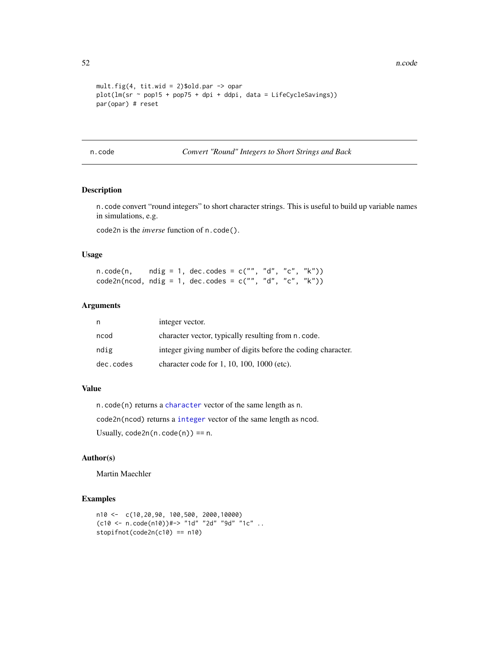```
mult.fig(4, tit.wid = 2)$old.par -> opar
plot(lm(sr ~ pop15 + pop75 + dpi + ddpi, data = LifeCycleSavings))
par(opar) # reset
```
n.code *Convert "Round" Integers to Short Strings and Back*

## Description

n.code convert "round integers" to short character strings. This is useful to build up variable names in simulations, e.g.

code2n is the *inverse* function of n.code().

## Usage

| n.code(n,                                                  | ndig = 1, dec.codes = c("", "d", "c", "k")) |  |  |  |
|------------------------------------------------------------|---------------------------------------------|--|--|--|
| $code2n(ncod, ndig = 1, dec.close = c("", "d", "c", "k"))$ |                                             |  |  |  |

# Arguments

| n         | integer vector.                                              |
|-----------|--------------------------------------------------------------|
| ncod      | character vector, typically resulting from n. code.          |
| ndig      | integer giving number of digits before the coding character. |
| dec.codes | character code for $1, 10, 100, 1000$ (etc).                 |

## Value

n.code(n) returns a [character](#page-0-0) vector of the same length as n. code2n(ncod) returns a [integer](#page-0-0) vector of the same length as ncod. Usually,  $code2n(n.code(n)) == n$ .

## Author(s)

Martin Maechler

```
n10 <- c(10,20,90, 100,500, 2000,10000)
(c10 <- n.code(n10))#-> "1d" "2d" "9d" "1c" ..
stopifnot(code2n(c10) == n10)
```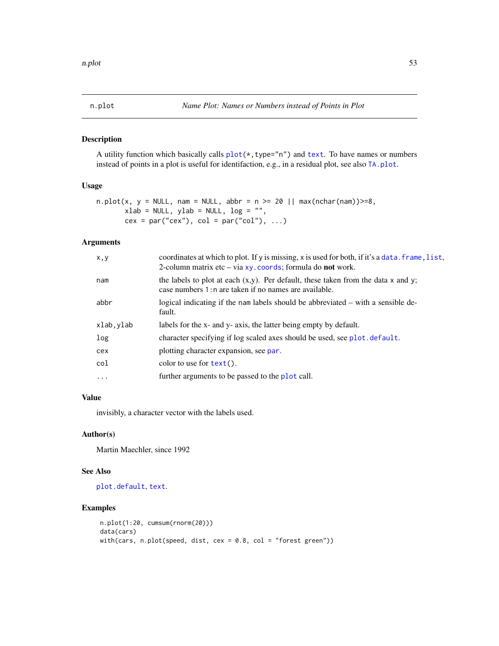## Description

A utility function which basically calls  $plot(*,type="n")$  $plot(*,type="n")$  and [text](#page-0-0). To have names or numbers instead of points in a plot is useful for identifaction, e.g., in a residual plot, see also [TA.plot](#page-107-0).

### Usage

```
n.plot(x, y = NULL, nam = NULL, abbr = n >= 20 || max(nchar(nam)) >= 8,xlab = NULL, ylab = NULL, log = "",cex = par("cex"), col = par("col"), ...)
```
## Arguments

| x, y      | coordinates at which to plot. If y is missing, x is used for both, if it's a data. frame, list,<br>2-column matrix etc – via $xy$ . coords; formula do <b>not</b> work. |
|-----------|-------------------------------------------------------------------------------------------------------------------------------------------------------------------------|
| nam       | the labels to plot at each $(x,y)$ . Per default, these taken from the data x and y;<br>case numbers 1: n are taken if no names are available.                          |
| abbr      | logical indicating if the nam labels should be abbreviated – with a sensible de-<br>fault.                                                                              |
| xlab.ylab | labels for the x- and y- axis, the latter being empty by default.                                                                                                       |
| log       | character specifying if log scaled axes should be used, see plot. default.                                                                                              |
| cex       | plotting character expansion, see par.                                                                                                                                  |
| col       | color to use for $text()$ .                                                                                                                                             |
|           |                                                                                                                                                                         |

### Value

invisibly, a character vector with the labels used.

### Author(s)

Martin Maechler, since 1992

## See Also

[plot.default](#page-0-0), [text](#page-0-0).

```
n.plot(1:20, cumsum(rnorm(20)))
data(cars)
with(cars, n.plot(speed, dist, cex = 0.8, col = "forest green"))
```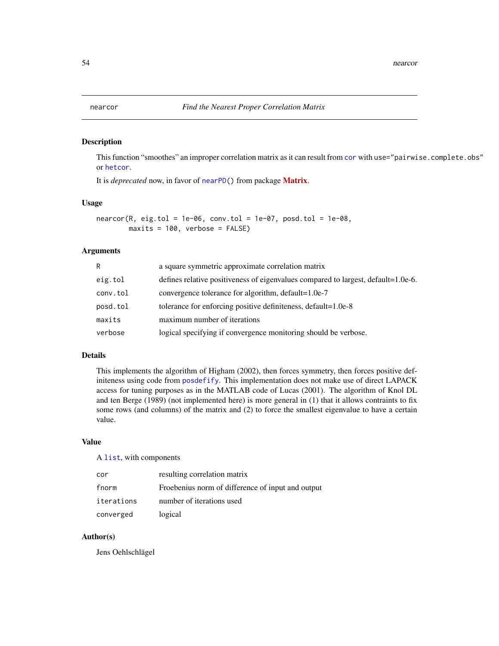#### Description

This function "smoothes" an improper correlation matrix as it can result from [cor](#page-0-0) with use="pairwise.complete.obs" or [hetcor](#page-0-0).

It is *deprecated* now, in favor of [nearPD\(](#page-0-0)) from package [Matrix](https://CRAN.R-project.org/package=Matrix).

#### Usage

 $nearcor(R, eig.tol = 1e-06, conv.tol = 1e-07, posd.tol = 1e-08,$ maxits = 100, verbose = FALSE)

# Arguments

| R        | a square symmetric approximate correlation matrix                                 |
|----------|-----------------------------------------------------------------------------------|
| eig.tol  | defines relative positiveness of eigenvalues compared to largest, default=1.0e-6. |
| conv.tol | convergence tolerance for algorithm, default=1.0e-7                               |
| posd.tol | tolerance for enforcing positive definiteness, default=1.0e-8                     |
| maxits   | maximum number of iterations                                                      |
| verbose  | logical specifying if convergence monitoring should be verbose.                   |

#### Details

This implements the algorithm of Higham (2002), then forces symmetry, then forces positive definiteness using code from [posdefify](#page-74-0). This implementation does not make use of direct LAPACK access for tuning purposes as in the MATLAB code of Lucas (2001). The algorithm of Knol DL and ten Berge (1989) (not implemented here) is more general in (1) that it allows contraints to fix some rows (and columns) of the matrix and (2) to force the smallest eigenvalue to have a certain value.

## Value

A [list](#page-0-0), with components

| cor        | resulting correlation matrix                      |
|------------|---------------------------------------------------|
| fnorm      | Froebenius norm of difference of input and output |
| iterations | number of iterations used                         |
| converged  | logical                                           |

### Author(s)

Jens Oehlschlägel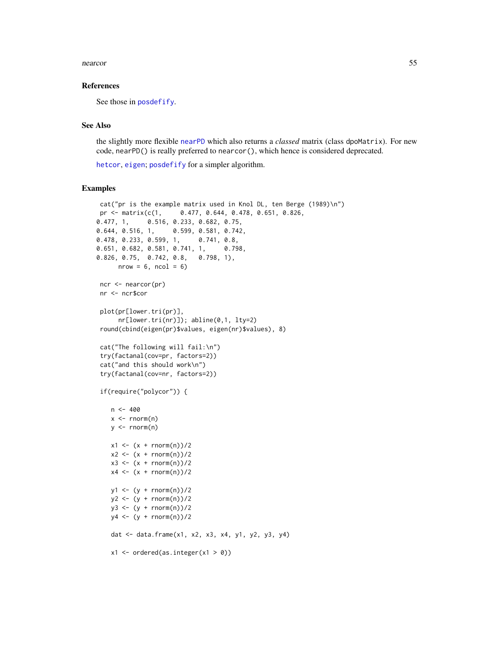#### nearcor 55

### References

See those in [posdefify](#page-74-0).

## See Also

the slightly more flexible [nearPD](#page-0-0) which also returns a *classed* matrix (class dpoMatrix). For new code, nearPD() is really preferred to nearcor(), which hence is considered deprecated.

[hetcor](#page-0-0), [eigen](#page-0-0); [posdefify](#page-74-0) for a simpler algorithm.

```
cat("pr is the example matrix used in Knol DL, ten Berge (1989)\n")
pr <- matrix(c(1, 0.477, 0.644, 0.478, 0.651, 0.826,
0.477, 1, 0.516, 0.233, 0.682, 0.75,
0.644, 0.516, 1, 0.599, 0.581, 0.742,
0.478, 0.233, 0.599, 1, 0.741, 0.8,
0.651, 0.682, 0.581, 0.741, 1, 0.798,
0.826, 0.75, 0.742, 0.8, 0.798, 1),
      nrow = 6, ncol = 6ncr <- nearcor(pr)
nr <- ncr$cor
 plot(pr[lower.tri(pr)],
      nr[lower.tri(nr)]); abline(0,1, lty=2)
 round(cbind(eigen(pr)$values, eigen(nr)$values), 8)
cat("The following will fail:\n")
try(factanal(cov=pr, factors=2))
cat("and this should work\n")
 try(factanal(cov=nr, factors=2))
 if(require("polycor")) {
   n < -400x < - rnorm(n)
   y \le - rnorm(n)x1 \le - (x + \text{norm}(n))/2x2 \le - (x + \text{norm}(n))/2x3 \leq x + \text{norm}(n)/2x4 \leq (x + \text{norm}(n))/2y1 \leftarrow (y + \text{rnorm}(n))/2y2 \le - (y + \text{norm}(n))/2y3 \le (y + \text{norm}(n))/2y4 \leq (y + \text{norm}(n))/2dat <- data.frame(x1, x2, x3, x4, y1, y2, y3, y4)
    x1 \leftarrow \text{ordered}(as.\text{integer}(x1 > 0))
```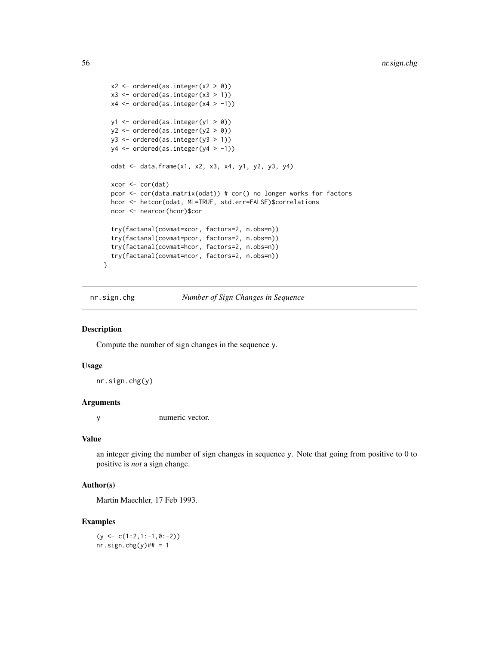```
x2 \le - ordered(as.integer(x2 > 0))
  x3 \le ordered(as.integer(x3 > 1))
 x4 \leftarrow ordered(as.integer(x4 > -1))
 y1 <- ordered(as.integer(y1 > 0))
 y2 <- ordered(as.integer(y2 > 0))
 y3 <- ordered(as.integer(y3 > 1))
 y4 <- ordered(as.integer(y4 > -1))
  odat <- data.frame(x1, x2, x3, x4, y1, y2, y3, y4)
  xcor <- cor(dat)
  pcor <- cor(data.matrix(odat)) # cor() no longer works for factors
 hcor <- hetcor(odat, ML=TRUE, std.err=FALSE)$correlations
  ncor <- nearcor(hcor)$cor
  try(factanal(covmat=xcor, factors=2, n.obs=n))
  try(factanal(covmat=pcor, factors=2, n.obs=n))
  try(factanal(covmat=hcor, factors=2, n.obs=n))
  try(factanal(covmat=ncor, factors=2, n.obs=n))
}
```
nr.sign.chg *Number of Sign Changes in Sequence*

#### Description

Compute the number of sign changes in the sequence y.

#### Usage

nr.sign.chg(y)

#### Arguments

y numeric vector.

#### Value

an integer giving the number of sign changes in sequence y. Note that going from positive to 0 to positive is *not* a sign change.

## Author(s)

Martin Maechler, 17 Feb 1993.

## Examples

 $(y \leq c(1:2,1:-1,0:-2))$ nr.sign.chg $(y)$ ## = 1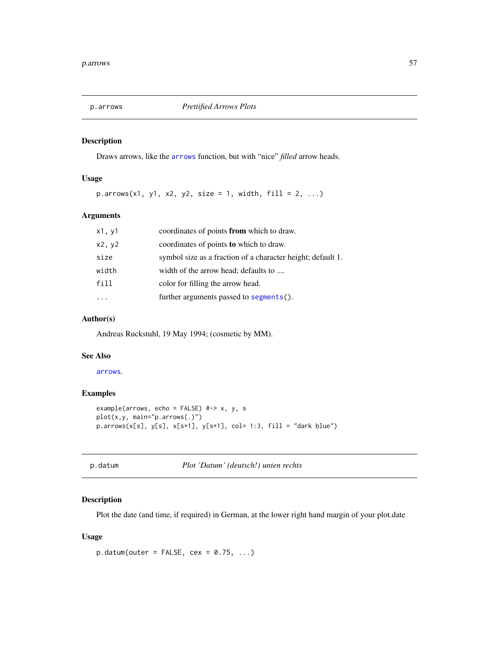## Description

Draws arrows, like the [arrows](#page-0-0) function, but with "nice" *filled* arrow heads.

### Usage

 $p.array(x1, y1, x2, y2, size = 1, width, fill = 2, ...)$ 

## Arguments

| x1, y1 | coordinates of points from which to draw.                   |
|--------|-------------------------------------------------------------|
| x2, y2 | coordinates of points to which to draw.                     |
| size   | symbol size as a fraction of a character height; default 1. |
| width  | width of the arrow head; defaults to                        |
| fill   | color for filling the arrow head.                           |
|        | further arguments passed to segments().                     |

## Author(s)

Andreas Ruckstuhl, 19 May 1994; (cosmetic by MM).

### See Also

[arrows](#page-0-0).

# Examples

```
example(arrows, echo = FALSE) #-> x, y, s
plot(x,y, main="p.arrows(.)")
p.array(x[s], y[s], x[s+1], y[s+1], col= 1:3, fill = "dark blue")
```
p.datum *Plot 'Datum' (deutsch!) unten rechts*

## Description

Plot the date (and time, if required) in German, at the lower right hand margin of your plot.date

## Usage

```
p.datum(out = FALSE, cex = 0.75, ...)
```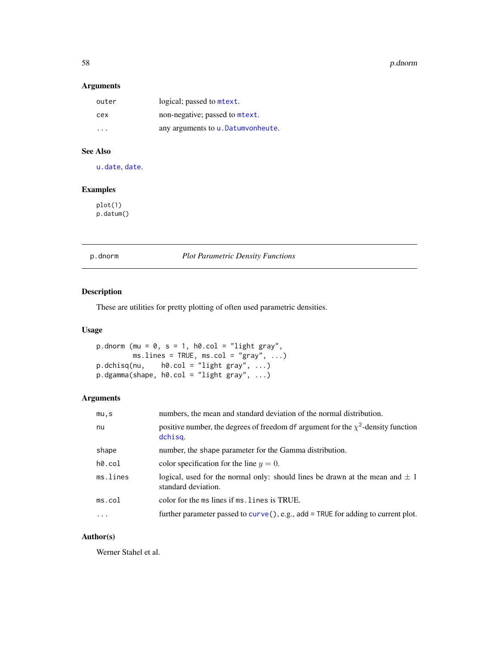58 p.dnorm

### Arguments

| outer | logical; passed to mtext.             |
|-------|---------------------------------------|
| cex   | non-negative; passed to mtext.        |
| .     | any arguments to $u$ . Datumvonheute. |

# See Also

[u.date](#page-114-0), [date](#page-0-0).

## Examples

plot(1) p.datum()

p.dnorm *Plot Parametric Density Functions*

# Description

These are utilities for pretty plotting of often used parametric densities.

## Usage

```
p.dnorm (mu = 0, s = 1, h0.col = "light gray",
        msu = TRUE, ms,col = "gray", ...p.dchisq(nu, h0.col = "light gray", ...)
p.dgamma(shape, h0.col = "light gray", ...)
```
## Arguments

| mu, s     | numbers, the mean and standard deviation of the normal distribution.                                    |
|-----------|---------------------------------------------------------------------------------------------------------|
| nu        | positive number, the degrees of freedom df argument for the $\chi^2$ -density function<br>dchisg.       |
| shape     | number, the shape parameter for the Gamma distribution.                                                 |
| $h0.$ col | color specification for the line $y = 0$ .                                                              |
| ms.lines  | logical, used for the normal only: should lines be drawn at the mean and $\pm 1$<br>standard deviation. |
| ms.co1    | color for the ms lines if ms. lines is TRUE.                                                            |
| $\cdots$  | further parameter passed to $curve($ ), e.g., add = TRUE for adding to current plot.                    |

# Author(s)

Werner Stahel et al.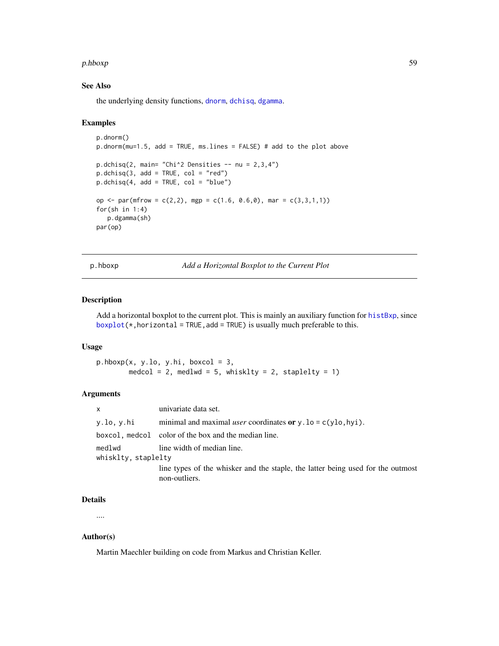#### p.hboxp 59

## See Also

the underlying density functions, [dnorm](#page-0-0), [dchisq](#page-0-0), [dgamma](#page-0-0).

#### Examples

```
p.dnorm()
p.dnorm(mu=1.5, add = TRUE, ms.lines = FALSE) # add to the plot above
p.dchisq(2, main="Chi^2 Densities -- nu = 2,3,4")p.dchisq(3, add = TRUE, col = "red")p.dchisq(4, add = TRUE, col = "blue")op \le par(mfrow = c(2,2), mgp = c(1.6, 0.6,0), mar = c(3,3,1,1))
for(sh in 1:4)
  p.dgamma(sh)
par(op)
```
p.hboxp *Add a Horizontal Boxplot to the Current Plot*

## Description

Add a horizontal boxplot to the current plot. This is mainly an auxiliary function for [histBxp](#page-34-0), since  $boxplot(*,horizontal = TRUE, add = TRUE)$  $boxplot(*,horizontal = TRUE, add = TRUE)$  is usually much preferable to this.

### Usage

 $p.hboxp(x, y.lo, y.hi, boxcol = 3,$ medcol = 2, medlwd = 5, whisklty = 2, staplelty = 1)

### Arguments

| $\mathsf{x}$                  | univariate data set.                                                                             |
|-------------------------------|--------------------------------------------------------------------------------------------------|
| y.lo, y.hi                    | minimal and maximal <i>user</i> coordinates or $y \cdot 10 = c(y \cdot 10, hyi)$ .               |
|                               | boxcol, medcol color of the box and the median line.                                             |
| medlwd<br>whisklty, staplelty | line width of median line.                                                                       |
|                               | line types of the whisker and the staple, the latter being used for the outmost<br>non-outliers. |

#### Details

....

### Author(s)

Martin Maechler building on code from Markus and Christian Keller.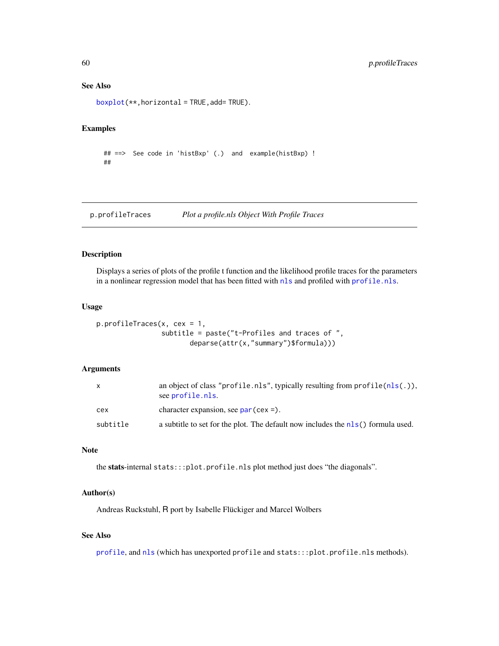### See Also

[boxplot\(](#page-0-0)\*\*,horizontal = TRUE,add= TRUE).

## Examples

```
## ==> See code in 'histBxp' (.) and example(histBxp) !
##
```
p.profileTraces *Plot a profile.nls Object With Profile Traces*

### Description

Displays a series of plots of the profile t function and the likelihood profile traces for the parameters in a nonlinear regression model that has been fitted with [nls](#page-0-0) and profiled with [profile.nls](#page-0-0).

#### Usage

```
p.profileTraces(x, cex = 1,
                subtitle = paste("t-Profiles and traces of ",
                       deparse(attr(x,"summary")$formula)))
```
## Arguments

| $\mathsf{x}$ | an object of class "profile.nls", typically resulting from $\text{profile}(nls(.)),$<br>see profile.nls. |
|--------------|----------------------------------------------------------------------------------------------------------|
| cex          | character expansion, see $par(cex =)$ .                                                                  |
| subtitle     | a subtitle to set for the plot. The default now includes the nls() formula used.                         |

### **Note**

the stats-internal stats:::plot.profile.nls plot method just does "the diagonals".

#### Author(s)

Andreas Ruckstuhl, R port by Isabelle Flückiger and Marcel Wolbers

## See Also

[profile](#page-0-0), and [nls](#page-0-0) (which has unexported profile and stats:::plot.profile.nls methods).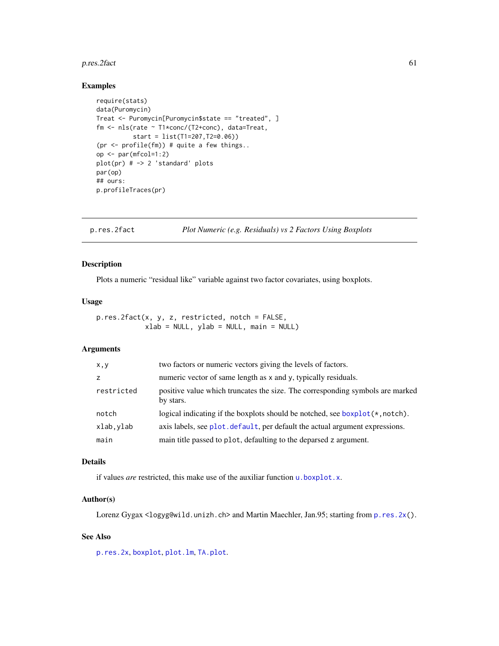## p.res.2fact 61

### Examples

```
require(stats)
data(Puromycin)
Treat <- Puromycin[Puromycin$state == "treated", ]
fm <- nls(rate ~ T1*conc/(T2+conc), data=Treat,
          start = list(T1=207,T2=0.06))
(pr \leq profile(fm)) # quite a few things..
op <- par(mfcol=1:2)
plot(pr) # -> 2 'standard' plots
par(op)
## ours:
p.profileTraces(pr)
```
<span id="page-60-0"></span>p.res.2fact *Plot Numeric (e.g. Residuals) vs 2 Factors Using Boxplots*

## Description

Plots a numeric "residual like" variable against two factor covariates, using boxplots.

### Usage

p.res.2fact(x, y, z, restricted, notch = FALSE, xlab = NULL, ylab = NULL, main = NULL)

## Arguments

| x,y        | two factors or numeric vectors giving the levels of factors.                               |
|------------|--------------------------------------------------------------------------------------------|
| z          | numeric vector of same length as x and y, typically residuals.                             |
| restricted | positive value which truncates the size. The corresponding symbols are marked<br>by stars. |
| notch      | logical indicating if the boxplots should be notched, see $boxplot(*,notch)$ .             |
| xlab, ylab | axis labels, see plot, default, per default the actual argument expressions.               |
| main       | main title passed to plot, defaulting to the deparsed z argument.                          |

## Details

if values *are* restricted, this make use of the auxiliar function [u.boxplot.x](#page-113-0).

### Author(s)

Lorenz Gygax <logyg@wild.unizh.ch> and Martin Maechler, Jan.95; starting from [p.res.2x\(](#page-61-0)).

# See Also

[p.res.2x](#page-61-0), [boxplot](#page-0-0), [plot.lm](#page-0-0), [TA.plot](#page-107-0).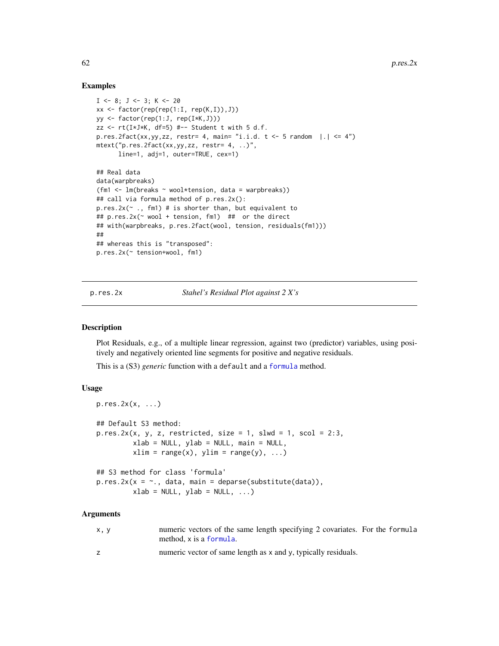### Examples

```
I \leftarrow 8; J \leftarrow 3; K \leftarrow 20xx \leftarrow factor(rep(rep(1:I, rep(K,I)),J))yy <- factor(rep(1:J, rep(I*K,J)))
zz <- rt(I*J*K, df=5) #-- Student t with 5 d.f.
p.res.2fact(xx,yy,zz, restr= 4, main= "i.i.d. t < -5 random |.| \leq 4")
mtext("p.res.2fact(xx,yy,zz, restr= 4, ..)",
      line=1, adj=1, outer=TRUE, cex=1)
## Real data
data(warpbreaks)
(fm1 <- lm(breaks ~ wool*tension, data = warpbreaks))
## call via formula method of p.res.2x():
p.res.2x(~ ., fm1) # is shorter than, but equivalent to
## p.res.2x(~ wool + tension, fm1) ## or the direct
## with(warpbreaks, p.res.2fact(wool, tension, residuals(fm1)))
##
## whereas this is "transposed":
p.res.2x(~ tension+wool, fm1)
```
<span id="page-61-0"></span>p.res.2x *Stahel's Residual Plot against 2 X's*

## **Description**

Plot Residuals, e.g., of a multiple linear regression, against two (predictor) variables, using positively and negatively oriented line segments for positive and negative residuals.

This is a (S3) *generic* function with a default and a [formula](#page-0-0) method.

### Usage

```
pres.2x(x, ...)## Default S3 method:
p,res.2x(x, y, z, restricted, size = 1, slwd = 1, scol = 2:3,xlab = NULL, ylab = NULL, main = NULL,
        xlim = range(x), ylim = range(y), ...## S3 method for class 'formula'
p,res.2x(x = ~., data, main = deparse(substitute(data)),xlab = NULL, ylab = NULL, ...)
```
#### Arguments

| x, y | numeric vectors of the same length specifying 2 covariates. For the formula<br>method, x is a formula. |  |
|------|--------------------------------------------------------------------------------------------------------|--|
|      | numeric vector of same length as x and y, typically residuals.                                         |  |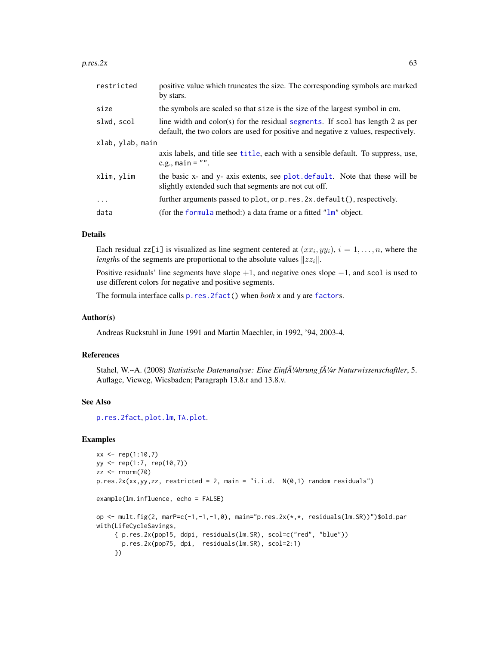#### $pres.2x$  63

| restricted       | positive value which truncates the size. The corresponding symbols are marked<br>by stars.                                                                           |
|------------------|----------------------------------------------------------------------------------------------------------------------------------------------------------------------|
| size             | the symbols are scaled so that size is the size of the largest symbol in cm.                                                                                         |
| slwd, scol       | line width and color(s) for the residual segments. If scol has length 2 as per<br>default, the two colors are used for positive and negative z values, respectively. |
| xlab, ylab, main |                                                                                                                                                                      |
|                  | axis labels, and title see title, each with a sensible default. To suppress, use,<br>e.g., main = $"$ .                                                              |
| xlim, ylim       | the basic x- and y- axis extents, see plot. default. Note that these will be<br>slightly extended such that segments are not cut off.                                |
| $\cdots$         | further arguments passed to plot, or p.res. 2x. default(), respectively.                                                                                             |
| data             | (for the formula method:) a data frame or a fitted " $\text{lm}$ " object.                                                                                           |

## Details

Each residual zz[i] is visualized as line segment centered at  $(xx_i, yy_i)$ ,  $i = 1, ..., n$ , where the *lengths* of the segments are proportional to the absolute values  $\|zz_i\|$ .

Positive residuals' line segments have slope  $+1$ , and negative ones slope  $-1$ , and scol is used to use different colors for negative and positive segments.

The formula interface calls [p.res.2fact\(](#page-60-0)) when *both* x and y are [factor](#page-0-0)s.

## Author(s)

Andreas Ruckstuhl in June 1991 and Martin Maechler, in 1992, '94, 2003-4.

### References

Stahel, W.~A. (2008) *Statistische Datenanalyse: Eine Einf* $\bar{A}$ *<sup>1</sup>/<sub>4</sub>hrung f* $\bar{A}$ *<sup>1</sup>/<sub>4</sub>r Naturwissenschaftler, 5.* Auflage, Vieweg, Wiesbaden; Paragraph 13.8.r and 13.8.v.

## See Also

[p.res.2fact](#page-60-0), [plot.lm](#page-0-0), [TA.plot](#page-107-0).

```
xx < - rep(1:10,7)yy <- rep(1:7, rep(10,7))
zz < - rnorm(70)p,res.2x(xx, yy, zz, restricted = 2, main = "i.i.d. N(0,1) random residuals")example(lm.influence, echo = FALSE)
op <- mult.fig(2, marP=c(-1,-1,-1,0), main="p.res.2x(*,*, residuals(lm.SR))")$old.par
with(LifeCycleSavings,
     { p.res.2x(pop15, ddpi, residuals(lm.SR), scol=c("red", "blue"))
       p.res.2x(pop75, dpi, residuals(lm.SR), scol=2:1)
     })
```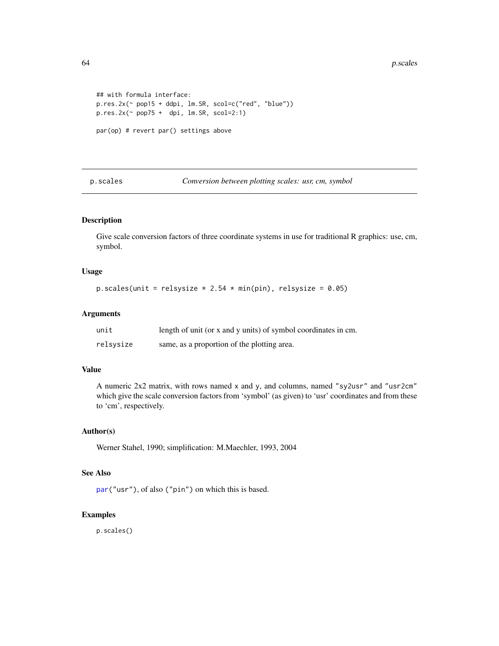```
## with formula interface:
p.res.2x(~ pop15 + ddpi, lm.SR, scol=c("red", "blue"))
p,res.2x<sup>(~</sup> pop75 + dpi, lm.SR, scol=2:1)
par(op) # revert par() settings above
```
p.scales *Conversion between plotting scales: usr, cm, symbol*

# Description

Give scale conversion factors of three coordinate systems in use for traditional R graphics: use, cm, symbol.

### Usage

p.scales(unit = relsysize  $* 2.54 * min(pin)$ , relsysize = 0.05)

## Arguments

| unit      | length of unit (or x and y units) of symbol coordinates in cm. |
|-----------|----------------------------------------------------------------|
| relsysize | same, as a proportion of the plotting area.                    |

#### Value

A numeric 2x2 matrix, with rows named x and y, and columns, named "sy2usr" and "usr2cm" which give the scale conversion factors from 'symbol' (as given) to 'usr' coordinates and from these to 'cm', respectively.

## Author(s)

Werner Stahel, 1990; simplification: M.Maechler, 1993, 2004

## See Also

[par\(](#page-0-0)"usr"), of also ("pin") on which this is based.

### Examples

p.scales()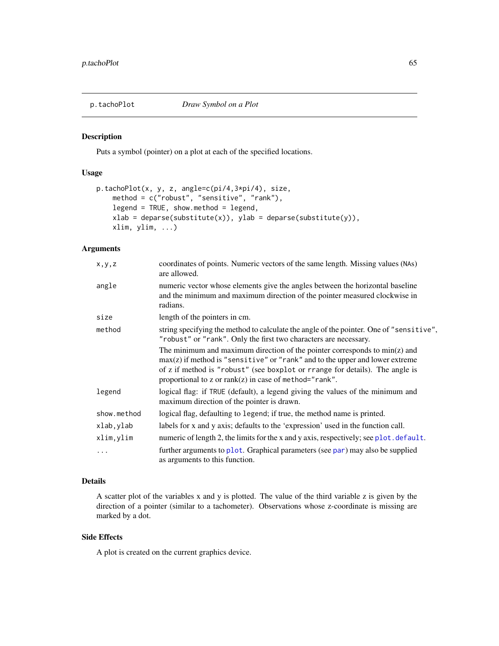#### Description

Puts a symbol (pointer) on a plot at each of the specified locations.

### Usage

```
p.tachoPlot(x, y, z, angle=c(pi/4,3*pi/4), size,
   method = c("robust", "sensitive", "rank"),
   legend = TRUE, show.method = legend,
   xlab = deparse(substitute(x)), ylab = deparse(substitute(y)),
   xlim, ylim, ...)
```
## Arguments

| x, y, z     | coordinates of points. Numeric vectors of the same length. Missing values (NAs)<br>are allowed.                                                                                                                                                                                                            |
|-------------|------------------------------------------------------------------------------------------------------------------------------------------------------------------------------------------------------------------------------------------------------------------------------------------------------------|
| angle       | numeric vector whose elements give the angles between the horizontal baseline<br>and the minimum and maximum direction of the pointer measured clockwise in<br>radians.                                                                                                                                    |
| size        | length of the pointers in cm.                                                                                                                                                                                                                                                                              |
| method      | string specifying the method to calculate the angle of the pointer. One of "sensitive",<br>"robust" or "rank". Only the first two characters are necessary.                                                                                                                                                |
|             | The minimum and maximum direction of the pointer corresponds to $min(z)$ and<br>$max(z)$ if method is "sensitive" or "rank" and to the upper and lower extreme<br>of z if method is "robust" (see boxplot or rrange for details). The angle is<br>proportional to z or $rank(z)$ in case of method="rank". |
| legend      | logical flag: if TRUE (default), a legend giving the values of the minimum and<br>maximum direction of the pointer is drawn.                                                                                                                                                                               |
| show.method | logical flag, defaulting to legend; if true, the method name is printed.                                                                                                                                                                                                                                   |
| xlab,ylab   | labels for x and y axis; defaults to the 'expression' used in the function call.                                                                                                                                                                                                                           |
| xlim, ylim  | numeric of length 2, the limits for the x and y axis, respectively; see plot. default.                                                                                                                                                                                                                     |
| .           | further arguments to plot. Graphical parameters (see par) may also be supplied<br>as arguments to this function.                                                                                                                                                                                           |

## Details

A scatter plot of the variables x and y is plotted. The value of the third variable z is given by the direction of a pointer (similar to a tachometer). Observations whose z-coordinate is missing are marked by a dot.

### Side Effects

A plot is created on the current graphics device.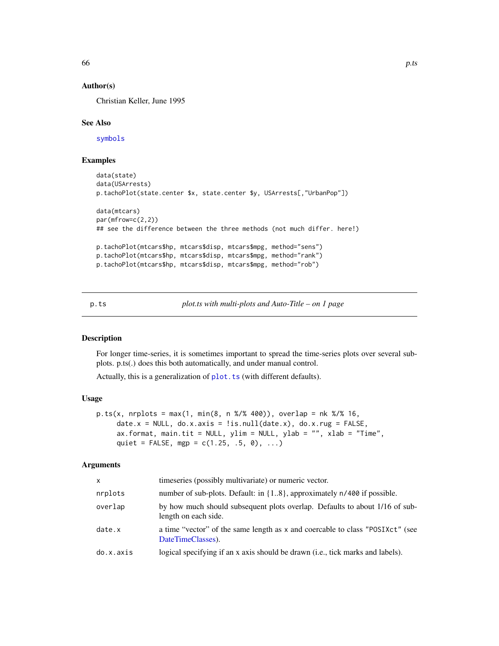### Author(s)

Christian Keller, June 1995

#### See Also

[symbols](#page-0-0)

## Examples

```
data(state)
data(USArrests)
p.tachoPlot(state.center $x, state.center $y, USArrests[,"UrbanPop"])
data(mtcars)
par(mfrow=c(2,2))
## see the difference between the three methods (not much differ. here!)
p.tachoPlot(mtcars$hp, mtcars$disp, mtcars$mpg, method="sens")
p.tachoPlot(mtcars$hp, mtcars$disp, mtcars$mpg, method="rank")
p.tachoPlot(mtcars$hp, mtcars$disp, mtcars$mpg, method="rob")
```
p.ts *plot.ts with multi-plots and Auto-Title – on 1 page*

#### Description

For longer time-series, it is sometimes important to spread the time-series plots over several subplots. p.ts(.) does this both automatically, and under manual control.

Actually, this is a generalization of [plot.ts](#page-0-0) (with different defaults).

### Usage

```
p.ts(x, nplots = max(1, min(8, n %1% 400)), overlap = nk %1% 16,date.x = NULL, do.x.axis = !is.null(data.x), do.x.rug = FALSE,ax.format, main.tit = NULL, ylim = NULL, ylab = "", xlab = "Time",
     quiet = FALSE, mgp = c(1.25, .5, 0), ...
```
#### **Arguments**

| x         | timeseries (possibly multivariate) or numeric vector.                                               |
|-----------|-----------------------------------------------------------------------------------------------------|
| nrplots   | number of sub-plots. Default: in $\{18\}$ , approximately $n/400$ if possible.                      |
| overlap   | by how much should subsequent plots overlap. Defaults to about 1/16 of sub-<br>length on each side. |
| date.x    | a time "vector" of the same length as x and coercable to class "POSIXct" (see<br>DateTimeClasses).  |
| do.x.axis | logical specifying if an x axis should be drawn ( <i>i.e.</i> , tick marks and labels).             |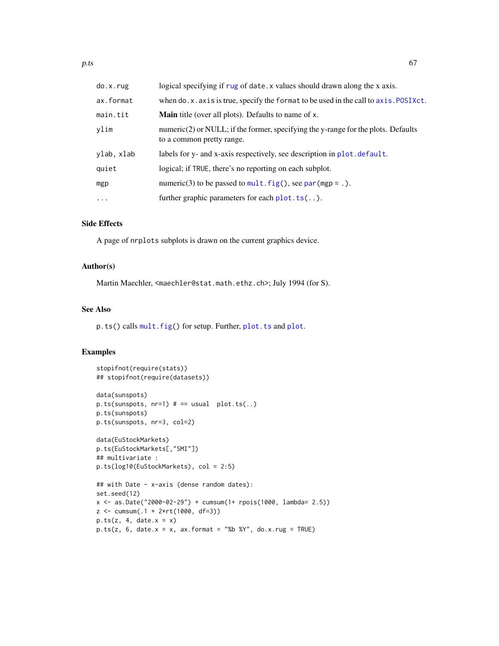| do.x.rug   | logical specifying if rug of date. x values should drawn along the x axis.                                        |
|------------|-------------------------------------------------------------------------------------------------------------------|
| ax.format  | when do.x. axis is true, specify the format to be used in the call to axis. POSIXct.                              |
| main.tit   | <b>Main</b> title (over all plots). Defaults to name of x.                                                        |
| ylim       | numeric $(2)$ or NULL; if the former, specifying the y-range for the plots. Defaults<br>to a common pretty range. |
| ylab, xlab | labels for y- and x-axis respectively, see description in plot. default.                                          |
| quiet      | logical; if TRUE, there's no reporting on each subplot.                                                           |
| mgp        | numeric(3) to be passed to $mult.fig()$ , see par (mgp = .).                                                      |
| $\cdots$   | further graphic parameters for each $plot.ts($ ).                                                                 |

## Side Effects

A page of nrplots subplots is drawn on the current graphics device.

### Author(s)

Martin Maechler, <maechler@stat.math.ethz.ch>; July 1994 (for S).

# See Also

p.ts() calls [mult.fig\(](#page-49-0)) for setup. Further, [plot.ts](#page-0-0) and [plot](#page-0-0).

```
stopifnot(require(stats))
## stopifnot(require(datasets))
data(sunspots)
p.ts(sunspots, nr=1) # == usual plot.ts..)
p.ts(sunspots)
p.ts(sunspots, nr=3, col=2)
data(EuStockMarkets)
p.ts(EuStockMarkets[,"SMI"])
## multivariate :
p.ts(log10(EuStockMarkets), col = 2:5)
## with Date - x-axis (dense random dates):
set.seed(12)
x <- as.Date("2000-02-29") + cumsum(1+ rpois(1000, lambda= 2.5))
z <- cumsum(.1 + 2*rt(1000, df=3))
p.ts(z, 4, date.x = x)p.ts(z, 6, date.x = x, ax.format = "%b %Y", do.x.rug = TRUE)
```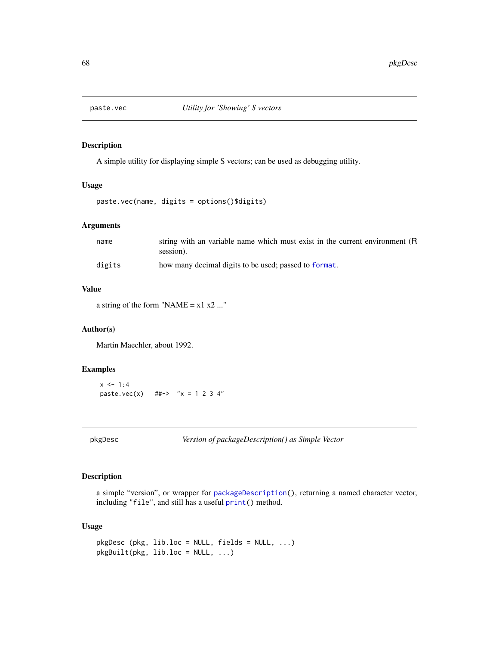### Description

A simple utility for displaying simple S vectors; can be used as debugging utility.

#### Usage

paste.vec(name, digits = options()\$digits)

#### Arguments

| name   | string with an variable name which must exist in the current environment (R<br>session). |
|--------|------------------------------------------------------------------------------------------|
| digits | how many decimal digits to be used; passed to format.                                    |

## Value

a string of the form "NAME =  $x1 x2 ...$ "

#### Author(s)

Martin Maechler, about 1992.

## Examples

 $x \le -1:4$ paste.vec(x) ##-> "x = 1 2 3 4"

pkgDesc *Version of packageDescription() as Simple Vector*

## Description

a simple "version", or wrapper for [packageDescription\(](#page-0-0)), returning a named character vector, including "file", and still has a useful [print\(](#page-0-0)) method.

## Usage

```
pkgDesc (pkg, lib.loc = NULL, fields = NULL, ...)
pkgBuild(t), lib.loc = NULL, ...)
```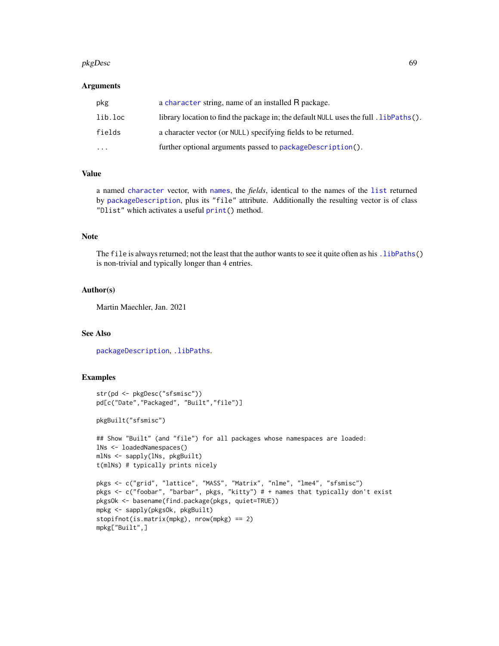#### pkgDesc 69 and 50 and 50 and 50 and 50 and 50 and 50 and 50 and 50 and 50 and 50 and 50 and 50 and 50 and 50 and 50 and 50 and 50 and 50 and 50 and 50 and 50 and 50 and 50 and 50 and 50 and 50 and 50 and 50 and 50 and 50 a

### Arguments

| pkg     | a character string, name of an installed R package.                                        |
|---------|--------------------------------------------------------------------------------------------|
| lib.loc | library location to find the package in; the default $NULL$ uses the full . $libPaths()$ . |
| fields  | a character vector (or NULL) specifying fields to be returned.                             |
| .       | further optional arguments passed to package Description().                                |

### Value

a named [character](#page-0-0) vector, with [names](#page-0-0), the *fields*, identical to the names of the [list](#page-0-0) returned by [packageDescription](#page-0-0), plus its "file" attribute. Additionally the resulting vector is of class "Dlist" which activates a useful [print\(](#page-0-0)) method.

### Note

The file is always returned; not the least that the author wants to see it quite often as his . libPaths() is non-trivial and typically longer than 4 entries.

### Author(s)

Martin Maechler, Jan. 2021

### See Also

[packageDescription](#page-0-0), [.libPaths](#page-0-0).

```
str(pd <- pkgDesc("sfsmisc"))
pd[c("Date","Packaged", "Built","file")]
pkgBuilt("sfsmisc")
## Show "Built" (and "file") for all packages whose namespaces are loaded:
lNs <- loadedNamespaces()
mlNs <- sapply(lNs, pkgBuilt)
t(mlNs) # typically prints nicely
pkgs <- c("grid", "lattice", "MASS", "Matrix", "nlme", "lme4", "sfsmisc")
pkgs <- c("foobar", "barbar", pkgs, "kitty") # + names that typically don't exist
pkgsOk <- basename(find.package(pkgs, quiet=TRUE))
mpkg <- sapply(pkgsOk, pkgBuilt)
stopifnot(is.matrix(mpkg), nrow(mpkg) == 2)
mpkg["Built",]
```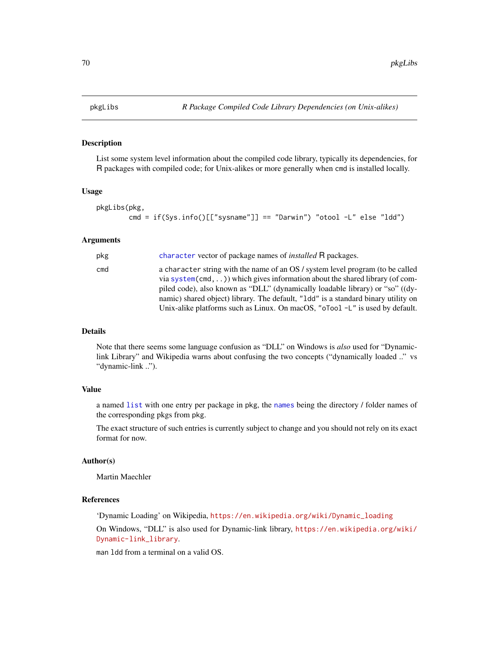## Description

List some system level information about the compiled code library, typically its dependencies, for R packages with compiled code; for Unix-alikes or more generally when cmd is installed locally.

#### Usage

```
pkgLibs(pkg,
       cmd = if(Sys.info()[["sysname"]] == "Darwin") "otool -L" else "ldd")
```
### Arguments

| pkg | character vector of package names of <i>installed</i> R packages.                                                                                                                                                                                                                                                                                                                                                            |
|-----|------------------------------------------------------------------------------------------------------------------------------------------------------------------------------------------------------------------------------------------------------------------------------------------------------------------------------------------------------------------------------------------------------------------------------|
| cmd | a character string with the name of an OS / system level program (to be called<br>via system(cmd, ) which gives information about the shared library (of com-<br>piled code), also known as "DLL" (dynamically loadable library) or "so" ((dy-<br>namic) shared object) library. The default, "1dd" is a standard binary utility on<br>Unix-alike platforms such as Linux. On macOS, " $\sigma$ Tool -L" is used by default. |

### Details

Note that there seems some language confusion as "DLL" on Windows is *also* used for "Dynamiclink Library" and Wikipedia warns about confusing the two concepts ("dynamically loaded .." vs "dynamic-link ..").

#### Value

a named [list](#page-0-0) with one entry per package in pkg, the [names](#page-0-0) being the directory / folder names of the corresponding pkgs from pkg.

The exact structure of such entries is currently subject to change and you should not rely on its exact format for now.

#### Author(s)

Martin Maechler

### References

'Dynamic Loading' on Wikipedia, [https://en.wikipedia.org/wiki/Dynamic\\_loading](https://en.wikipedia.org/wiki/Dynamic_loading)

On Windows, "DLL" is also used for Dynamic-link library, [https://en.wikipedia.org/wiki/](https://en.wikipedia.org/wiki/Dynamic-link_library) [Dynamic-link\\_library](https://en.wikipedia.org/wiki/Dynamic-link_library).

man ldd from a terminal on a valid OS.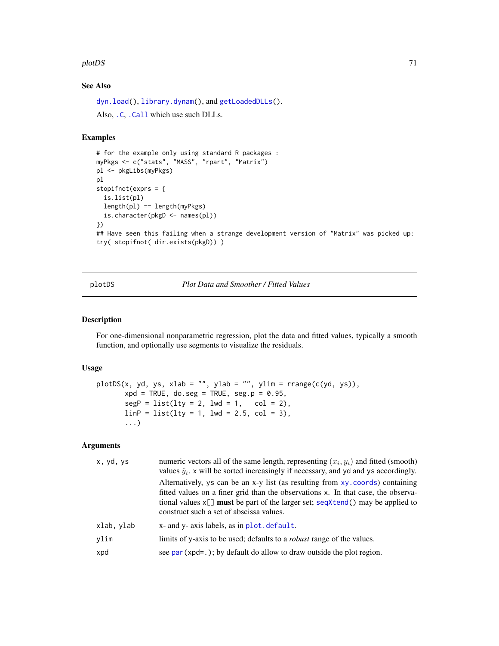#### plotDS 71

# See Also

[dyn.load\(](#page-0-0)), [library.dynam\(](#page-0-0)), and [getLoadedDLLs\(](#page-0-0)).

Also, [.C](#page-0-0), [.Call](#page-0-0) which use such DLLs.

### Examples

```
# for the example only using standard R packages :
myPkgs <- c("stats", "MASS", "rpart", "Matrix")
pl <- pkgLibs(myPkgs)
pl
stopifnot(exprs = {
  is.list(pl)
  length(p1) == length(myPkgs)is.character(pkgD <- names(pl))
})
## Have seen this failing when a strange development version of "Matrix" was picked up:
try( stopifnot( dir.exists(pkgD)) )
```
plotDS *Plot Data and Smoother / Fitted Values*

### Description

For one-dimensional nonparametric regression, plot the data and fitted values, typically a smooth function, and optionally use segments to visualize the residuals.

## Usage

```
plotDS(x, yd, ys, xlab = "", ylab = "", ylim = range(c(yd, ys)),xpd = TRUE, do. seg = TRUE, seg.p = 0.95,segP = list(lty = 2, lwd = 1, col = 2),linP = list(lty = 1, lwd = 2.5, col = 3),...)
```
### Arguments

| x, yd, ys  | numeric vectors all of the same length, representing $(x_i, y_i)$ and fitted (smooth)<br>values $\hat{y}_i$ . x will be sorted increasingly if necessary, and yd and ys accordingly.                                                                                                                  |
|------------|-------------------------------------------------------------------------------------------------------------------------------------------------------------------------------------------------------------------------------------------------------------------------------------------------------|
|            | Alternatively, ys can be an x-y list (as resulting from xy. coords) containing<br>fitted values on a finer grid than the observations x. In that case, the observa-<br>tional values $x[\ ]$ must be part of the larger set; seqXtend() may be applied to<br>construct such a set of abscissa values. |
| xlab, ylab | x- and y- axis labels, as in plot. default.                                                                                                                                                                                                                                                           |
| ylim       | limits of y-axis to be used; defaults to a <i>robust</i> range of the values.                                                                                                                                                                                                                         |
| xpd        | see $par(xpd=.)$ ; by default do allow to draw outside the plot region.                                                                                                                                                                                                                               |
|            |                                                                                                                                                                                                                                                                                                       |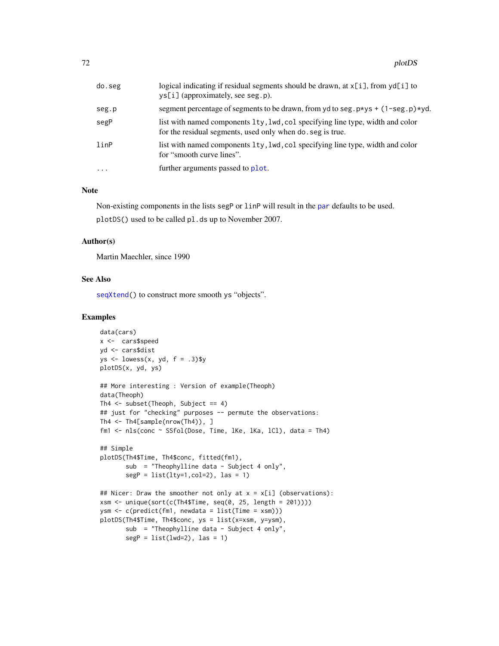| do.seg   | logical indicating if residual segments should be drawn, at $x[i]$ , from $yd[i]$ to<br>$\gamma$ s[i] (approximately, see seg.p).           |
|----------|---------------------------------------------------------------------------------------------------------------------------------------------|
| seg.p    | segment percentage of segments to be drawn, from yd to seg. $p \times ys + (1 - \text{seg. } p) \times yd$ .                                |
| segP     | list with named components 1ty, 1wd, col specifying line type, width and color<br>for the residual segments, used only when do seg is true. |
| linP     | list with named components 1ty, 1wd, col specifying line type, width and color<br>for "smooth curve lines".                                 |
| $\cdots$ | further arguments passed to plot.                                                                                                           |
|          |                                                                                                                                             |

### Note

Non-existing components in the lists segP or linP will result in the [par](#page-0-0) defaults to be used. plotDS() used to be called pl.ds up to November 2007.

## Author(s)

Martin Maechler, since 1990

## See Also

[seqXtend\(](#page-97-0)) to construct more smooth ys "objects".

```
data(cars)
x <- cars$speed
yd <- cars$dist
ys <- lowess(x, yd, f = .3)$y
plotDS(x, yd, ys)
## More interesting : Version of example(Theoph)
data(Theoph)
Th4 <- subset(Theoph, Subject == 4)
## just for "checking" purposes -- permute the observations:
Th4 <- Th4[sample(nrow(Th4)), ]
fm1 <- nls(conc ~ SSfol(Dose, Time, lKe, lKa, lCl), data = Th4)
## Simple
plotDS(Th4$Time, Th4$conc, fitted(fm1),
       sub = "Theophylline data - Subject 4 only",
       segP = list(lty=1, col=2), las = 1)## Nicer: Draw the smoother not only at x = x[i] (observations):
xsm <- unique(sort(c(Th4$Time, seq(0, 25, length = 201))))
ysm <- c(predict(fm1, newdata = list(Time = xsm)))
plotDS(Th4$Time, Th4$conc, ys = list(x=xsm, y=ysm),
      sub = "Theophylline data - Subject 4 only",
       segP = list(lwd=2), las = 1)
```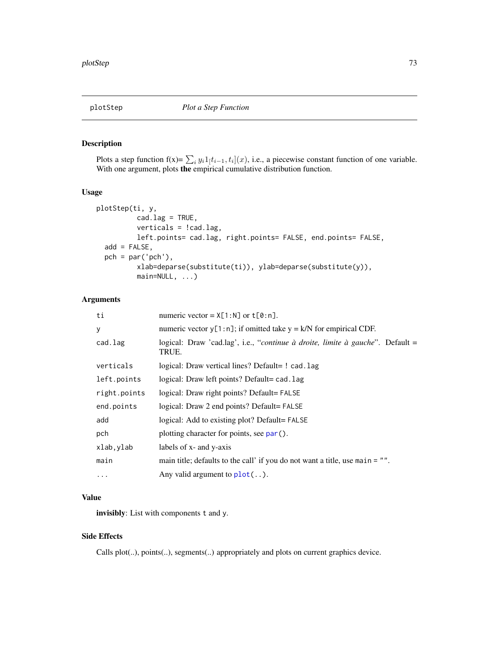# Description

Plots a step function  $f(x) = \sum_i y_i 1[t_{i-1}, t_i](x)$ , i.e., a piecewise constant function of one variable. With one argument, plots the empirical cumulative distribution function.

# Usage

```
plotStep(ti, y,
          cad.lag = TRUE,verticals = !cad.lag,
          left.points= cad.lag, right.points= FALSE, end.points= FALSE,
 add = FALSE,pch = par('pch'),xlab=deparse(substitute(ti)), ylab=deparse(substitute(y)),
          main=NULL, ...)
```
## Arguments

| ti           | numeric vector = $X[1:N]$ or $t[0:n]$ .                                                                  |
|--------------|----------------------------------------------------------------------------------------------------------|
| У            | numeric vector $y[1:n]$ ; if omitted take $y = k/N$ for empirical CDF.                                   |
| cad.lag      | logical: Draw 'cad.lag', i.e., " <i>continue à droite</i> , <i>limite à gauche</i> ". Default =<br>TRUE. |
| verticals    | logical: Draw vertical lines? Default= ! cad. lag                                                        |
| left.points  | logical: Draw left points? Default= cad. lag                                                             |
| right.points | logical: Draw right points? Default= FALSE                                                               |
| end.points   | logical: Draw 2 end points? Default= FALSE                                                               |
| add          | logical: Add to existing plot? Default=FALSE                                                             |
| pch          | plotting character for points, see par().                                                                |
| xlab, ylab   | labels of x- and y-axis                                                                                  |
| main         | main title; defaults to the call' if you do not want a title, use main $= "".$                           |
| $\cdots$     | Any valid argument to $plot($ ).                                                                         |

# Value

invisibly: List with components t and y.

### Side Effects

Calls plot(..), points(..), segments(..) appropriately and plots on current graphics device.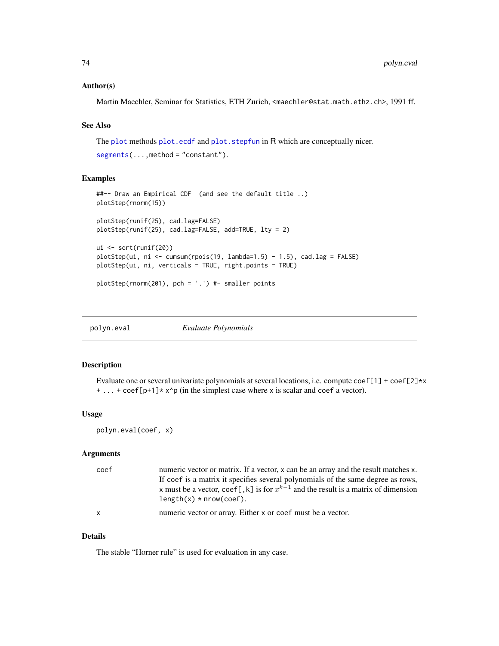## Author(s)

Martin Maechler, Seminar for Statistics, ETH Zurich, <maechler@stat.math.ethz.ch>, 1991 ff.

## See Also

The [plot](#page-0-0) methods [plot.ecdf](#page-0-0) and [plot.stepfun](#page-0-0) in R which are conceptually nicer.

 $segments(\ldots,method='constant").$  $segments(\ldots,method='constant").$ 

## Examples

```
##-- Draw an Empirical CDF (and see the default title ..)
plotStep(rnorm(15))
plotStep(runif(25), cad.lag=FALSE)
plotStep(runif(25), cad.lag=FALSE, add=TRUE, lty = 2)
ui <- sort(runif(20))
plotStep(ui, ni <- cumsum(rpois(19, lambda=1.5) - 1.5), cad.lag = FALSE)
plotStep(ui, ni, verticals = TRUE, right.points = TRUE)
plotStep(rnorm(201), pch = '.') #- smaller points
```

| polyn.eval | Evaluate Polynomials |
|------------|----------------------|
|            |                      |

## Description

Evaluate one or several univariate polynomials at several locations, i.e. compute  $\text{coeff}[1] + \text{coeff}[2] \times x$ + ... + coef[p+1]\* x^p (in the simplest case where x is scalar and coef a vector).

### Usage

```
polyn.eval(coef, x)
```
## Arguments

| coef         | numeric vector or matrix. If a vector, x can be an array and the result matches x.<br>If coef is a matrix it specifies several polynomials of the same degree as rows,<br>x must be a vector, coef[,k] is for $x^{k-1}$ and the result is a matrix of dimension<br>$length(x) * nrow(coef).$ |
|--------------|----------------------------------------------------------------------------------------------------------------------------------------------------------------------------------------------------------------------------------------------------------------------------------------------|
| $\mathsf{X}$ | numeric vector or array. Either x or coef must be a vector.                                                                                                                                                                                                                                  |

### Details

The stable "Horner rule" is used for evaluation in any case.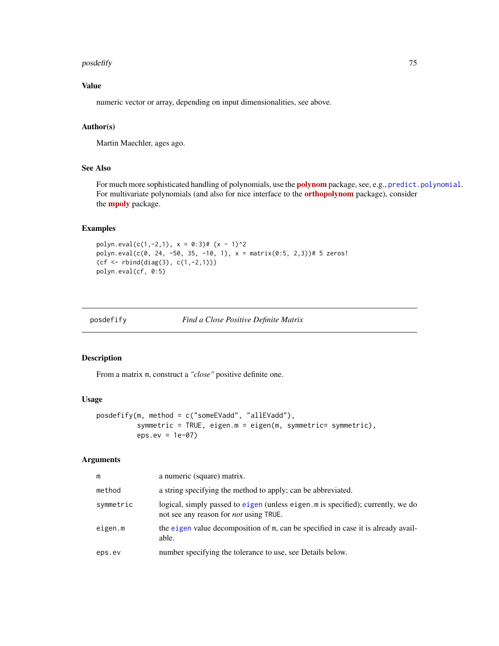### posdefify the contract of the contract of the contract of the contract of the contract of the contract of the contract of the contract of the contract of the contract of the contract of the contract of the contract of the

# Value

numeric vector or array, depending on input dimensionalities, see above.

### Author(s)

Martin Maechler, ages ago.

### See Also

For much more sophisticated handling of [polynom](https://CRAN.R-project.org/package=polynom)ials, use the **polynom** package, see, e.g., [predict.polynomial](#page-0-0). For multivariate polynomials (and also for nice interface to the [orthopolynom](https://CRAN.R-project.org/package=orthopolynom) package), consider the **[mpoly](https://CRAN.R-project.org/package=mpoly)** package.

# Examples

polyn.eval(c(1,-2,1),  $x = 0:3$ )# (x - 1)^2 polyn.eval(c(0, 24, -50, 35, -10, 1),  $x = matrix(0.5, 2,3))$ # 5 zeros! (cf <- rbind(diag(3), c(1,-2,1))) polyn.eval(cf, 0:5)

posdefify *Find a Close Positive Definite Matrix*

## Description

From a matrix m, construct a *"close"* positive definite one.

## Usage

```
posdefify(m, method = c("someEVadd", "allEVadd"),
          symmetric = TRUE, eigen.m = eigen(m, symmetric= symmetric),
          eps.ev = 1e-07)
```
## Arguments

| m         | a numeric (square) matrix.                                                                                                       |
|-----------|----------------------------------------------------------------------------------------------------------------------------------|
| method    | a string specifying the method to apply; can be abbreviated.                                                                     |
| symmetric | logical, simply passed to eigen (unless eigen.m is specified); currently, we do<br>not see any reason for <i>not</i> using TRUE. |
| eigen.m   | the eigen value decomposition of m, can be specified in case it is already avail-<br>able.                                       |
| eps.ev    | number specifying the tolerance to use, see Details below.                                                                       |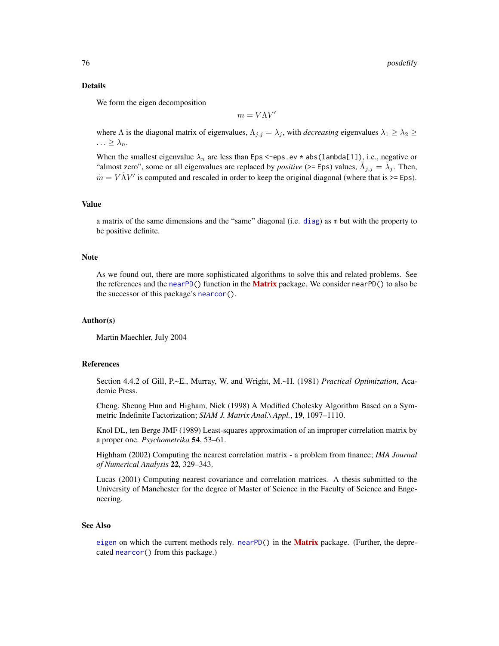### Details

We form the eigen decomposition

$$
m=V\Lambda V'
$$

where  $\Lambda$  is the diagonal matrix of eigenvalues,  $\Lambda_{j,j} = \lambda_j$ , with *decreasing* eigenvalues  $\lambda_1 \geq \lambda_2 \geq$  $\ldots \geq \lambda_n$ .

When the smallest eigenvalue  $\lambda_n$  are less than Eps <-eps.ev \* abs(lambda[1]), i.e., negative or "almost zero", some or all eigenvalues are replaced by *positive* (>= Eps) values,  $\tilde{\Lambda}_{j,j} = \tilde{\lambda}_j$ . Then,  $\tilde{m} = V \tilde{\Lambda} V'$  is computed and rescaled in order to keep the original diagonal (where that is >= Eps).

#### Value

a matrix of the same dimensions and the "same" diagonal (i.e. [diag](#page-0-0)) as m but with the property to be positive definite.

### **Note**

As we found out, there are more sophisticated algorithms to solve this and related problems. See the references and the [nearPD\(](#page-0-0)) function in the **[Matrix](https://CRAN.R-project.org/package=Matrix)** package. We consider nearPD() to also be the successor of this package's [nearcor\(](#page-53-0)).

#### Author(s)

Martin Maechler, July 2004

### References

Section 4.4.2 of Gill, P.~E., Murray, W. and Wright, M.~H. (1981) *Practical Optimization*, Academic Press.

Cheng, Sheung Hun and Higham, Nick (1998) A Modified Cholesky Algorithm Based on a Symmetric Indefinite Factorization; *SIAM J. Matrix Anal.\ Appl.*, 19, 1097–1110.

Knol DL, ten Berge JMF (1989) Least-squares approximation of an improper correlation matrix by a proper one. *Psychometrika* 54, 53–61.

Highham (2002) Computing the nearest correlation matrix - a problem from finance; *IMA Journal of Numerical Analysis* 22, 329–343.

Lucas (2001) Computing nearest covariance and correlation matrices. A thesis submitted to the University of Manchester for the degree of Master of Science in the Faculty of Science and Engeneering.

### See Also

[eigen](#page-0-0) on which the current methods rely. [nearPD\(](#page-0-0)) in the **[Matrix](https://CRAN.R-project.org/package=Matrix)** package. (Further, the deprecated [nearcor\(](#page-53-0)) from this package.)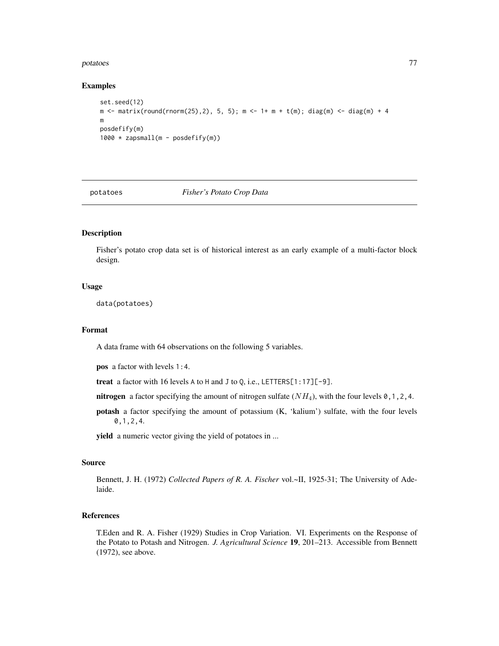### potatoes 77

### Examples

```
set.seed(12)
m <- matrix(round(rnorm(25),2), 5, 5); m <- 1+ m + t(m); diag(m) <- diag(m) + 4
m
posdefify(m)
1000 * zapsmall(m - posdefify(m))
```
## potatoes *Fisher's Potato Crop Data*

# Description

Fisher's potato crop data set is of historical interest as an early example of a multi-factor block design.

## Usage

data(potatoes)

## Format

A data frame with 64 observations on the following 5 variables.

pos a factor with levels 1:4.

treat a factor with 16 levels A to H and J to Q, i.e., LETTERS[1:17][-9].

- nitrogen a factor specifying the amount of nitrogen sulfate  $(NH_4)$ , with the four levels 0, 1, 2, 4.
- potash a factor specifying the amount of potassium (K, 'kalium') sulfate, with the four levels 0,1,2,4.

yield a numeric vector giving the yield of potatoes in ...

## Source

Bennett, J. H. (1972) *Collected Papers of R. A. Fischer* vol.~II, 1925-31; The University of Adelaide.

# References

T.Eden and R. A. Fisher (1929) Studies in Crop Variation. VI. Experiments on the Response of the Potato to Potash and Nitrogen. *J. Agricultural Science* 19, 201–213. Accessible from Bennett (1972), see above.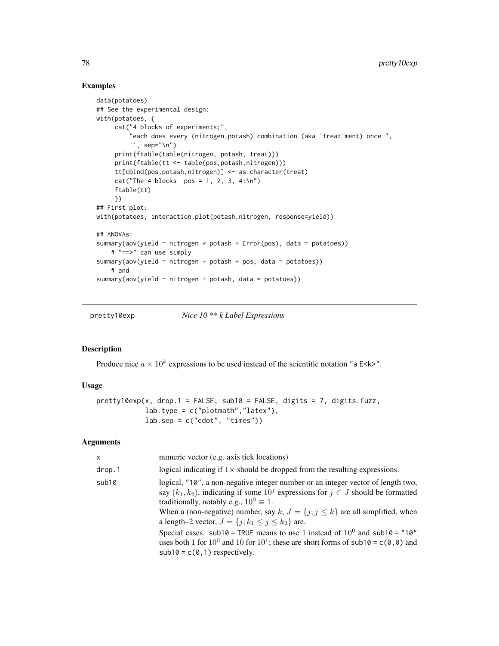## Examples

```
data(potatoes)
## See the experimental design:
with(potatoes, {
     cat("4 blocks of experiments;",
         "each does every (nitrogen,potash) combination (aka 'treat'ment) once.",
         '', sep="\n")
     print(ftable(table(nitrogen, potash, treat)))
     print(ftable(tt <- table(pos,potash,nitrogen)))
     tt[cbind(pos,potash,nitrogen)] <- as.character(treat)
     cat("The 4 blocks pos = 1, 2, 3, 4:\n^n)ftable(tt)
     })
## First plot:
with(potatoes, interaction.plot(potash,nitrogen, response=yield))
## ANOVAs:
summary(aov(yield \sim nitrogen * potash + Error(pos), data = potatoes))
    # "==>" can use simply
summary(aov(yield \sim nitrogen + potash + pos, data = potatoes))
    # and
summary(aov(yield ~ nitrogen + potash, data = potatoes))
```
pretty10exp *Nice 10 \*\* k Label Expressions*

## Description

Produce nice  $a \times 10^k$  expressions to be used instead of the scientific notation "a E<k>".

# Usage

```
perty10exp(x, drop.1 = FALSE, sub10 = FALSE, digits = 7, digits.fuzz,lab.type = c("plotmath", "later"),lab.\text{sep} = c("cdot", "times")
```
## Arguments

| <b>X</b> | numeric vector (e.g. axis tick locations)                                                                                                                                                                                                                                                                                                                                        |
|----------|----------------------------------------------------------------------------------------------------------------------------------------------------------------------------------------------------------------------------------------------------------------------------------------------------------------------------------------------------------------------------------|
| drop.1   | logical indicating if $1\times$ should be dropped from the resulting expressions.                                                                                                                                                                                                                                                                                                |
| sub10    | logical, "10", a non-negative integer number or an integer vector of length two,<br>say $(k_1, k_2)$ , indicating if some $10^j$ expressions for $j \in J$ should be formatted<br>traditionally, notably e.g., $10^0 \equiv 1$ .<br>When a (non-negative) number, say k, $J = \{j; j \le k\}$ are all simplified, when<br>a length–2 vector, $J = \{j; k_1 \le j \le k_2\}$ are. |
|          | Special cases: sub10 = TRUE means to use 1 instead of $10^0$ and sub10 = "10"<br>uses both 1 for $10^0$ and 10 for $10^1$ ; these are short forms of sub10 = c(0,0) and<br>$sub10 = c(0, 1)$ respectively.                                                                                                                                                                       |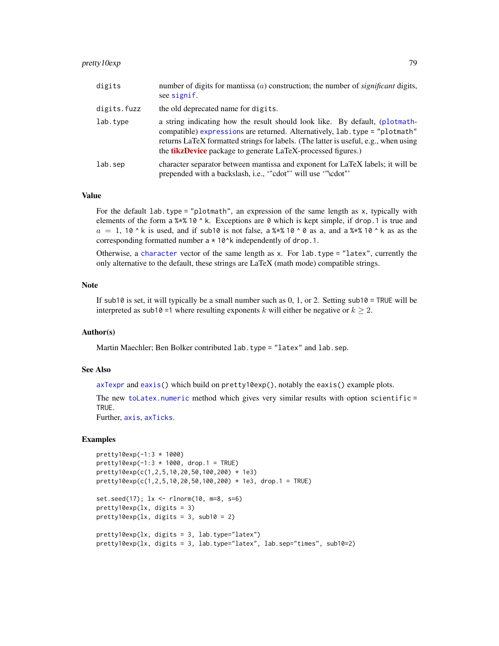# pretty10exp 79

| digits      | number of digits for mantissa $(a)$ construction; the number of <i>significant</i> digits,<br>see signif.                                                                                                                                                                                                                |
|-------------|--------------------------------------------------------------------------------------------------------------------------------------------------------------------------------------------------------------------------------------------------------------------------------------------------------------------------|
| digits.fuzz | the old deprecated name for digits.                                                                                                                                                                                                                                                                                      |
| lab.type    | a string indicating how the result should look like. By default, (plotmath-<br>compatible) expressions are returned. Alternatively, lab. type = "plotmath"<br>returns LaTeX formatted strings for labels. (The latter is useful, e.g., when using<br>the <b>tikzDevice</b> package to generate LaTeX-processed figures.) |
| lab.sep     | character separator between mantissa and exponent for LaTeX labels; it will be<br>prepended with a backslash, i.e., "cdot" will use "\cdot"                                                                                                                                                                              |

### Value

For the default lab.type = "plotmath", an expression of the same length as x, typically with elements of the form a  $\frac{8 \times \frac{8}{10}}{8}$  h. Exceptions are 0 which is kept simple, if drop. 1 is true and  $a = 1$ , 10  $\textdegree$  k is used, and if sub10 is not false, a % \ \ \ 0 \ 0 as a, and a % \ \ 10  $\textdegree$  k as as the corresponding formatted number  $a * 10^k$  independently of drop.1.

Otherwise, a [character](#page-0-0) vector of the same length as x. For lab.type = "latex", currently the only alternative to the default, these strings are LaTeX (math mode) compatible strings.

## Note

If sub10 is set, it will typically be a small number such as  $0, 1$ , or 2. Setting sub10 = TRUE will be interpreted as sub10 =1 where resulting exponents k will either be negative or  $k \ge 2$ .

## Author(s)

Martin Maechler; Ben Bolker contributed lab.type = "latex" and lab.sep.

# See Also

[axTexpr](#page-5-0) and [eaxis\(](#page-22-0)) which build on pretty10exp(), notably the eaxis() example plots.

The new [toLatex.numeric](#page-111-0) method which gives very similar results with option scientific = TRUE.

Further, [axis](#page-0-0), [axTicks](#page-0-0).

```
pretty10exp(-1:3 * 1000)
pretty10exp(-1:3 * 1000, drop.1 = TRUE)
pretty10exp(c(1,2,5,10,20,50,100,200) * 1e3)
pretty10exp(c(1,2,5,10,20,50,100,200) * 1e3, drop.1 = TRUE)
set.seed(17); lx \leq rlnorm(10, m=8, s=6)pretty10exp(lx, digits = 3)
pretty10exp(lx, digits = 3, sub10 = 2)pretty10exp(lx, digits = 3, lab.type="latex")
pretty10exp(lx, digits = 3, lab.type="latex", lab.sep="times", sub10=2)
```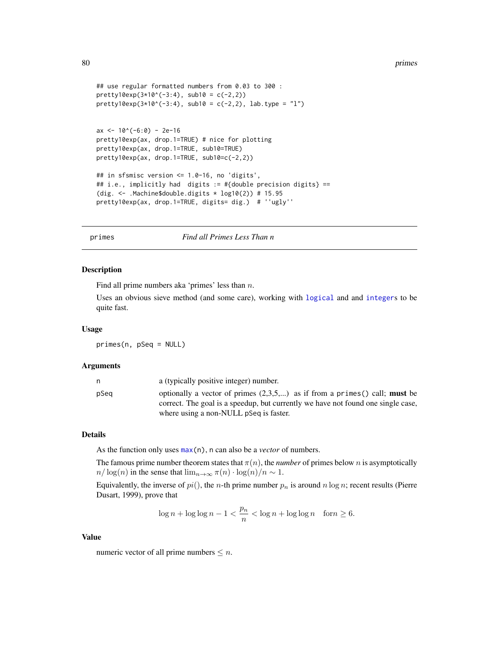```
## use regular formatted numbers from 0.03 to 300 :
pretty10exp(3*10^(-3:4), sub10 = c(-2,2))
prety10exp(3*10^(-3:4), sub10 = c(-2,2), lab-type = "l")ax <- 10^(-6:0) - 2e-16pretty10exp(ax, drop.1=TRUE) # nice for plotting
pretty10exp(ax, drop.1=TRUE, sub10=TRUE)
pretty10exp(ax, drop.1=TRUE, sub10=c(-2,2))
## in sfsmisc version <= 1.0-16, no 'digits',
## i.e., implicitly had digits := #{double precision digits} ==
(dig. <- .Machine$double.digits * log10(2)) # 15.95
pretty10exp(ax, drop.1=TRUE, digits= dig.) # ''ugly''
```
primes *Find all Primes Less Than n*

### Description

Find all prime numbers aka 'primes' less than  $n$ .

Uses an obvious sieve method (and some care), working with [logical](#page-0-0) and and [integer](#page-0-0)s to be quite fast.

#### Usage

primes(n, pSeq = NULL)

#### Arguments

|      | a (typically positive integer) number.                                                                                                                                   |
|------|--------------------------------------------------------------------------------------------------------------------------------------------------------------------------|
| pSea | optionally a vector of primes $(2,3,5,)$ as if from a primes () call; <b>must</b> be<br>correct. The goal is a speedup, but currently we have not found one single case, |
|      | where using a non-NULL pSeq is faster.                                                                                                                                   |

## Details

As the function only uses [max\(](#page-0-0)n), n can also be a *vector* of numbers.

The famous prime number theorem states that  $\pi(n)$ , the *number* of primes below n is asymptotically  $n/\log(n)$  in the sense that  $\lim_{n\to\infty} \pi(n) \cdot \log(n)/n \sim 1$ .

Equivalently, the inverse of  $pi($ ), the *n*-th prime number  $p_n$  is around *n* log *n*; recent results (Pierre Dusart, 1999), prove that

$$
\log n + \log \log n - 1 < \frac{p_n}{n} < \log n + \log \log n \quad \text{for} \, n \geq 6.
$$

### Value

numeric vector of all prime numbers  $\leq n$ .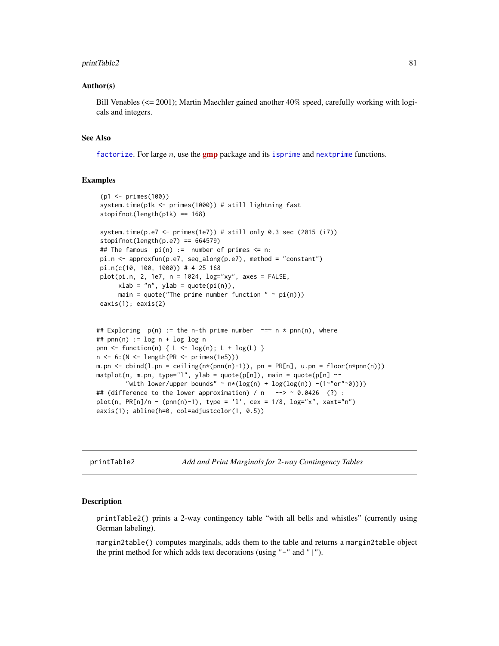### printTable2 81

### Author(s)

Bill Venables (<= 2001); Martin Maechler gained another 40% speed, carefully working with logicals and integers.

### See Also

[factorize](#page-30-0). For large n, use the **[gmp](https://CRAN.R-project.org/package=gmp)** package and its [isprime](#page-0-0) and [nextprime](#page-0-0) functions.

## Examples

```
(p1 <- primes(100))
 system.time(p1k <- primes(1000)) # still lightning fast
 stopifnot(length(p1k) == 168)
 system.time(p.e7 <- primes(1e7)) # still only 0.3 sec (2015 (i7))
 stopifnot(length(p.e7) == 664579)## The famous pi(n) := number of primes \leq n:
 pi.n <- approxfun(p.e7, seq_along(p.e7), method = "constant")
 pi.n(c(10, 100, 1000)) # 4 25 168
 plot(pi.n, 2, 1e7, n = 1024, log="xy", axes = FALSE,
      xlab = "n", ylab = quote(pi(n)),main = quote("The prime number function " \sim pi(n)))
 eaxis(1); eaxis(2)
## Exploring p(n) := the n-th prime number \sim = \sim n * pnn(n), where
## pnn(n) := log n + log log n
pnn <- function(n) { L <- log(n); L + log(L) }
n <- 6:(N <- length(PR <- primes(1e5)))
m.pn <- cbind(l.pn = ceiling(n*(pnn(n)-1)), pn = PR[n], u.pn = floor(n*pnn(n)))
matplot(n, m.pn, type="1", ylab = quote(p[n]), main = quote(p[n] ~~
        "with lower/upper bounds" ~ n*(log(n) + log(log(n)) - (1 - "or"~0))))## (difference to the lower approximation) / n \rightarrow \sim 0.0426 (?) :
plot(n, PR[n]/n - (pnn(n)-1), type = 'l', cex = 1/8, log='x", xaxt='n")eaxis(1); abline(h=0, col=adjustcolor(1, 0.5))
```
printTable2 *Add and Print Marginals for 2-way Contingency Tables*

## **Description**

printTable2() prints a 2-way contingency table "with all bells and whistles" (currently using German labeling).

margin2table() computes marginals, adds them to the table and returns a margin2table object the print method for which adds text decorations (using  $"$ -" and "|").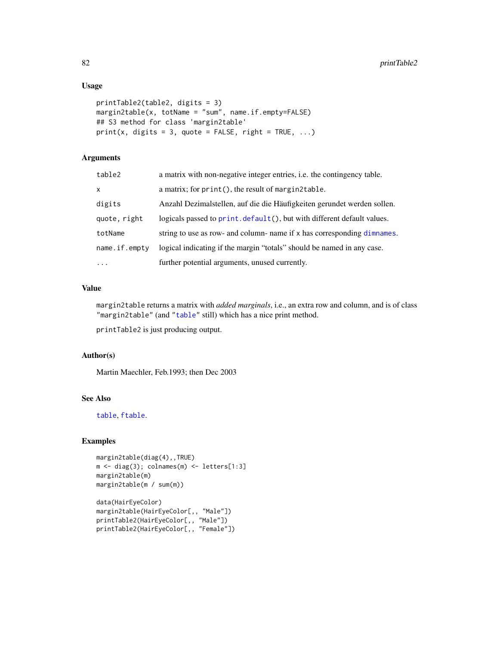# Usage

```
printTable2(table2, digits = 3)
margin2table(x, totName = "sum", name.if.empty=FALSE)
## S3 method for class 'margin2table'
print(x, digits = 3, quote = FALSE, right = TRUE, ...)
```
# Arguments

| table2        | a matrix with non-negative integer entries, i.e. the contingency table. |
|---------------|-------------------------------------------------------------------------|
| X             | a matrix; for print(), the result of margin2table.                      |
| digits        | Anzahl Dezimalstellen, auf die die Häufigkeiten gerundet werden sollen. |
| quote, right  | logicals passed to print. default(), but with different default values. |
| totName       | string to use as row- and column- name if x has corresponding dimnames. |
| name.if.empty | logical indicating if the margin "totals" should be named in any case.  |
| $\cdots$      | further potential arguments, unused currently.                          |

### Value

margin2table returns a matrix with *added marginals*, i.e., an extra row and column, and is of class "margin2table" (and ["table"](#page-0-0) still) which has a nice print method.

printTable2 is just producing output.

## Author(s)

Martin Maechler, Feb.1993; then Dec 2003

# See Also

[table](#page-0-0), [ftable](#page-0-0).

```
margin2table(diag(4),,TRUE)
m <- diag(3); colnames(m) <- letters[1:3]
margin2table(m)
margin2table(m / sum(m))
data(HairEyeColor)
```

```
margin2table(HairEyeColor[,, "Male"])
printTable2(HairEyeColor[,, "Male"])
printTable2(HairEyeColor[,, "Female"])
```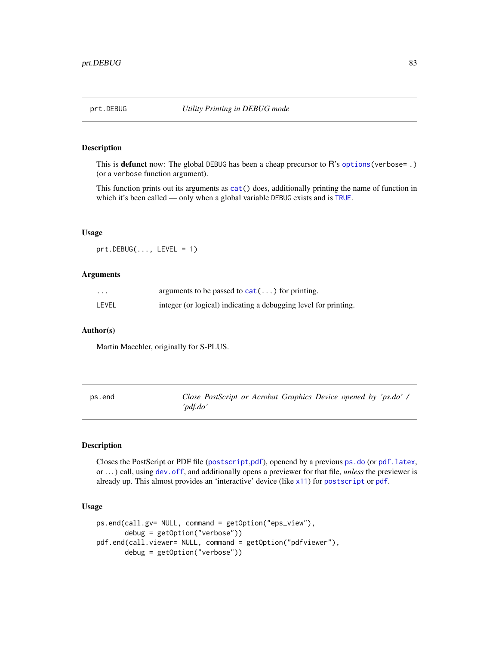# Description

This is defunct now: The global DEBUG has been a cheap precursor to R's [options\(](#page-0-0)verbose= .) (or a verbose function argument).

This function prints out its arguments as [cat\(](#page-0-0)) does, additionally printing the name of function in which it's been called — only when a global variable DEBUG exists and is [TRUE](#page-0-0).

## Usage

 $prt.DEBUG(..., LEVEL = 1)$ 

### Arguments

| $\cdot\cdot\cdot$ | arguments to be passed to $cat()$ for printing.                 |
|-------------------|-----------------------------------------------------------------|
| LEVEL             | integer (or logical) indicating a debugging level for printing. |

### Author(s)

Martin Maechler, originally for S-PLUS.

<span id="page-82-1"></span>

| ps.end | Close PostScript or Acrobat Graphics Device opened by 'ps.do' / |  |  |
|--------|-----------------------------------------------------------------|--|--|
|        | 'pdf.do'                                                        |  |  |

# <span id="page-82-0"></span>Description

Closes the PostScript or PDF file ([postscript](#page-0-0),[pdf](#page-0-0)), openend by a previous [ps.do](#page-84-0) (or [pdf.latex](#page-84-0), or . . . ) call, using [dev.off](#page-0-0), and additionally opens a previewer for that file, *unless* the previewer is already up. This almost provides an 'interactive' device (like [x11](#page-0-0)) for [postscript](#page-0-0) or [pdf](#page-0-0).

## Usage

```
ps.end(call.gv= NULL, command = getOption("eps_view"),
       debug = getOption("verbose"))
pdf.end(call.viewer= NULL, command = getOption("pdfviewer"),
      debug = getOption("verbose"))
```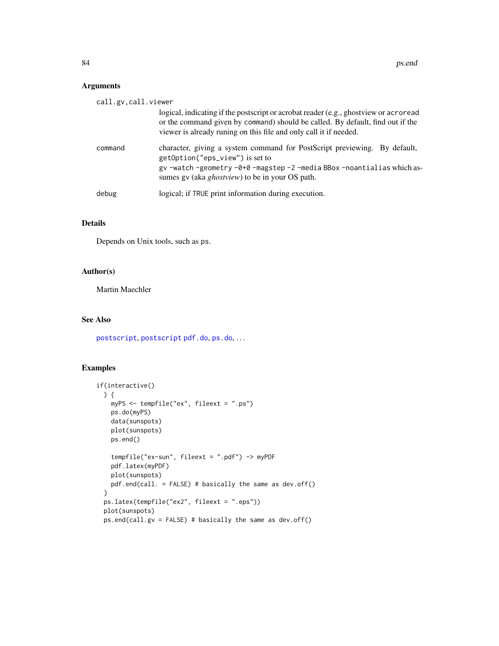# Arguments

| call.gv, call.viewer |                                                                                                                                                                                                                                             |
|----------------------|---------------------------------------------------------------------------------------------------------------------------------------------------------------------------------------------------------------------------------------------|
|                      | logical, indicating if the postscript or acrobat reader (e.g., ghostview or acroread<br>or the command given by command) should be called. By default, find out if the<br>viewer is already runing on this file and only call it if needed. |
| command              | character, giving a system command for PostScript previewing. By default,<br>getOption("eps_view") is set to<br>gv-watch-geometry-0+0-magstep-2-media BBox-noantialias which as-<br>sumes gv (aka <i>ghostview</i> ) to be in your OS path. |
| debug                | logical; if TRUE print information during execution.                                                                                                                                                                                        |

# Details

Depends on Unix tools, such as ps.

# Author(s)

Martin Maechler

# See Also

[postscript](#page-0-0), [postscript](#page-0-0) [pdf.do](#page-84-0), [ps.do](#page-84-0), . . .

```
if(interactive()
 ) {
   myPS <- tempfile("ex", fileext = ".ps")
   ps.do(myPS)
   data(sunspots)
   plot(sunspots)
   ps.end()
   tempfile("ex-sun", fileext = ".pdf") -> myPDF
   pdf.latex(myPDF)
   plot(sunspots)
   pdf.end(call. = FALSE) # basically the same as dev.off()
 }
 ps.latex(tempfile("ex2", fileext = ".eps"))
 plot(sunspots)
 ps.end(call.gv = FALSE) # basically the same as dev.off()
```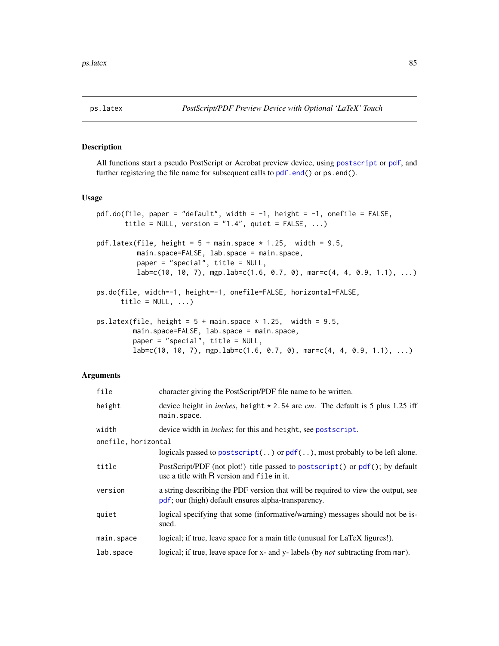## <span id="page-84-0"></span>Description

All functions start a pseudo PostScript or Acrobat preview device, using [postscript](#page-0-0) or [pdf](#page-0-0), and further registering the file name for subsequent calls to [pdf.end\(](#page-82-0)) or ps.end().

## Usage

```
pdf.do(file, paper = "default", width = -1, height = -1, onefile = FALSE,
       title = NULL, version = "1.4", quiet = FALSE, ...)
pdf.latex(file, height = 5 + \text{main}.space * 1.25, width = 9.5,
          main.space=FALSE, lab.space = main.space,
          paper = "special", title = NULL,
          lab = c(10, 10, 7), mgp.lab = c(1.6, 0.7, 0), mar=c(4, 4, 0.9, 1.1), ...)
ps.do(file, width=-1, height=-1, onefile=FALSE, horizontal=FALSE,
      title = NULL, ...)ps.latex(file, height = 5 + \text{main}. space * 1.25, width = 9.5,
         main.space=FALSE, lab.space = main.space,
         paper = "special", title = NULL,
         lab = c(10, 10, 7), mgp.lab = c(1.6, 0.7, 0), mar=c(4, 4, 0.9, 1.1), ...)
```
### Arguments

| file                | character giving the PostScript/PDF file name to be written.                                                                             |
|---------------------|------------------------------------------------------------------------------------------------------------------------------------------|
| height              | device height in <i>inches</i> , height $* 2.54$ are <i>cm</i> . The default is 5 plus 1.25 iff<br>main.space.                           |
| width               | device width in <i>inches</i> ; for this and height, see postscript.                                                                     |
| onefile, horizontal |                                                                                                                                          |
|                     | logicals passed to postscript() or $pdf()$ , most probably to be left alone.                                                             |
| title               | PostScript/PDF (not plot!) title passed to postscript() or pdf(); by default<br>use a title with R version and file in it.               |
| version             | a string describing the PDF version that will be required to view the output, see<br>pdf; our (high) default ensures alpha-transparency. |
| quiet               | logical specifying that some (informative/warning) messages should not be is-<br>sued.                                                   |
| main.space          | logical; if true, leave space for a main title (unusual for LaTeX figures!).                                                             |
| lab.space           | logical; if true, leave space for x- and y- labels (by <i>not</i> subtracting from mar).                                                 |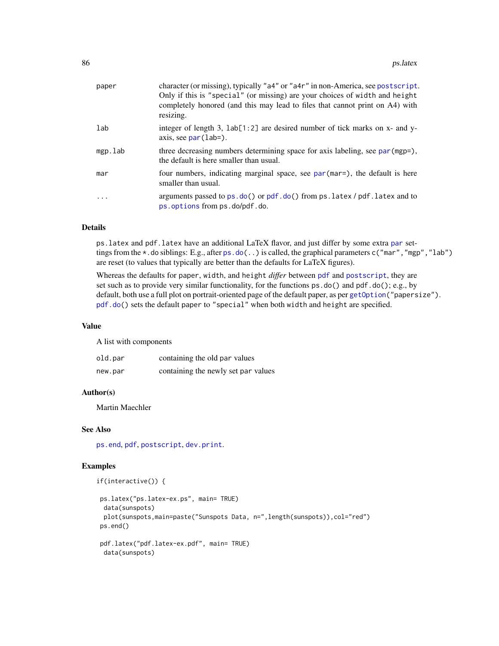| paper   | character (or missing), typically "a4" or "a4r" in non-America, see postscript.<br>Only if this is "special" (or missing) are your choices of width and height<br>completely honored (and this may lead to files that cannot print on A4) with<br>resizing. |
|---------|-------------------------------------------------------------------------------------------------------------------------------------------------------------------------------------------------------------------------------------------------------------|
| lab     | integer of length 3, $lab[1:2]$ are desired number of tick marks on x- and y-<br>axis, see $par(lab=)$ .                                                                                                                                                    |
| mgp.lab | three decreasing numbers determining space for axis labeling, see par (mgp=),<br>the default is here smaller than usual.                                                                                                                                    |
| mar     | four numbers, indicating marginal space, see par (mar=), the default is here<br>smaller than usual.                                                                                                                                                         |
| .       | arguments passed to $ps.do()$ or $pdf.do()$ from $ps.latex / pdf.latex$ and to<br>ps.options from ps.do/pdf.do.                                                                                                                                             |

## Details

ps.latex and pdf.latex have an additional LaTeX flavor, and just differ by some extra [par](#page-0-0) settings from the  $\star$ . do siblings: E.g., after [ps.do\(](#page-84-0)..) is called, the graphical parameters c("mar", "mgp", "lab") are reset (to values that typically are better than the defaults for LaTeX figures).

Whereas the defaults for paper, width, and height *differ* between [pdf](#page-0-0) and [postscript](#page-0-0), they are set such as to provide very similar functionality, for the functions ps.do() and pdf.do(); e.g., by default, both use a full plot on portrait-oriented page of the default paper, as per [getOption\(](#page-0-0)"papersize"). [pdf.do\(](#page-84-0)) sets the default paper to "special" when both width and height are specified.

### Value

A list with components

| old.par | containing the old par values       |
|---------|-------------------------------------|
| new.par | containing the newly set par values |

### Author(s)

Martin Maechler

# See Also

[ps.end](#page-82-1), [pdf](#page-0-0), [postscript](#page-0-0), [dev.print](#page-0-0).

```
if(interactive()) {
```

```
ps.latex("ps.latex-ex.ps", main= TRUE)
 data(sunspots)
 plot(sunspots,main=paste("Sunspots Data, n=",length(sunspots)),col="red")
ps.end()
pdf.latex("pdf.latex-ex.pdf", main= TRUE)
data(sunspots)
```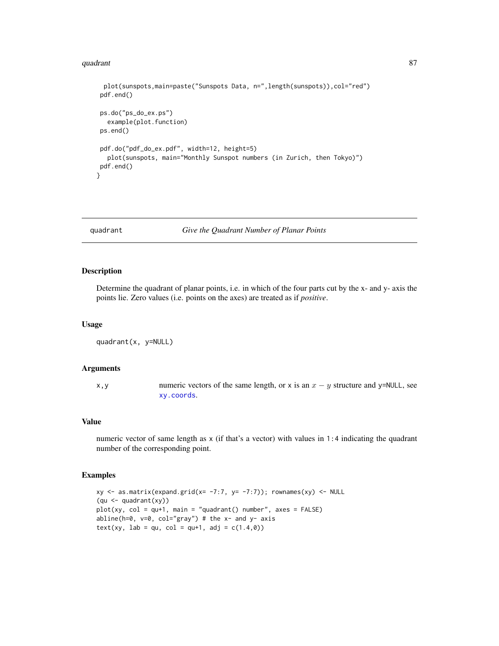### quadrant 87 and 87 and 87 and 87 and 87 and 87 and 87 and 87 and 87 and 87 and 87 and 87 and 87 and 87 and 87

```
plot(sunspots,main=paste("Sunspots Data, n=",length(sunspots)),col="red")
pdf.end()
ps.do("ps_do_ex.ps")
  example(plot.function)
ps.end()
pdf.do("pdf_do_ex.pdf", width=12, height=5)
  plot(sunspots, main="Monthly Sunspot numbers (in Zurich, then Tokyo)")
pdf.end()
}
```
quadrant *Give the Quadrant Number of Planar Points*

### Description

Determine the quadrant of planar points, i.e. in which of the four parts cut by the x- and y- axis the points lie. Zero values (i.e. points on the axes) are treated as if *positive*.

#### Usage

quadrant(x, y=NULL)

## Arguments

x, y numeric vectors of the same length, or x is an  $x - y$  structure and y=NULL, see [xy.coords](#page-0-0).

## Value

numeric vector of same length as x (if that's a vector) with values in 1:4 indicating the quadrant number of the corresponding point.

```
xy <- as.matrix(expand.grid(x= -7:7, y= -7:7)); rownames(xy) <- NULL
(qu <- quadrant(xy))
plot(xy, col = qu+1, main = "quadrant() number", axes = FALSE)abline(h=0, v=0, col="gray") # the x- and y- axis
text(xy, lab = qu, col = qu+1, adj = c(1.4, 0))
```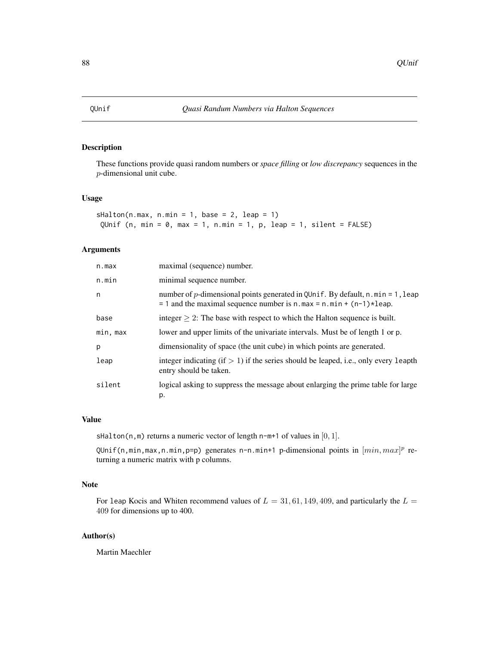# Description

These functions provide quasi random numbers or *space filling* or *low discrepancy* sequences in the p-dimensional unit cube.

## Usage

sHalton(n.max, n.min = 1, base = 2, leap = 1) QUnif (n, min =  $0$ , max = 1, n.min = 1, p, leap = 1, silent = FALSE)

## Arguments

| n.max    | maximal (sequence) number.                                                                                                                               |
|----------|----------------------------------------------------------------------------------------------------------------------------------------------------------|
| n.min    | minimal sequence number.                                                                                                                                 |
| n        | number of p-dimensional points generated in QUnif. By default, n.min = 1, leap<br>$= 1$ and the maximal sequence number is n.max = n.min + (n-1) * leap. |
| base     | integer $\geq$ 2: The base with respect to which the Halton sequence is built.                                                                           |
| min, max | lower and upper limits of the univariate intervals. Must be of length 1 or p.                                                                            |
| p        | dimensionality of space (the unit cube) in which points are generated.                                                                                   |
| leap     | integer indicating $(f > 1)$ if the series should be leaped, i.e., only every leapth<br>entry should be taken.                                           |
| silent   | logical asking to suppress the message about enlarging the prime table for large<br>p.                                                                   |

## Value

sHalton(n,m) returns a numeric vector of length n-m+1 of values in  $[0, 1]$ .

QUnif(n,min,max,n.min,p=p) generates n-n.min+1 p-dimensional points in  $[min, max]^p$  returning a numeric matrix with p columns.

# Note

For 1eap Kocis and Whiten recommend values of  $L = 31, 61, 149, 409$ , and particularly the  $L =$ 409 for dimensions up to 400.

### Author(s)

Martin Maechler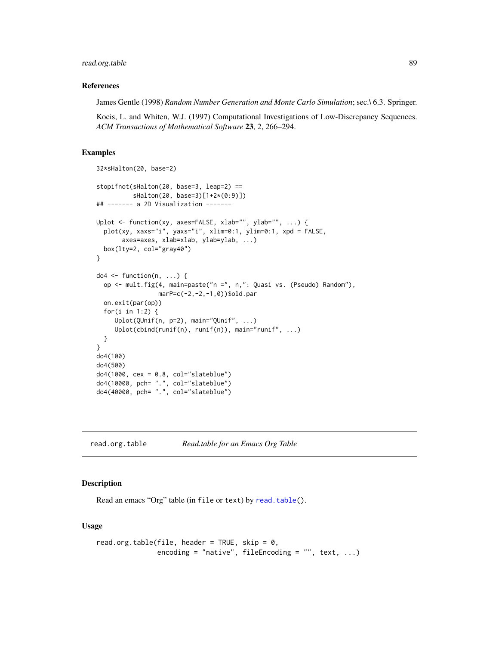# read.org.table 89

### References

James Gentle (1998) *Random Number Generation and Monte Carlo Simulation*; sec.\ 6.3. Springer.

Kocis, L. and Whiten, W.J. (1997) Computational Investigations of Low-Discrepancy Sequences. *ACM Transactions of Mathematical Software* 23, 2, 266–294.

# Examples

```
32*sHalton(20, base=2)
stopifnot(sHalton(20, base=3, leap=2) ==
         sHalton(20, base=3)[1+2*(0:9)])
## ------- a 2D Visualization -------
Uplot <- function(xy, axes=FALSE, xlab="", ylab="", ...) {
  plot(xy, xaxs="i", yaxs="i", xlim=0:1, ylim=0:1, xpd = FALSE,
       axes=axes, xlab=xlab, ylab=ylab, ...)
  box(lty=2, col="gray40")
}
do4 <- function(n, ...) {
  op <- mult.fig(4, main=paste("n =", n,": Quasi vs. (Pseudo) Random"),
                 marP=c(-2,-2,-1,0))$old.par
  on.exit(par(op))
  for(i in 1:2) {
    Uplot(QUnif(n, p=2), main="QUnif", ...)
     Uplot(cbind(runif(n), runif(n)), main="runif", ...)
  }
}
do4(100)
do4(500)
do4(1000, cex = 0.8, col="slateblue")
do4(10000, pch= ".", col="slateblue")
do4(40000, pch= ".", col="slateblue")
```
read.org.table *Read.table for an Emacs Org Table*

# Description

Read an emacs "Org" table (in file or text) by [read.table\(](#page-0-0)).

## Usage

```
read.org.table(file, header = TRUE, skip = 0,
               encoding = "native", fileEncoding = "", text, \ldots)
```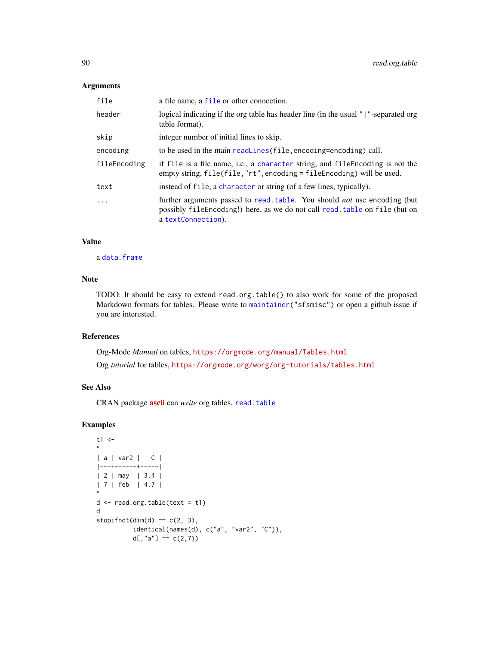# Arguments

| file         | a file name, a file or other connection.                                                                                                                                               |
|--------------|----------------------------------------------------------------------------------------------------------------------------------------------------------------------------------------|
| header       | logical indicating if the org table has header line (in the usual " "-separated org<br>table format).                                                                                  |
| skip         | integer number of initial lines to skip.                                                                                                                                               |
| encoding     | to be used in the main readLines (file, encoding=encoding) call.                                                                                                                       |
| fileEncoding | if file is a file name, i.e., a character string, and file Encoding is not the<br>empty string, file(file, "rt", encoding = file Encoding) will be used.                               |
| text         | instead of file, a character or string (of a few lines, typically).                                                                                                                    |
| $\ddots$ .   | further arguments passed to read. table. You should <i>not</i> use encoding (but<br>possibly file Encoding!) here, as we do not call read. table on file (but on<br>a textConnection). |

## Value

a [data.frame](#page-0-0)

## Note

TODO: It should be easy to extend read.org.table() to also work for some of the proposed Markdown formats for tables. Please write to [maintainer\(](#page-0-0)"sfsmisc") or open a github issue if you are interested.

## References

Org-Mode *Manual* on tables, <https://orgmode.org/manual/Tables.html>

Org *tutorial* for tables, <https://orgmode.org/worg/org-tutorials/tables.html>

# See Also

CRAN package [ascii](https://CRAN.R-project.org/package=ascii) can *write* org tables. [read.table](#page-0-0)

```
t1 <-
"
| a | var2 | C |
|---+------+-----|
| 2 | may | 3.4 |
| 7 | feb | 4.7 |
"
d <- read.org.table(text = t1)
d
stopifnot(dim(d) == c(2, 3),
          identical(names(d), c("a", "var2", "C")),
         d[, "a"] == c(2,7)
```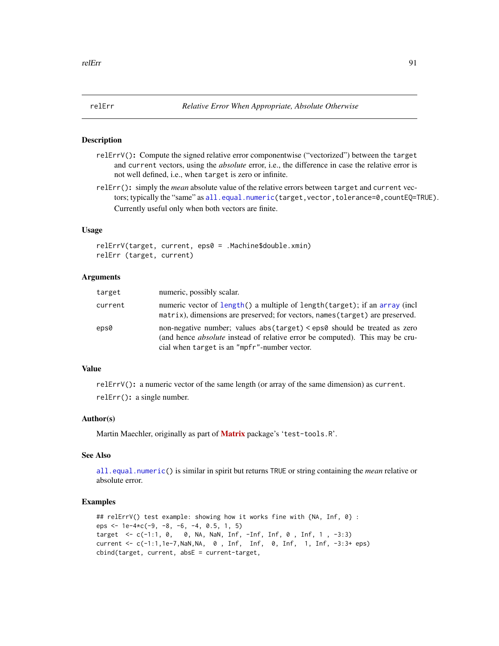## **Description**

- relErrV(): Compute the signed relative error componentwise ("vectorized") between the target and current vectors, using the *absolute* error, i.e., the difference in case the relative error is not well defined, i.e., when target is zero or infinite.
- relErr(): simply the *mean* absolute value of the relative errors between target and current vectors; typically the "same" as [all.equal.numeric\(](#page-0-0)target,vector,tolerance=0,countEQ=TRUE). Currently useful only when both vectors are finite.

### Usage

```
relErrV(target, current, eps0 = .Machine$double.xmin)
relErr (target, current)
```
## Arguments

| target  | numeric, possibly scalar.                                                                                                                                                                                       |
|---------|-----------------------------------------------------------------------------------------------------------------------------------------------------------------------------------------------------------------|
| current | numeric vector of length() a multiple of length(target); if an array (incl<br>matrix), dimensions are preserved; for vectors, names (target) are preserved.                                                     |
| eps0    | non-negative number; values abs(target) < eps0 should be treated as zero<br>(and hence <i>absolute</i> instead of relative error be computed). This may be cru-<br>cial when target is an "mpfr"-number vector. |

# Value

relErrV(): a numeric vector of the same length (or array of the same dimension) as current. relErr(): a single number.

## Author(s)

Martin Maechler, originally as part of [Matrix](https://CRAN.R-project.org/package=Matrix) package's 'test-tools.R'.

# See Also

[all.equal.numeric\(](#page-0-0)) is similar in spirit but returns TRUE or string containing the *mean* relative or absolute error.

```
## relErrV() test example: showing how it works fine with {NA, Inf, 0} :
eps \le 1e-4\starc(-9, -8, -6, -4, 0.5, 1, 5)
target <- c(-1:1, 0, 0, NA, NaN, Inf, -Inf, Inf, 0 , Inf, 1 , -3:3)
current <- c(-1:1,1e-7,NaN,NA, 0 , Inf, Inf, 0, Inf, 1, Inf, -3:3+ eps)
cbind(target, current, absE = current-target,
```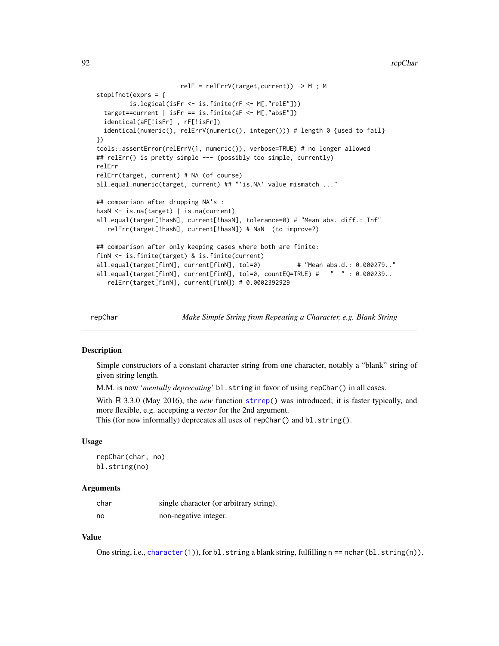```
relE = relErrV(target,current)) -> M ; M
stopifnot(exprs = {
        is.logical(isFr <- is.finite(rF <- M[,"relE"]))
 target==current | isFr == is.finite(aF <- M[,"absE"])
 identical(aF[!isFr] , rF[!isFr])
 identical(numeric(), relErrV(numeric(), integer())) # length 0 {used to fail}
})
tools::assertError(relErrV(1, numeric()), verbose=TRUE) # no longer allowed
## relErr() is pretty simple --- (possibly too simple, currently)
relErr
relErr(target, current) # NA (of course)
all.equal.numeric(target, current) ## "'is.NA' value mismatch ..."
## comparison after dropping NA's :
hasN <- is.na(target) | is.na(current)
all.equal(target[!hasN], current[!hasN], tolerance=0) # "Mean abs. diff.: Inf"
   relErr(target[!hasN], current[!hasN]) # NaN (to improve?)
## comparison after only keeping cases where both are finite:
finN <- is.finite(target) & is.finite(current)
all.equal(target[finN], current[finN], tol=0) # "Mean abs.d.: 0.000279.."
all.equal(target[finN], current[finN], tol=0, countEQ=TRUE) # " " : 0.000239..
   relErr(target[finN], current[finN]) # 0.0002392929
```
repChar *Make Simple String from Repeating a Character, e.g. Blank String*

## Description

Simple constructors of a constant character string from one character, notably a "blank" string of given string length.

M.M. is now *'mentally deprecating'* bl.string in favor of using repChar() in all cases.

With R 3.3.0 (May 2016), the *new* function [strrep\(](#page-0-0)) was introduced; it is faster typically, and more flexible, e.g. accepting a *vector* for the 2nd argument.

This (for now informally) deprecates all uses of repChar() and bl.string().

## Usage

repChar(char, no) bl.string(no)

### Arguments

| char | single character (or arbitrary string). |
|------|-----------------------------------------|
| no   | non-negative integer.                   |

## Value

One string, i.e., [character\(](#page-0-0)1)), for bl.string a blank string, fulfilling  $n == nchar(bl.string(n))$ .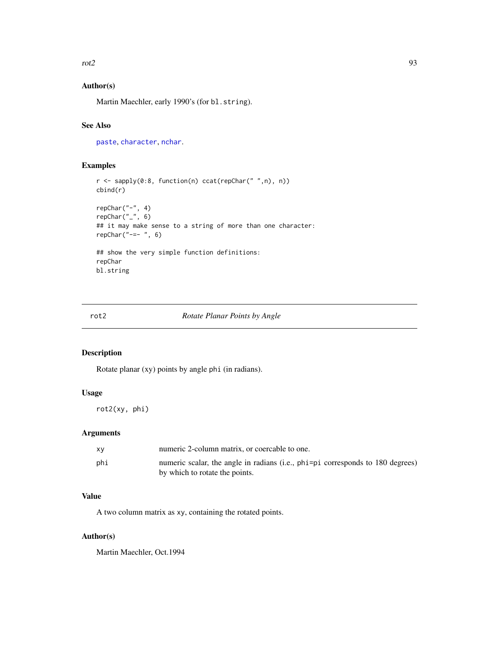$rot2$  93

# Author(s)

Martin Maechler, early 1990's (for bl.string).

# See Also

[paste](#page-0-0), [character](#page-0-0), [nchar](#page-0-0).

# Examples

```
r <- sapply(0:8, function(n) ccat(repChar(" ",n), n))
cbind(r)
repChar("-", 4)
repChar("", 6)
## it may make sense to a string of more than one character:
repChar("--- ", 6)## show the very simple function definitions:
repChar
bl.string
```
### <span id="page-92-0"></span>rot2 *Rotate Planar Points by Angle*

## Description

Rotate planar (xy) points by angle phi (in radians).

## Usage

rot2(xy, phi)

# Arguments

| XV  | numeric 2-column matrix, or coercable to one.                                  |
|-----|--------------------------------------------------------------------------------|
| phi | numeric scalar, the angle in radians (i.e., phi=pi corresponds to 180 degrees) |
|     | by which to rotate the points.                                                 |

# Value

A two column matrix as xy, containing the rotated points.

# Author(s)

Martin Maechler, Oct.1994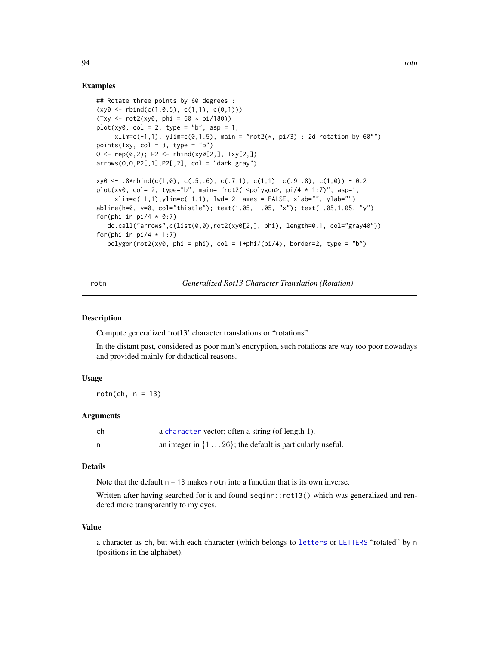### Examples

```
## Rotate three points by 60 degrees :
(xy0 \leq -rbind(c(1, 0.5), c(1, 1), c(0, 1)))(Txy \leq rot2(xy0, phi = 60 * pi/180))plot(xy0, col = 2, type = "b", asp = 1,xlim=c(-1,1), ylim=c(0,1.5), max = "rot2(*, pi/3) : 2d rotation by 60°")points(Txy, col = 3, type = nb')
0 \leq - rep(0,2); P2 \leq -rbind(xy0[2,], Txy[2,])arrows(0,0,P2[,1], P2[,2], col = "dark gray")xy0 \le -0.8*rbind(c(1,0), c(.5,.6), c(.7,1), c(1,1), c(.9,.8), c(1,0)) - 0.2plot(xy0, col= 2, type="b", main= "rot2( <polygon>, pi/4 * 1:7)", asp=1,
     xlim=c(-1,1), ylim=c(-1,1), lwd= 2, axes = FALSE, xlab="", ylab="")
abline(h=0, v=0, col="thistle"); text(1.05, -.05, "x"); text(-.05,1.05, "y")
for(phi in pi/4 * 0:7)
  do.call("arrows",c(list(0,0),rot2(xy0[2,], phi), length=0.1, col="gray40"))
for(phi in pi/4 * 1:7)
  polygon(rot2(xy\theta, phi = phi), col = 1+phi/(pi/4), border=2, type = "b")
```
rotn *Generalized Rot13 Character Translation (Rotation)*

### **Description**

Compute generalized 'rot13' character translations or "rotations"

In the distant past, considered as poor man's encryption, such rotations are way too poor nowadays and provided mainly for didactical reasons.

#### Usage

rotn(ch,  $n = 13$ )

### Arguments

| ch | a character vector; often a string (of length 1).                    |
|----|----------------------------------------------------------------------|
|    | an integer in $\{1 \dots 26\}$ ; the default is particularly useful. |

#### Details

Note that the default  $n = 13$  makes rotn into a function that is its own inverse.

Written after having searched for it and found seqinr::rot13() which was generalized and rendered more transparently to my eyes.

#### Value

a character as ch, but with each character (which belongs to [letters](#page-0-0) or [LETTERS](#page-0-0) "rotated" by n (positions in the alphabet).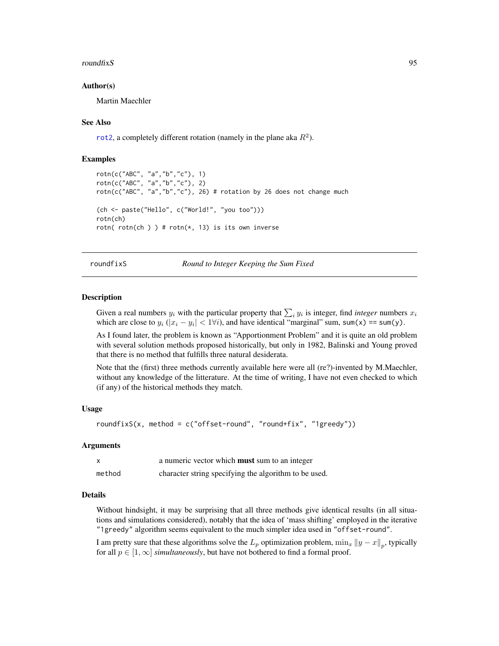### roundfixS 95

#### Author(s)

Martin Maechler

### See Also

[rot2](#page-92-0), a completely different rotation (namely in the plane aka  $R^2$ ).

### Examples

```
rotn(c("ABC", "a","b","c"), 1)
rotn(c("ABC", "a","b","c"), 2)
rotn(c("ABC", "a","b","c"), 26) # rotation by 26 does not change much
(ch <- paste("Hello", c("World!", "you too")))
rotn(ch)
rotn( rotn(ch ) ) # rotn(*, 13) is its own inverse
```
<span id="page-94-0"></span>roundfixS *Round to Integer Keeping the Sum Fixed*

### **Description**

Given a real numbers  $y_i$  with the particular property that  $\sum_i y_i$  is integer, find *integer* numbers  $x_i$ which are close to  $y_i$  ( $|x_i - y_i| < 1 \forall i$ ), and have identical "marginal" sum, sum(x) == sum(y).

As I found later, the problem is known as "Apportionment Problem" and it is quite an old problem with several solution methods proposed historically, but only in 1982, Balinski and Young proved that there is no method that fulfills three natural desiderata.

Note that the (first) three methods currently available here were all (re?)-invented by M.Maechler, without any knowledge of the litterature. At the time of writing, I have not even checked to which (if any) of the historical methods they match.

#### Usage

```
roundfixS(x, method = c("offset-round", "round+fix", "1greedy"))
```
#### Arguments

|        | a numeric vector which <b>must</b> sum to an integer  |
|--------|-------------------------------------------------------|
| method | character string specifying the algorithm to be used. |

#### Details

Without hindsight, it may be surprising that all three methods give identical results (in all situations and simulations considered), notably that the idea of 'mass shifting' employed in the iterative "1greedy" algorithm seems equivalent to the much simpler idea used in "offset-round".

I am pretty sure that these algorithms solve the  $L_p$  optimization problem,  $\min_x ||y - x||_p$ , typically for all  $p \in [1,\infty]$  *simultaneously*, but have not bothered to find a formal proof.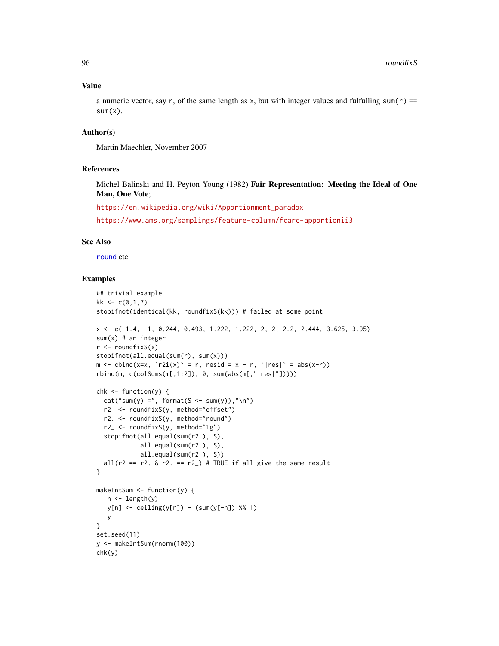### Value

a numeric vector, say r, of the same length as x, but with integer values and fulfulling sum( $r$ ) ==  $sum(x)$ .

# Author(s)

Martin Maechler, November 2007

## References

Michel Balinski and H. Peyton Young (1982) Fair Representation: Meeting the Ideal of One Man, One Vote;

[https://en.wikipedia.org/wiki/Apportionment\\_paradox](https://en.wikipedia.org/wiki/Apportionment_paradox)

<https://www.ams.org/samplings/feature-column/fcarc-apportionii3>

## See Also

[round](#page-0-0) etc

```
## trivial example
kk < -c(0,1,7)stopifnot(identical(kk, roundfixS(kk))) # failed at some point
x \leq -c(-1.4, -1, 0.244, 0.493, 1.222, 1.222, 2, 2, 2.2, 2.444, 3.625, 3.95)sum(x) # an integer
r <- roundfixS(x)stopifnot(all.equal(sum(r), sum(x)))
m \le - \text{cbind}(x=x, \text{ } 'r2i(x) ' = r, \text{ } resid = x - r, \text{ } '|res| ' = abs(x-r))rbind(m, c(colSums(m[,1:2]), 0, sum(abs(m[,"|res|"]))))
chk \leq-function(y) {
  cat("sum(y) =", format(S <- sum(y)), "\\n")r2 <- roundfixS(y, method="offset")
 r2. <- roundfixS(y, method="round")
  r2_ <- roundfixS(y, method="1g")
  stopifnot(all.equal(sum(r2 ), S),
            all.equal(sum(r2.), S),
            all.equal(sum(r2_), S))
  all(r2 == r2. & r2 = r2) # TRUE if all give the same result
}
makeIntSum <- function(y) {
   n \leftarrow length(y)
   y[n] <- ceiling(y[n]) - (sum(y[-n]) %% 1)
   y
}
set.seed(11)
y <- makeIntSum(rnorm(100))
chk(y)
```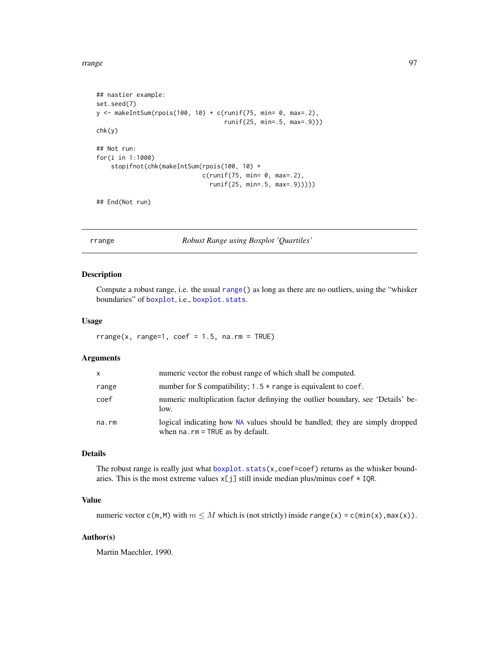```
## nastier example:
set.seed(7)
y <- makeIntSum(rpois(100, 10) + c(runif(75, min= 0, max=.2),
                                   runif(25, min=.5, max=.9)))
chk(y)
## Not run:
for(i in 1:1000)
    stopifnot(chk(makeIntSum(rpois(100, 10) +
                             c(runif(75, min= 0, max=.2),runif(25, min=.5, max=.9)))))
```
## End(Not run)

rrange *Robust Range using Boxplot 'Quartiles'*

## Description

Compute a robust range, i.e. the usual [range\(](#page-0-0)) as long as there are no outliers, using the "whisker boundaries" of [boxplot](#page-0-0), i.e., [boxplot.stats](#page-0-0).

### Usage

 $rrange(x, range=1, code = 1.5, na.rm = TRUE)$ 

## Arguments

| $\mathsf{x}$ | numeric vector the robust range of which shall be computed.                                                           |
|--------------|-----------------------------------------------------------------------------------------------------------------------|
| range        | number for S compatibility; $1.5 \times$ range is equivalent to coef.                                                 |
| coef         | numeric multiplication factor definying the outlier boundary, see 'Details' be-<br>low.                               |
| na.rm        | logical indicating how NA values should be handled; they are simply dropped<br>when $na$ . $rm = TRUE$ as by default. |

# Details

The robust range is really just what [boxplot.stats\(](#page-0-0)x,coef=coef) returns as the whisker boundaries. This is the most extreme values  $x[j]$  still inside median plus/minus coef  $*$  IQR.

# Value

numeric vector  $c(m,M)$  with  $m \leq M$  which is (not strictly) inside range(x) =  $c(min(x),max(x))$ .

### Author(s)

Martin Maechler, 1990.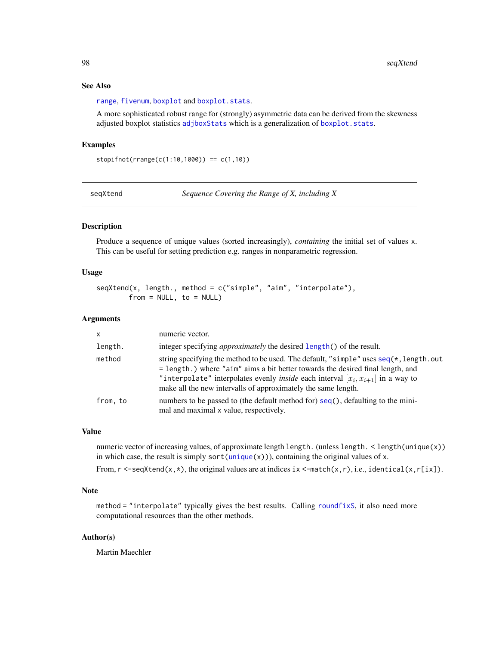## See Also

[range](#page-0-0), [fivenum](#page-0-0), [boxplot](#page-0-0) and [boxplot.stats](#page-0-0).

A more sophisticated robust range for (strongly) asymmetric data can be derived from the skewness adjusted boxplot statistics [adjboxStats](#page-0-0) which is a generalization of [boxplot.stats](#page-0-0).

# Examples

stopifnot(rrange(c(1:10,1000)) == c(1,10))

seqXtend *Sequence Covering the Range of X, including X*

### Description

Produce a sequence of unique values (sorted increasingly), *containing* the initial set of values x. This can be useful for setting prediction e.g. ranges in nonparametric regression.

## Usage

```
seqXtend(x, length., method = c("simple", "aim", "interpolate"),
       from = NULL, to = NULL)
```
### **Arguments**

| $\mathsf{x}$ | numeric vector.                                                                                                                                                                                                                                                                                                                          |
|--------------|------------------------------------------------------------------------------------------------------------------------------------------------------------------------------------------------------------------------------------------------------------------------------------------------------------------------------------------|
| length.      | integer specifying <i>approximately</i> the desired length() of the result.                                                                                                                                                                                                                                                              |
| method       | string specifying the method to be used. The default, "simple" uses $seq(*, length.out$<br>= length.) where "aim" aims a bit better towards the desired final length, and<br>"interpolate" interpolates evenly <i>inside</i> each interval $[x_i, x_{i+1}]$ in a way to<br>make all the new intervalls of approximately the same length. |
| from, to     | numbers to be passed to (the default method for) seq(), defaulting to the mini-<br>mal and maximal x value, respectively.                                                                                                                                                                                                                |

## Value

numeric vector of increasing values, of approximate length length. (unless length. < length(unique(x)) in which case, the result is simply sort[\(unique\(](#page-0-0)x))), containing the original values of x. From,  $r < -$ seqXtend(x,  $\star$ ), the original values are at indices ix  $\lt$ -match(x, r), i.e., identical(x, r[ix]).

## Note

method = "interpolate" typically gives the best results. Calling [roundfixS](#page-94-0), it also need more computational resources than the other methods.

### Author(s)

Martin Maechler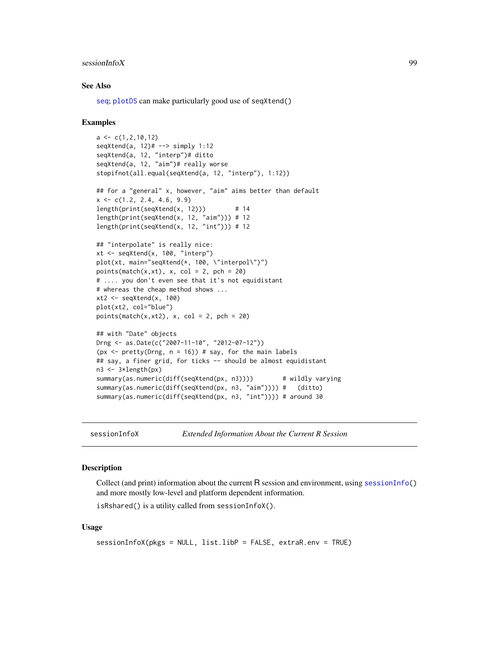### sessionInfoX 99

### See Also

[seq](#page-0-0); [plotDS](#page-70-0) can make particularly good use of seqXtend()

### Examples

```
a \leftarrow c(1, 2, 10, 12)seqXtend(a, 12)# --> simply 1:12
seqXtend(a, 12, "interp")# ditto
seqXtend(a, 12, "aim")# really worse
stopifnot(all.equal(seqXtend(a, 12, "interp"), 1:12))
## for a "general" x, however, "aim" aims better than default
x \leq -c(1.2, 2.4, 4.6, 9.9)length(print(seqXtend(x, 12))) # 14
length(print(seqXtend(x, 12, "aim"))) # 12
length(print(seqXtend(x, 12, "int")) # 12
## "interpolate" is really nice:
xt <- seqXtend(x, 100, "interp")
plot(xt, main="seqXtend(*, 100, \"interpol\")")
points(match(x,xt), x, col = 2, pch = 20)
# .... you don't even see that it's not equidistant
# whereas the cheap method shows ...
xt2 < - seqXtend(x, 100)
plot(xt2, col="blue")
points(match(x,xt2), x, col = 2, pch = 20)
## with "Date" objects
Drng <- as.Date(c("2007-11-10", "2012-07-12"))
(px \leq - pretty(Drng, n = 16)) # say, for the main labels
## say, a finer grid, for ticks -- should be almost equidistant
n3 <- 3*length(px)
summary(as.numeric(diff(seqXtend(px, n3)))) # wildly varying
summary(as.numeric(diff(seqXtend(px, n3, "aim")))) # (ditto)
summary(as.numeric(diff(seqXtend(px, n3, "int")))) # around 30
```
sessionInfoX *Extended Information About the Current R Session*

### Description

Collect (and print) information about the current R session and environment, using [sessionInfo\(](#page-0-0)) and more mostly low-level and platform dependent information.

isRshared() is a utility called from sessionInfoX().

### Usage

sessionInfoX(pkgs = NULL, list.libP = FALSE, extraR.env = TRUE)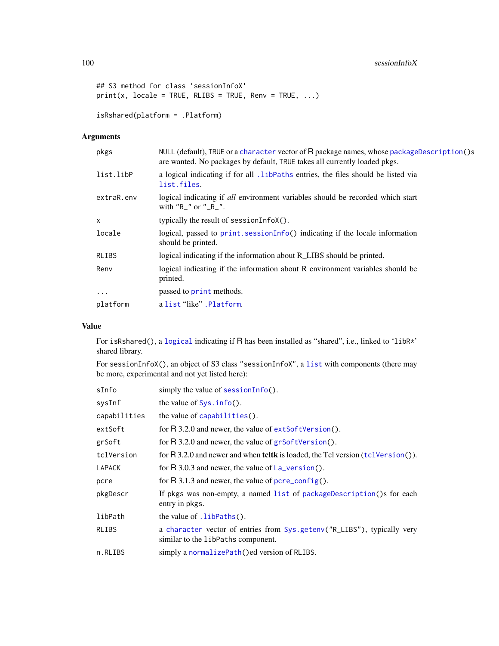# 100 sessionInfoX

```
## S3 method for class 'sessionInfoX'
print(x, locale = TRUE, RLIBS = TRUE, Renv = TRUE, ...)isRshared(platform = .Platform)
```
# Arguments

| pkgs       | NULL (default), TRUE or a character vector of $R$ package names, whose packageDescription()s<br>are wanted. No packages by default, TRUE takes all currently loaded pkgs. |
|------------|---------------------------------------------------------------------------------------------------------------------------------------------------------------------------|
| list.libP  | a logical indicating if for all .1ibPaths entries, the files should be listed via<br>list.files.                                                                          |
| extraR.env | logical indicating if all environment variables should be recorded which start<br>with "R_" or "_R_".                                                                     |
| $\times$   | typically the result of sessionInfoX().                                                                                                                                   |
| locale     | logical, passed to $print$ . sessionInfo() indicating if the locale information<br>should be printed.                                                                     |
| RLIBS      | logical indicating if the information about R_LIBS should be printed.                                                                                                     |
| Renv       | logical indicating if the information about R environment variables should be<br>printed.                                                                                 |
| $\ddots$   | passed to print methods.                                                                                                                                                  |
| platform   | a list "like". Platform.                                                                                                                                                  |
|            |                                                                                                                                                                           |

# Value

For isRshared(), a [logical](#page-0-0) indicating if R has been installed as "shared", i.e., linked to 'libR\*' shared library.

For sessionInfoX(), an object of S3 class "sessionInfoX", a [list](#page-0-0) with components (there may be more, experimental and not yet listed here):

| sInfo        | simply the value of $sensionInfo()$ .                                                                         |
|--------------|---------------------------------------------------------------------------------------------------------------|
| sysInf       | the value of $Sys.info()$ .                                                                                   |
| capabilities | the value of capabilities().                                                                                  |
| extSoft      | for $R$ 3.2.0 and newer, the value of $extSoftVersion()$ .                                                    |
| grSoft       | for $R$ 3.2.0 and newer, the value of $grSoftVersion()$ .                                                     |
| tclVersion   | for R 3.2.0 and newer and when teltk is loaded, the Tcl version (tcl Version()).                              |
| LAPACK       | for R 3.0.3 and newer, the value of $La-version()$ .                                                          |
| pcre         | for R 3.1.3 and newer, the value of $pere_{\text{config}}()$ .                                                |
| pkgDescr     | If pkgs was non-empty, a named list of package Description () s for each<br>entry in pkgs.                    |
| libPath      | the value of .1ibPaths().                                                                                     |
| RLIBS        | a character vector of entries from Sys.getenv("R_LIBS"), typically very<br>similar to the libPaths component. |
| n.RLIBS      | simply a normalizePath()ed version of RLIBS.                                                                  |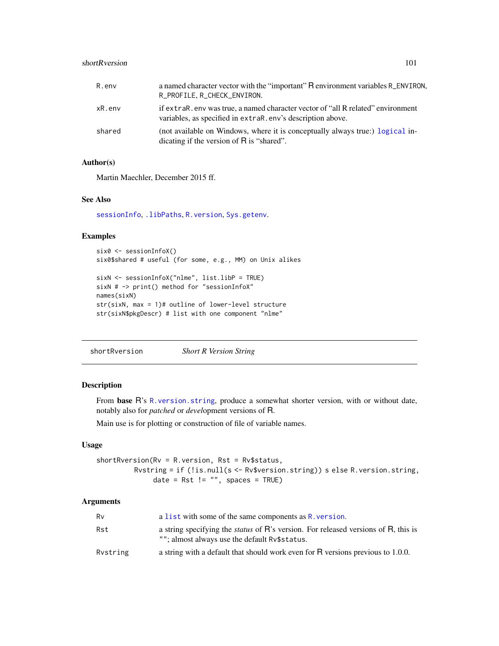## shortRversion 101

| R.env     | a named character vector with the "important" R environment variables R_ENVIRON,<br>R_PROFILE, R_CHECK_ENVIRON.                                 |
|-----------|-------------------------------------------------------------------------------------------------------------------------------------------------|
| $xR.$ env | if extraR. env was true, a named character vector of "all R related" environment<br>variables, as specified in extraR. env's description above. |
| shared    | (not available on Windows, where it is conceptually always true:) logical in-<br>dicating if the version of R is "shared".                      |

# Author(s)

Martin Maechler, December 2015 ff.

## See Also

[sessionInfo](#page-0-0), [.libPaths](#page-0-0), [R.version](#page-0-0), [Sys.getenv](#page-0-0).

### Examples

six0 <- sessionInfoX() six0\$shared # useful (for some, e.g., MM) on Unix alikes

```
sixN <- sessionInfoX("nlme", list.libP = TRUE)
sixN # -> print() method for "sessionInfoX"
names(sixN)
str(sixN, max = 1)# outline of lower-level structure
str(sixN$pkgDescr) # list with one component "nlme"
```
shortRversion *Short R Version String*

# Description

From base R's [R.version.string](#page-0-0), produce a somewhat shorter version, with or without date, notably also for *patched* or *devel*opment versions of R.

Main use is for plotting or construction of file of variable names.

### Usage

shortRversion(Rv = R.version, Rst = Rv\$status, Rvstring = if (!is.null(s <- Rv\$version.string)) s else R.version.string, date = Rst != "", spaces = TRUE)

### Arguments

| Rv       | a list with some of the same components as R. version.                                                                                     |
|----------|--------------------------------------------------------------------------------------------------------------------------------------------|
| Rst      | a string specifying the <i>status</i> of R's version. For released versions of R, this is<br>""; almost always use the default Ry\$status. |
| Rvstring | a string with a default that should work even for R versions previous to 1.0.0.                                                            |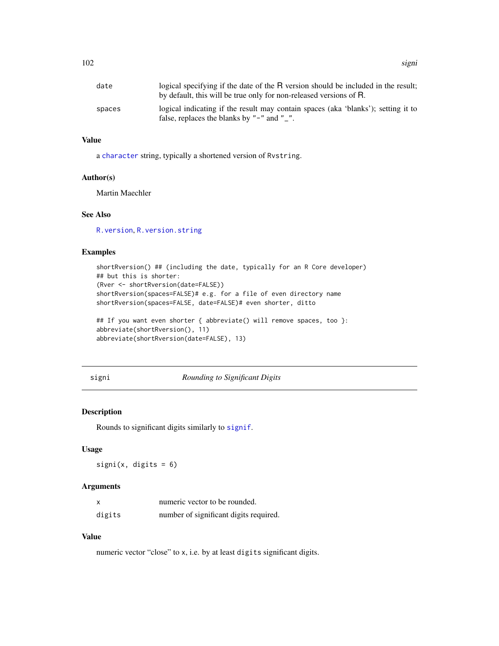| date   | logical specifying if the date of the R version should be included in the result;<br>by default, this will be true only for non-released versions of R. |
|--------|---------------------------------------------------------------------------------------------------------------------------------------------------------|
| spaces | logical indicating if the result may contain spaces (aka 'blanks'); setting it to<br>false, replaces the blanks by " $-$ " and " $-$ ".                 |

# Value

a [character](#page-0-0) string, typically a shortened version of Rvstring.

## Author(s)

Martin Maechler

## See Also

[R.version](#page-0-0), [R.version.string](#page-0-0)

# Examples

```
shortRversion() ## (including the date, typically for an R Core developer)
## but this is shorter:
(Rver <- shortRversion(date=FALSE))
shortRversion(spaces=FALSE)# e.g. for a file of even directory name
shortRversion(spaces=FALSE, date=FALSE)# even shorter, ditto
```

```
## If you want even shorter { abbreviate() will remove spaces, too }:
abbreviate(shortRversion(), 11)
abbreviate(shortRversion(date=FALSE), 13)
```
signi *Rounding to Significant Digits*

# Description

Rounds to significant digits similarly to [signif](#page-0-0).

## Usage

 $signi(x, \text{ digits} = 6)$ 

### Arguments

| X      | numeric vector to be rounded.          |
|--------|----------------------------------------|
| digits | number of significant digits required. |

## Value

numeric vector "close" to x, i.e. by at least digits significant digits.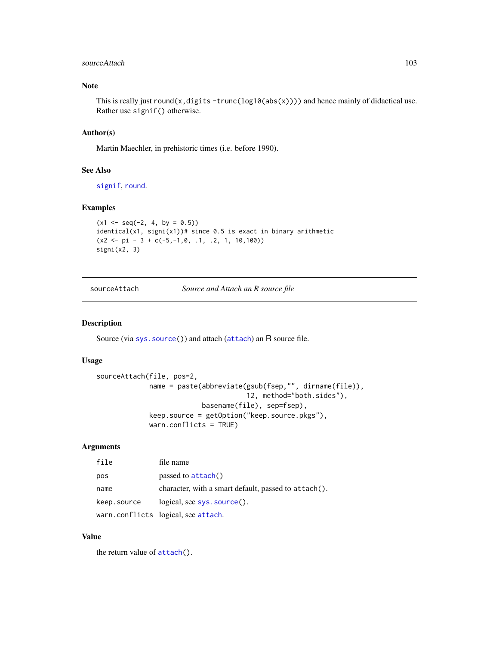### sourceAttach 103

## Note

This is really just round(x, digits -trunc(log10(abs(x)))) and hence mainly of didactical use. Rather use signif() otherwise.

## Author(s)

Martin Maechler, in prehistoric times (i.e. before 1990).

## See Also

[signif](#page-0-0), [round](#page-0-0).

## Examples

```
(x1 \leq -\text{seq}(-2, 4, \text{ by } = 0.5))identical(x1, signi(x1))# since 0.5 is exact in binary arithmetic
(x2 \le -pi - 3 + c(-5, -1, 0, 1, 2, 1, 10, 100))signi(x2, 3)
```
sourceAttach *Source and Attach an R source file*

# Description

Source (via sys. source()) and [attach](#page-0-0) (attach) an R source file.

### Usage

```
sourceAttach(file, pos=2,
             name = paste(abbreviate(gsub(fsep,"", dirname(file)),
                                     12, method="both.sides"),
                          basename(file), sep=fsep),
             keep.source = getOption("keep.source.pkgs"),
             warn.conflicts = TRUE)
```
## Arguments

| file        | file name                                            |
|-------------|------------------------------------------------------|
| pos         | passed to attach()                                   |
| name        | character, with a smart default, passed to attach(). |
| keep.source | $logical, see sys.source().$                         |
|             | warn.conflicts logical, see attach.                  |

# Value

the return value of [attach\(](#page-0-0)).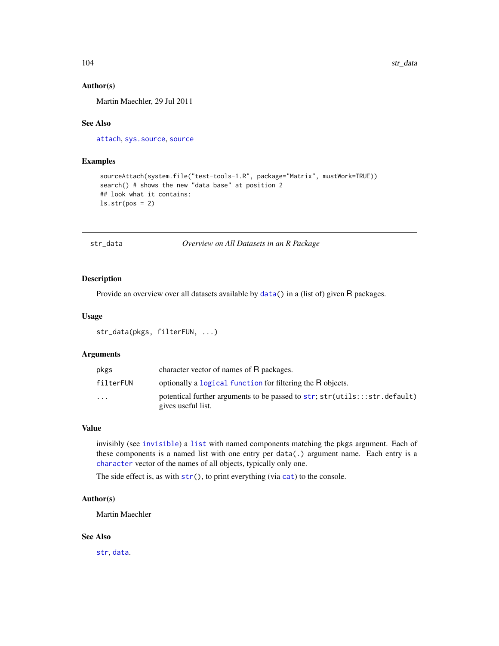### Author(s)

Martin Maechler, 29 Jul 2011

# See Also

[attach](#page-0-0), [sys.source](#page-0-0), [source](#page-0-0)

# Examples

```
sourceAttach(system.file("test-tools-1.R", package="Matrix", mustWork=TRUE))
search() # shows the new "data base" at position 2
## look what it contains:
ls.str(pos = 2)
```
str\_data *Overview on All Datasets in an R Package*

## Description

Provide an overview over all datasets available by [data\(](#page-0-0)) in a (list of) given R packages.

### Usage

str\_data(pkgs, filterFUN, ...)

## Arguments

| pkgs      | character vector of names of R packages.                                                         |
|-----------|--------------------------------------------------------------------------------------------------|
| filterFUN | optionally a logical function for filtering the R objects.                                       |
| $\cdots$  | potentical further arguments to be passed to str; str(utils:::str.default)<br>gives useful list. |

### Value

invisibly (see [invisible](#page-0-0)) a [list](#page-0-0) with named components matching the pkgs argument. Each of these components is a named list with one entry per data(.) argument name. Each entry is a [character](#page-0-0) vector of the names of all objects, typically only one.

The side effect is, as with  $str()$  $str()$ , to print everything (via [cat](#page-0-0)) to the console.

## Author(s)

Martin Maechler

# See Also

[str](#page-0-0), [data](#page-0-0).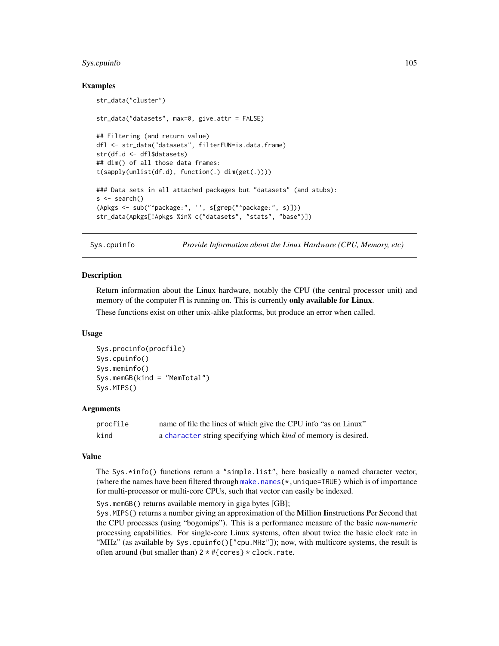# Sys.cpuinfo 105

## Examples

```
str_data("cluster")
str_data("datasets", max=0, give.attr = FALSE)
## Filtering (and return value)
dfl <- str_data("datasets", filterFUN=is.data.frame)
str(df.d <- dfl$datasets)
## dim() of all those data frames:
t(sapply(unlist(df.d), function(.) dim(get(.))))
### Data sets in all attached packages but "datasets" (and stubs):
s <- search()
(Apkgs <- sub("^package:", '', s[grep("^package:", s)]))
str_data(Apkgs[!Apkgs %in% c("datasets", "stats", "base")])
```
Sys.cpuinfo *Provide Information about the Linux Hardware (CPU, Memory, etc)*

#### **Description**

Return information about the Linux hardware, notably the CPU (the central processor unit) and memory of the computer R is running on. This is currently only available for Linux.

These functions exist on other unix-alike platforms, but produce an error when called.

### Usage

```
Sys.procinfo(procfile)
Sys.cpuinfo()
Sys.meminfo()
Sys.memGB(kind = "MemTotal")
Sys.MIPS()
```
## Arguments

| procfile | name of file the lines of which give the CPU info "as on Linux"       |
|----------|-----------------------------------------------------------------------|
| kind     | a character string specifying which <i>kind</i> of memory is desired. |

# Value

The Sys.\*info() functions return a "simple.list", here basically a named character vector, (where the names have been filtered through make.names $(*,$ unique=TRUE) which is of importance for multi-processor or multi-core CPUs, such that vector can easily be indexed.

Sys.memGB() returns available memory in giga bytes [GB];

Sys.MIPS() returns a number giving an approximation of the Million Iinstructions Per Second that the CPU processes (using "bogomips"). This is a performance measure of the basic *non-numeric* processing capabilities. For single-core Linux systems, often about twice the basic clock rate in "MHz" (as available by Sys.cpuinfo()["cpu.MHz"]); now, with multicore systems, the result is often around (but smaller than) 2 \* #{cores} \* clock.rate.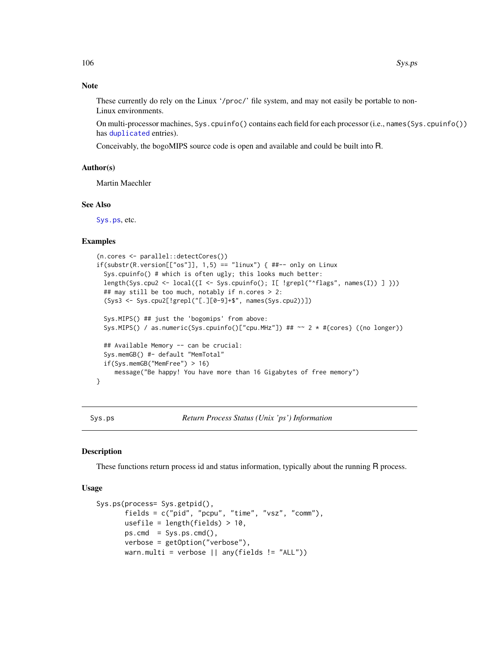## Note

These currently do rely on the Linux '/proc/' file system, and may not easily be portable to non-Linux environments.

On multi-processor machines, Sys.cpuinfo() contains each field for each processor (i.e., names(Sys.cpuinfo()) has [duplicated](#page-0-0) entries).

Conceivably, the bogoMIPS source code is open and available and could be built into R.

## Author(s)

Martin Maechler

### See Also

[Sys.ps](#page-105-0), etc.

### Examples

```
(n.cores <- parallel::detectCores())
if(substr(R.version[["os"]], 1,5) == "linux") { #+- only on Linux}Sys.cpuinfo() # which is often ugly; this looks much better:
 length(Sys.cpu2 <- local({I <- Sys.cpuinfo(); I[ !grepl("^flags", names(I)) ] }))
 ## may still be too much, notably if n.cores > 2:
  (Sys3 <- Sys.cpu2[!grepl("[.][0-9]+$", names(Sys.cpu2))])
 Sys.MIPS() ## just the 'bogomips' from above:
 Sys.MIPS() / as.numeric(Sys.cpuinfo()["cpu.MHz"]) ## \sim 2 * #{cores} ((no longer))
 ## Available Memory -- can be crucial:
 Sys.memGB() #- default "MemTotal"
 if(Sys.memGB("MemFree") > 16)
     message("Be happy! You have more than 16 Gigabytes of free memory")
}
```
<span id="page-105-0"></span>Sys.ps *Return Process Status (Unix 'ps') Information*

### Description

These functions return process id and status information, typically about the running R process.

## Usage

```
Sys.ps(process= Sys.getpid(),
      fields = c("pid", "pcpu", "time", "vsz", "comm"),
      usefile = length(fields) > 10,
      pscmd = Sys.ps.cmd(),verbose = getOption("verbose"),
      warn.multi = verbose || any(fields != "ALL"))
```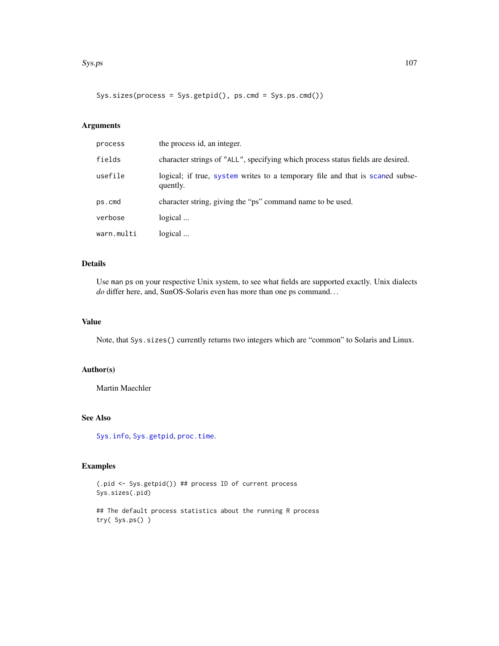### $\text{Sys}$ , ps  $\frac{107}{200}$

Sys.sizes(process = Sys.getpid(), ps.cmd = Sys.ps.cmd())

# Arguments

| process    | the process id, an integer.                                                               |
|------------|-------------------------------------------------------------------------------------------|
| fields     | character strings of "ALL", specifying which process status fields are desired.           |
| usefile    | logical; if true, system writes to a temporary file and that is scaned subse-<br>quently. |
| ps.cmd     | character string, giving the "ps" command name to be used.                                |
| verbose    | logical                                                                                   |
| warn.multi | logical                                                                                   |

# Details

Use man ps on your respective Unix system, to see what fields are supported exactly. Unix dialects *do* differ here, and, SunOS-Solaris even has more than one ps command. . .

## Value

Note, that Sys.sizes() currently returns two integers which are "common" to Solaris and Linux.

## Author(s)

Martin Maechler

# See Also

[Sys.info](#page-0-0), [Sys.getpid](#page-0-0), [proc.time](#page-0-0).

# Examples

(.pid <- Sys.getpid()) ## process ID of current process Sys.sizes(.pid)

## The default process statistics about the running R process try( Sys.ps() )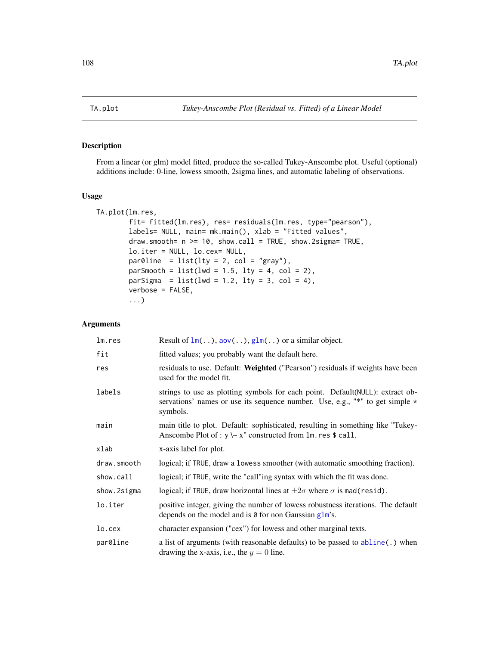# Description

From a linear (or glm) model fitted, produce the so-called Tukey-Anscombe plot. Useful (optional) additions include: 0-line, lowess smooth, 2sigma lines, and automatic labeling of observations.

### Usage

```
TA.plot(lm.res,
        fit= fitted(lm.res), res= residuals(lm.res, type="pearson"),
        labels= NULL, main= mk.main(), xlab = "Fitted values",
        draw.smooth= n >= 10, show.call = TRUE, show.2sigma= TRUE,
        lo.iter = NULL, lo.cex= NULL,
        par@line = list(lty = 2, col = "gray"),parSmooth = list(lwd = 1.5, lty = 4, col = 2),parSigma = list(lwd = 1.2, lty = 3, col = 4),
        verbose = FALSE,
        ...)
```
# Arguments

| lm.res      | Result of $lm()$ , aov $()$ , $glm()$ or a similar object.                                                                                                                   |
|-------------|------------------------------------------------------------------------------------------------------------------------------------------------------------------------------|
| fit         | fitted values; you probably want the default here.                                                                                                                           |
| res         | residuals to use. Default: Weighted ("Pearson") residuals if weights have been<br>used for the model fit.                                                                    |
| labels      | strings to use as plotting symbols for each point. Default (NULL): extract ob-<br>servations' names or use its sequence number. Use, e.g., "*" to get simple $*$<br>symbols. |
| main        | main title to plot. Default: sophisticated, resulting in something like "Tukey-<br>Anscombe Plot of : $y \sim x''$ constructed from $\text{Im} \cdot \text{res } \$$ call.   |
| xlab        | x-axis label for plot.                                                                                                                                                       |
| draw.smooth | logical; if TRUE, draw a lowess smoother (with automatic smoothing fraction).                                                                                                |
| show.call   | logical; if TRUE, write the "call"ing syntax with which the fit was done.                                                                                                    |
| show.2sigma | logical; if TRUE, draw horizontal lines at $\pm 2\sigma$ where $\sigma$ is mad(resid).                                                                                       |
| lo.iter     | positive integer, giving the number of lowess robustness iterations. The default<br>depends on the model and is $\theta$ for non Gaussian glm's.                             |
| lo.cex      | character expansion ("cex") for lowess and other marginal texts.                                                                                                             |
| par0line    | a list of arguments (with reasonable defaults) to be passed to abline(.) when<br>drawing the x-axis, i.e., the $y = 0$ line.                                                 |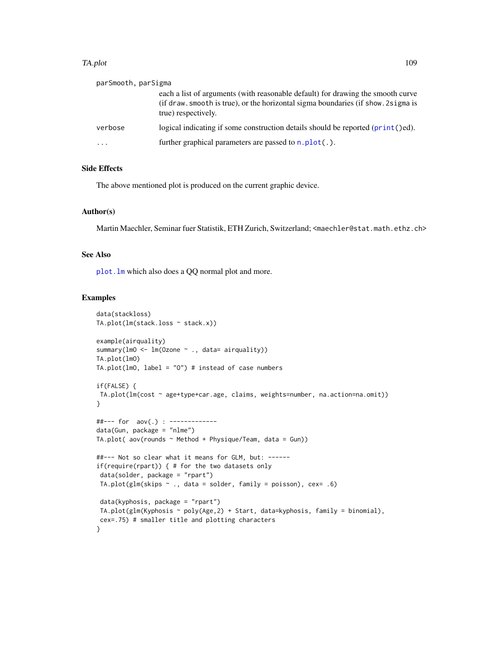#### <span id="page-108-0"></span>TA.plot 109

| parSmooth, parSigma     |                                                                                                                                                                                              |
|-------------------------|----------------------------------------------------------------------------------------------------------------------------------------------------------------------------------------------|
|                         | each a list of arguments (with reasonable default) for drawing the smooth curve<br>(if draw, smooth is true), or the horizontal sigma boundaries (if show, 2 sigma is<br>true) respectively. |
| verbose                 | logical indicating if some construction details should be reported $(print()ed)$ .                                                                                                           |
| $\cdot$ $\cdot$ $\cdot$ | further graphical parameters are passed to $n.plot(.)$ .                                                                                                                                     |

# Side Effects

The above mentioned plot is produced on the current graphic device.

# Author(s)

Martin Maechler, Seminar fuer Statistik, ETH Zurich, Switzerland; <maechler@stat.math.ethz.ch>

# See Also

[plot.lm](#page-0-0) which also does a QQ normal plot and more.

```
data(stackloss)
TA.plot(lm(stack.loss ~ stack.x))
example(airquality)
summary(lmO <- lm(Ozone ~ ., data= airquality))
TA.plot(lmO)
TA.plot(lmO, label = "O") # instead of case numbers
if(FALSE) {
TA.plot(lm(cost ~ age+type+car.age, claims, weights=number, na.action=na.omit))
}
##--- for aov(.) : -------------
data(Gun, package = "nlme")
TA.plot( aov(rounds \sim Method + Physique/Team, data = Gun))
##--- Not so clear what it means for GLM, but: ------
if(require(rpart)) { # for the two datasets only
data(solder, package = "rpart")
TA.plot(glm(skips \sim ., data = solder, family = poisson), cex= .6)
data(kyphosis, package = "rpart")
TA.plot(glm(Kyphosis ~ poly(Age,2) + Start, data=kyphosis, family = binomial),
cex=.75) # smaller title and plotting characters
}
```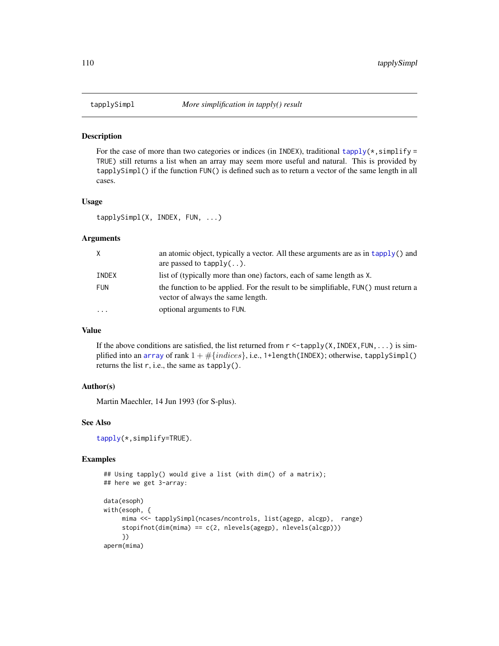<span id="page-109-0"></span>

For the case of more than two categories or indices (in INDEX), traditional [tapply\(](#page-0-0) $\star$ , simplify = TRUE) still returns a list when an array may seem more useful and natural. This is provided by tapplySimpl() if the function FUN() is defined such as to return a vector of the same length in all cases.

#### Usage

tapplySimpl(X, INDEX, FUN, ...)

#### Arguments

| X          | an atomic object, typically a vector. All these arguments are as in tapply() and<br>are passed to $t$ apply $($ ).      |
|------------|-------------------------------------------------------------------------------------------------------------------------|
| INDEX      | list of (typically more than one) factors, each of same length as X.                                                    |
| <b>FUN</b> | the function to be applied. For the result to be simplifiable, FUN() must return a<br>vector of always the same length. |
| $\ddotsc$  | optional arguments to FUN.                                                                                              |

# Value

If the above conditions are satisfied, the list returned from  $r <$  -tapply(X, INDEX, FUN, ...) is simplified into an [array](#page-0-0) of rank  $1 + \#\{indices\}$ , i.e., 1+length(INDEX); otherwise, tapplySimpl() returns the list r, i.e., the same as tapply().

# Author(s)

Martin Maechler, 14 Jun 1993 (for S-plus).

# See Also

[tapply\(](#page-0-0)\*,simplify=TRUE).

```
## Using tapply() would give a list (with dim() of a matrix);
## here we get 3-array:
data(esoph)
with(esoph, {
     mima <<- tapplySimpl(ncases/ncontrols, list(agegp, alcgp), range)
     stopifnot(dim(mima) == c(2, nlevels(agegp), nlevels(alcgp)))
     })
aperm(mima)
```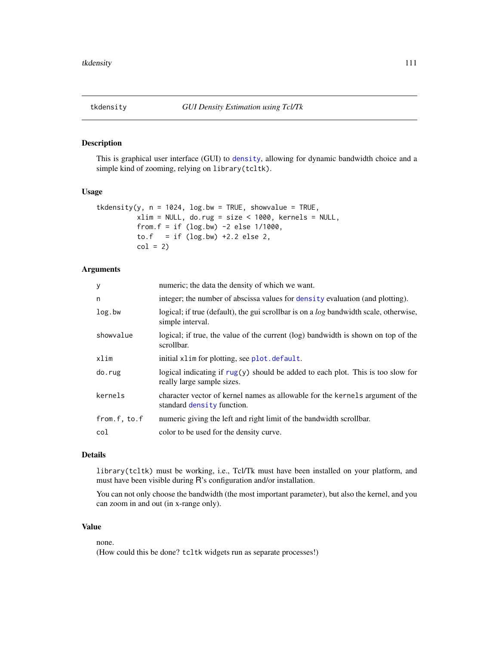<span id="page-110-0"></span>This is graphical user interface (GUI) to [density](#page-0-0), allowing for dynamic bandwidth choice and a simple kind of zooming, relying on library(tcltk).

# Usage

```
tkdensity(y, n = 1024, log.bw = TRUE, showvalue = TRUE,
         xlim = NULL, do.rug = size < 1000, kernels = NULL,
         from.f = if (log.bw) -2 else 1/1000,
         to.f = if (log.bw) +2.2 else 2,
         col = 2
```
# Arguments

| numeric; the data the density of which we want.                                                                  |
|------------------------------------------------------------------------------------------------------------------|
| integer; the number of abscissa values for density evaluation (and plotting).                                    |
| logical; if true (default), the gui scrollbar is on a <i>log</i> bandwidth scale, otherwise,<br>simple interval. |
| logical; if true, the value of the current (log) bandwidth is shown on top of the<br>scrollbar.                  |
| initial xlim for plotting, see plot. default.                                                                    |
| logical indicating if $rug(y)$ should be added to each plot. This is too slow for<br>really large sample sizes.  |
| character vector of kernel names as allowable for the kernels argument of the<br>standard density function.      |
| numeric giving the left and right limit of the bandwidth scrollbar.                                              |
| color to be used for the density curve.                                                                          |
|                                                                                                                  |

# Details

library(tcltk) must be working, i.e., Tcl/Tk must have been installed on your platform, and must have been visible during R's configuration and/or installation.

You can not only choose the bandwidth (the most important parameter), but also the kernel, and you can zoom in and out (in x-range only).

# Value

none.

(How could this be done? tcltk widgets run as separate processes!)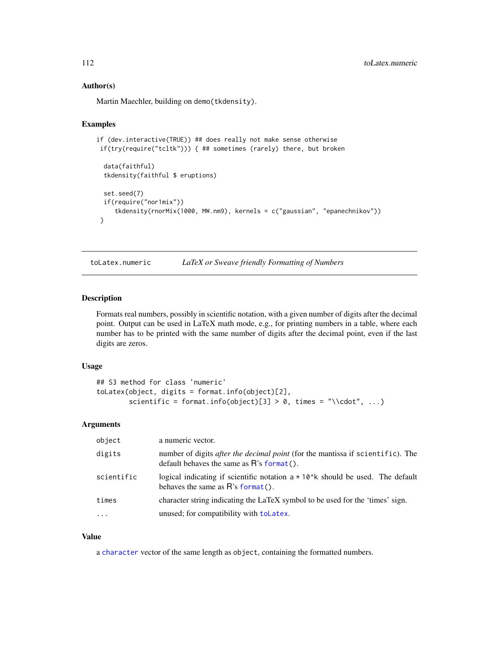#### Author(s)

Martin Maechler, building on demo(tkdensity).

#### Examples

```
if (dev.interactive(TRUE)) ## does really not make sense otherwise
if(try(require("tcltk"))) { ## sometimes (rarely) there, but broken
 data(faithful)
 tkdensity(faithful $ eruptions)
 set.seed(7)
 if(require("nor1mix"))
     tkdensity(rnorMix(1000, MW.nm9), kernels = c("gaussian", "epanechnikov"))
 }
```
toLatex.numeric *LaTeX or Sweave friendly Formatting of Numbers*

# Description

Formats real numbers, possibly in scientific notation, with a given number of digits after the decimal point. Output can be used in LaTeX math mode, e.g., for printing numbers in a table, where each number has to be printed with the same number of digits after the decimal point, even if the last digits are zeros.

# Usage

```
## S3 method for class 'numeric'
toLatex(object, digits = format.info(object)[2],
        scientific = format.info(object)[3] > 0, times = "\\cdot", ...)
```
#### Arguments

| object     | a numeric vector.                                                                                                                     |
|------------|---------------------------------------------------------------------------------------------------------------------------------------|
| digits     | number of digits <i>after the decimal point</i> (for the mantissa if scientific). The<br>default behaves the same as $R$ 's format(). |
| scientific | logical indicating if scientific notation $a \star 10$ k should be used. The default<br>behaves the same as $R$ 's format().          |
| times      | character string indicating the LaTeX symbol to be used for the 'times' sign.                                                         |
| $\ddotsc$  | unused; for compatibility with toLatex.                                                                                               |

#### Value

a [character](#page-0-0) vector of the same length as object, containing the formatted numbers.

<span id="page-111-0"></span>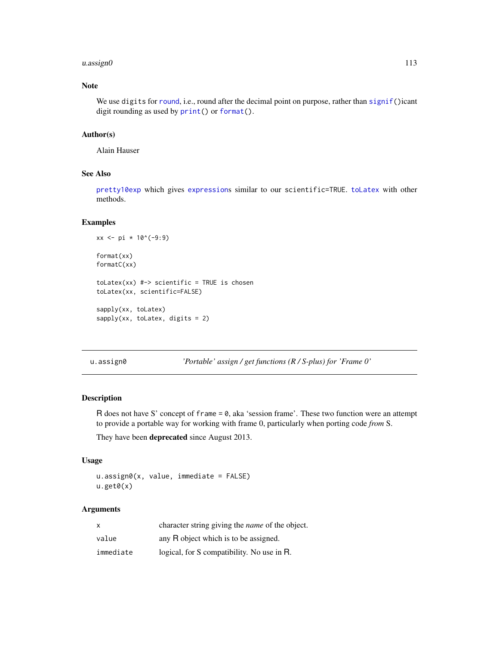#### <span id="page-112-0"></span>u.assign $0$  113

# Note

We use digits for [round](#page-0-0), i.e., round after the decimal point on purpose, rather than [signif\(](#page-0-0))icant digit rounding as used by  $print()$  $print()$  or [format\(](#page-0-0)).

# Author(s)

Alain Hauser

# See Also

[pretty10exp](#page-77-0) which gives [expression](#page-0-0)s similar to our scientific=TRUE. [toLatex](#page-0-0) with other methods.

# Examples

```
xx <- pi * 10^(-9:9)
format(xx)
formatC(xx)
tolates(xx) #-> scientific = TRUE is chosen
toLatex(xx, scientific=FALSE)
sapply(xx, toLatex)
sapply(xx, toLatex, digits = 2)
```
u.assign0 *'Portable' assign / get functions (R / S-plus) for 'Frame 0'*

#### Description

R does not have S' concept of frame = 0, aka 'session frame'. These two function were an attempt to provide a portable way for working with frame 0, particularly when porting code *from* S.

They have been deprecated since August 2013.

#### Usage

u.assign0(x, value, immediate = FALSE)  $u.get0(x)$ 

#### Arguments

| $\times$  | character string giving the <i>name</i> of the object. |
|-----------|--------------------------------------------------------|
| value     | any R object which is to be assigned.                  |
| immediate | logical, for S compatibility. No use in R.             |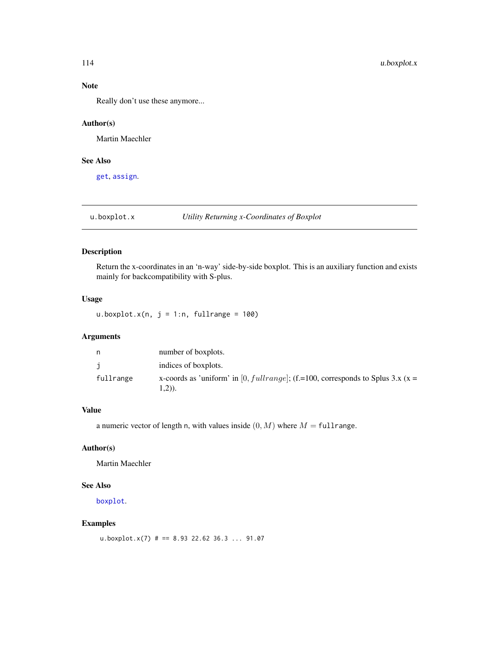# Note

Really don't use these anymore...

# Author(s)

Martin Maechler

# See Also

[get](#page-0-0), [assign](#page-0-0).

u.boxplot.x *Utility Returning x-Coordinates of Boxplot*

# Description

Return the x-coordinates in an 'n-way' side-by-side boxplot. This is an auxiliary function and exists mainly for backcompatibility with S-plus.

# Usage

u.boxplot.x(n,  $j = 1:n$ , fullrange = 100)

# Arguments

| n         | number of boxplots.                                                                       |
|-----------|-------------------------------------------------------------------------------------------|
|           | indices of boxplots.                                                                      |
| fullrange | x-coords as 'uniform' in [0, fullrange]; (f.=100, corresponds to Splus 3.x (x =<br>1,2)). |

# Value

a numeric vector of length n, with values inside  $(0, M)$  where  $M = \text{full range}$ .

# Author(s)

Martin Maechler

# See Also

[boxplot](#page-0-0).

# Examples

u.boxplot.x(7) # == 8.93 22.62 36.3 ... 91.07

<span id="page-113-0"></span>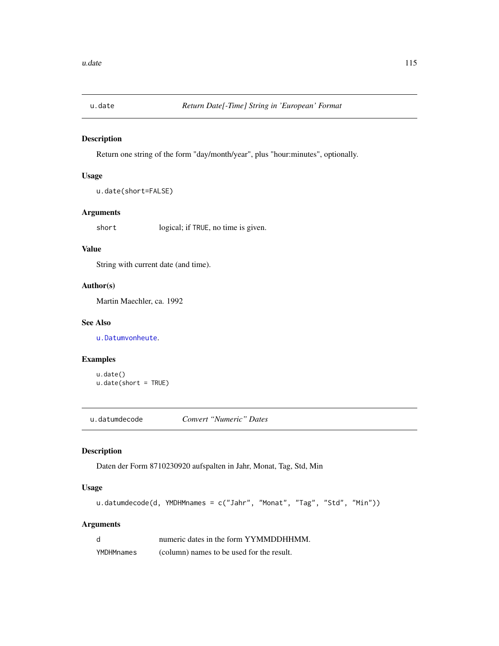<span id="page-114-1"></span><span id="page-114-0"></span>

Return one string of the form "day/month/year", plus "hour:minutes", optionally.

# Usage

```
u.date(short=FALSE)
```
# Arguments

short logical; if TRUE, no time is given.

# Value

String with current date (and time).

#### Author(s)

Martin Maechler, ca. 1992

# See Also

[u.Datumvonheute](#page-115-0).

# Examples

```
u.date()
u.date(short = TRUE)
```
u.datumdecode *Convert "Numeric" Dates*

# Description

Daten der Form 8710230920 aufspalten in Jahr, Monat, Tag, Std, Min

# Usage

```
u.datumdecode(d, YMDHMnames = c("Jahr", "Monat", "Tag", "Std", "Min"))
```
# Arguments

| d          | numeric dates in the form YYMMDDHHMM.     |
|------------|-------------------------------------------|
| YMDHMnames | (column) names to be used for the result. |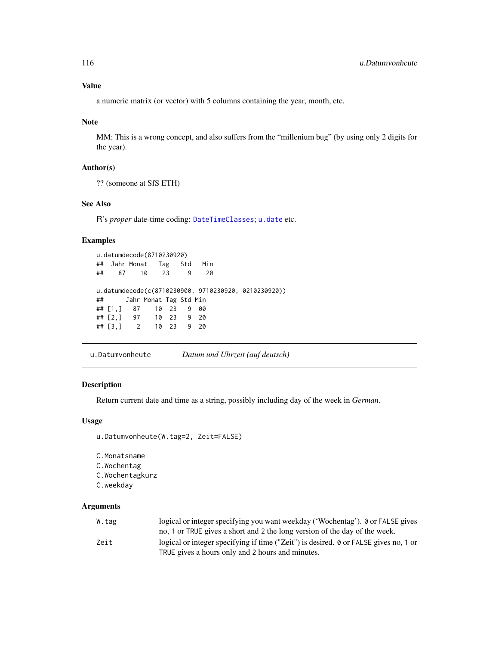#### <span id="page-115-1"></span>Value

a numeric matrix (or vector) with 5 columns containing the year, month, etc.

#### Note

MM: This is a wrong concept, and also suffers from the "millenium bug" (by using only 2 digits for the year).

#### Author(s)

?? (someone at SfS ETH)

# See Also

R's *proper* date-time coding: [DateTimeClasses](#page-0-0); [u.date](#page-114-0) etc.

#### Examples

```
u.datumdecode(8710230920)
## Jahr Monat Tag Std Min
## 87 10 23 9 20
u.datumdecode(c(8710230900, 9710230920, 0210230920))
## Jahr Monat Tag Std Min
## [1,] 87 10 23 9 00
## [2,] 97 10 23 9 20
## [3,] 2 10 23 9 20
```
<span id="page-115-0"></span>u.Datumvonheute *Datum und Uhrzeit (auf deutsch)*

# Description

Return current date and time as a string, possibly including day of the week in *German*.

# Usage

```
u.Datumvonheute(W.tag=2, Zeit=FALSE)
```
C.Monatsname C.Wochentag C.Wochentagkurz C.weekday

# Arguments

| W.tag | logical or integer specifying you want weekday ('Wochentag'). 0 or FALSE gives       |
|-------|--------------------------------------------------------------------------------------|
|       | no, 1 or TRUE gives a short and 2 the long version of the day of the week.           |
| Zeit  | logical or integer specifying if time ("Zeit") is desired. 0 or FALSE gives no, 1 or |
|       | TRUE gives a hours only and 2 hours and minutes.                                     |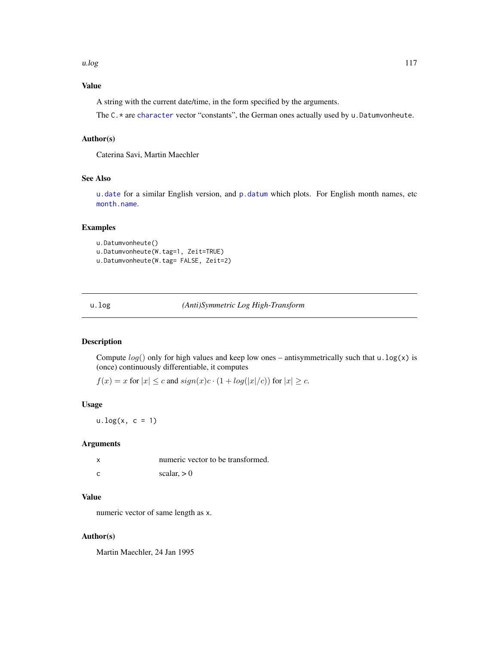# <span id="page-116-0"></span>Value

A string with the current date/time, in the form specified by the arguments.

The C.\* are [character](#page-0-0) vector "constants", the German ones actually used by u.Datumvonheute.

# Author(s)

Caterina Savi, Martin Maechler

# See Also

[u.date](#page-114-0) for a similar English version, and [p.datum](#page-56-0) which plots. For English month names, etc [month.name](#page-0-0).

#### Examples

```
u.Datumvonheute()
u.Datumvonheute(W.tag=1, Zeit=TRUE)
u.Datumvonheute(W.tag= FALSE, Zeit=2)
```
u.log *(Anti)Symmetric Log High-Transform*

# Description

Compute  $log()$  only for high values and keep low ones – antisymmetrically such that u.  $log(x)$  is (once) continuously differentiable, it computes

 $f(x) = x$  for  $|x| \le c$  and  $sign(x)c \cdot (1 + log(|x|/c))$  for  $|x| \ge c$ .

## Usage

 $u.log(x, c = 1)$ 

# Arguments

| X | numeric vector to be transformed. |
|---|-----------------------------------|
| C | scalar, $> 0$                     |

# Value

numeric vector of same length as x.

#### Author(s)

Martin Maechler, 24 Jan 1995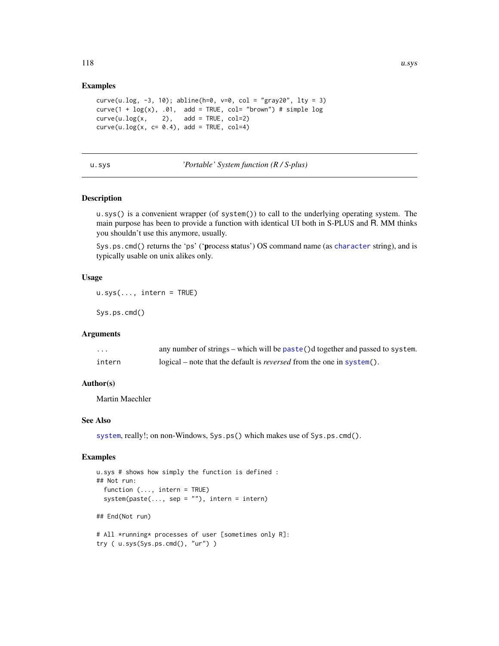# <span id="page-117-0"></span>Examples

```
curve(u.log, -3, 10); abline(h=0, v=0, col = "gray20", lty = 3)
curve(1 + log(x), .01, add = TRUE, col = "brown") # simple logcurve(u.log(x, 2), add = TRUE, col=2)curve(u.log(x, c= 0.4), add = TRUE, col=4)
```
# u.sys *'Portable' System function (R / S-plus)*

# Description

u.sys() is a convenient wrapper (of system()) to call to the underlying operating system. The main purpose has been to provide a function with identical UI both in S-PLUS and R. MM thinks you shouldn't use this anymore, usually.

Sys.ps.cmd() returns the 'ps' ('process status') OS command name (as [character](#page-0-0) string), and is typically usable on unix alikes only.

#### Usage

```
u.sys(..., intern = TRUE)
```
Sys.ps.cmd()

# Arguments

| $\cdots$ | any number of strings – which will be paste()d together and passed to system. |
|----------|-------------------------------------------------------------------------------|
| intern   | logical – note that the default is <i>reversed</i> from the one in system().  |

## Author(s)

Martin Maechler

#### See Also

[system](#page-0-0), really!; on non-Windows, Sys.ps() which makes use of Sys.ps.cmd().

```
u.sys # shows how simply the function is defined :
## Not run:
 function (..., intern = TRUE)
 system(paste(..., sep = ""), intern = intern)## End(Not run)
# All *running* processes of user [sometimes only R]:
try ( u.sys(Sys.ps.cmd(), "ur") )
```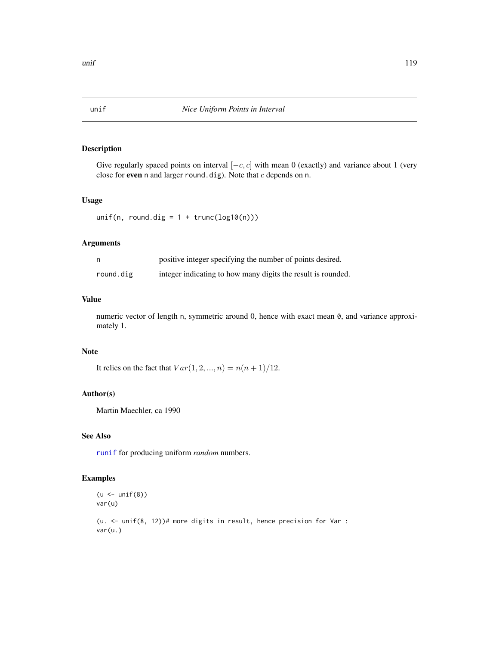<span id="page-118-0"></span>

Give regularly spaced points on interval  $[-c, c]$  with mean 0 (exactly) and variance about 1 (very close for even n and larger round.dig). Note that  $c$  depends on n.

#### Usage

unif(n, round.dig =  $1 + \text{trunc}(\text{log}10(n)))$ 

# Arguments

|           | positive integer specifying the number of points desired.    |
|-----------|--------------------------------------------------------------|
| round.dig | integer indicating to how many digits the result is rounded. |

#### Value

numeric vector of length n, symmetric around 0, hence with exact mean  $\theta$ , and variance approximately 1.

# Note

It relies on the fact that  $Var(1, 2, ..., n) = n(n + 1)/12$ .

# Author(s)

Martin Maechler, ca 1990

# See Also

[runif](#page-0-0) for producing uniform *random* numbers.

#### Examples

```
(u \leftarrow \text{unif}(8))var(u)
```
(u. <- unif(8, 12))# more digits in result, hence precision for Var : var(u.)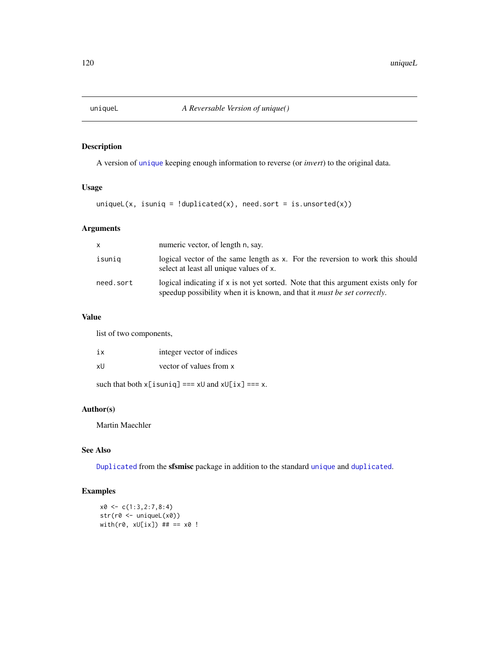<span id="page-119-0"></span>

A version of [unique](#page-0-0) keeping enough information to reverse (or *invert*) to the original data.

# Usage

uniqueL(x, isuniq = !duplicated(x), need.sort = is.unsorted(x))

# Arguments

| X         | numeric vector, of length n, say.                                                                                                                                        |
|-----------|--------------------------------------------------------------------------------------------------------------------------------------------------------------------------|
| isuniq    | logical vector of the same length as x. For the reversion to work this should<br>select at least all unique values of x.                                                 |
| need.sort | logical indicating if $x$ is not yet sorted. Note that this argument exists only for<br>speedup possibility when it is known, and that it <i>must be set correctly</i> . |

# Value

list of two components,

| iх | integer vector of indices                                                  |
|----|----------------------------------------------------------------------------|
| xU | vector of values from x                                                    |
|    | such that both $x[i\sin i\theta] == x\theta$ and $x\theta[i\theta] == x$ . |

# Author(s)

Martin Maechler

# See Also

[Duplicated](#page-21-0) from the sfsmisc package in addition to the standard [unique](#page-0-0) and [duplicated](#page-0-0).

```
x0 \leftarrow c(1:3,2:7,8:4)str(r0 <- uniqueL(x0))
with(r0, xU[ix]) ## == x0 !
```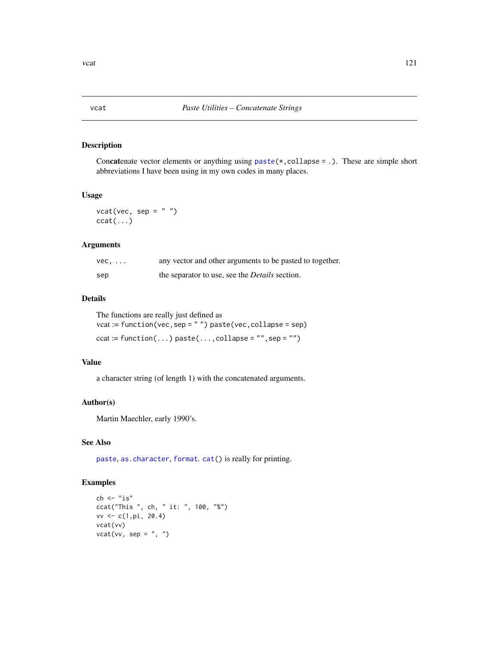<span id="page-120-0"></span>Concatenate vector elements or anything using  $\text{paste}(*, \text{collapse} = .).$  These are simple short abbreviations I have been using in my own codes in many places.

# Usage

 $vcat(vec, sep = " "")$  $ccat(...)$ 

### Arguments

| $vec, \ldots$ | any vector and other arguments to be pasted to together. |
|---------------|----------------------------------------------------------|
| sep           | the separator to use, see the <i>Details</i> section.    |

# Details

The functions are really just defined as

vcat := function(vec,sep = " ") paste(vec,collapse = sep)  $ccat := function(...)$  paste $(...,$ collapse = "", sep = "")

# Value

a character string (of length 1) with the concatenated arguments.

### Author(s)

Martin Maechler, early 1990's.

# See Also

[paste](#page-0-0), [as.character](#page-0-0), [format](#page-0-0). [cat\(](#page-0-0)) is really for printing.

```
ch < - "is"
ccat("This ", ch, " it: ", 100, "%")
vv <- c(1,pi, 20.4)
vcat(vv)
vcat(vv, sep = ", ")
```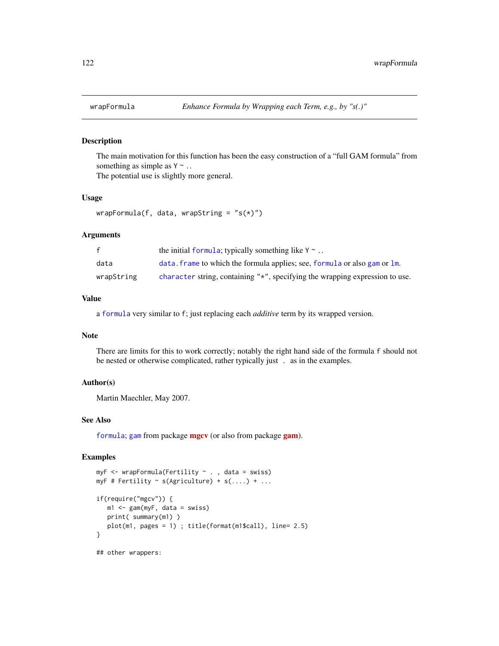<span id="page-121-0"></span>

The main motivation for this function has been the easy construction of a "full GAM formula" from something as simple as  $Y \sim$ ..

The potential use is slightly more general.

# Usage

```
wrapFormula(f, data, wrapString = "s(*)")
```
#### Arguments

| f          | the initial formula; typically something like $Y \sim$                       |
|------------|------------------------------------------------------------------------------|
| data       | data. frame to which the formula applies; see, formula or also gam or 1m.    |
| wrapString | character string, containing "*", specifying the wrapping expression to use. |

# Value

a [formula](#page-0-0) very similar to f; just replacing each *additive* term by its wrapped version.

# Note

There are limits for this to work correctly; notably the right hand side of the formula f should not be nested or otherwise complicated, rather typically just . as in the examples.

#### Author(s)

Martin Maechler, May 2007.

#### See Also

[formula](#page-0-0); [gam](#page-0-0) from package [mgcv](https://CRAN.R-project.org/package=mgcv) (or also from package [gam](https://CRAN.R-project.org/package=gam)).

```
myF <- wrapFormula(Fertility ~ . , data = swiss)
myF # Fertility \sim s(Agriculture) + s(....) + ...
if(require("mgcv")) {
   m1 <- gam(myF, data = swiss)
   print( summary(m1) )
   plot(m1, pages = 1) ; title(format(m1$call), line= 2.5)
}
## other wrappers:
```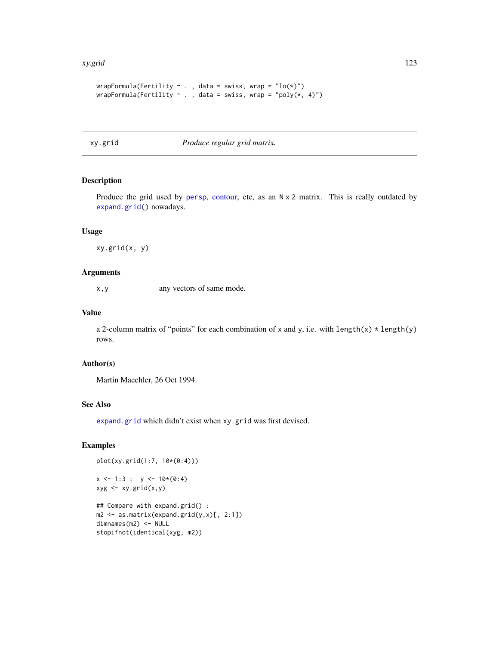#### <span id="page-122-0"></span>xy.grid 123

```
wrapFormula(Fertility \sim ., data = swiss, wrap = "lo(*)")
wrapFormula(Fertility \sim ., data = swiss, wrap = "poly(*, 4)")
```
xy.grid *Produce regular grid matrix.*

# Description

Produce the grid used by [persp](#page-0-0), [contour,](#page-0-0) etc, as an N x 2 matrix. This is really outdated by [expand.grid\(](#page-0-0)) nowadays.

### Usage

xy.grid(x, y)

#### Arguments

x,y any vectors of same mode.

# Value

a 2-column matrix of "points" for each combination of x and y, i.e. with length(x)  $\star$  length(y) rows.

# Author(s)

Martin Maechler, 26 Oct 1994.

# See Also

[expand.grid](#page-0-0) which didn't exist when xy.grid was first devised.

```
plot(xy.grid(1:7, 10*(0:4)))
```

```
x \le -1:3; y \le -10*(0:4)xyg <- xy.grid(x,y)
## Compare with expand.grid() :
m2 \leq -as.matrix(expand.grid(y,x)[, 2:1])dimnames(m2) <- NULL
```

```
stopifnot(identical(xyg, m2))
```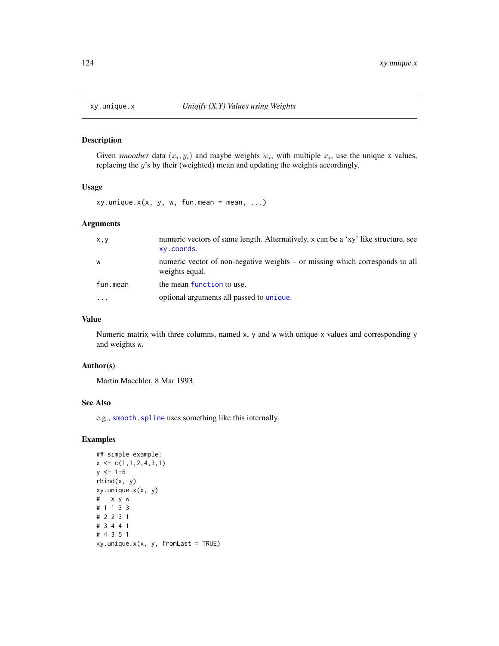<span id="page-123-0"></span>

Given *smoother* data  $(x_i, y_i)$  and maybe weights  $w_i$ , with multiple  $x_i$ , use the unique x values, replacing the y's by their (weighted) mean and updating the weights accordingly.

#### Usage

 $xy.$ unique. $x(x, y, w, fun.$ mean = mean, ...)

# Arguments

| x, y     | numeric vectors of same length. Alternatively, x can be a 'xy' like structure, see<br>xy.coords. |
|----------|--------------------------------------------------------------------------------------------------|
| W        | numeric vector of non-negative weights – or missing which corresponds to all<br>weights equal.   |
| fun.mean | the mean function to use.                                                                        |
| $\cdots$ | optional arguments all passed to unique.                                                         |

# Value

Numeric matrix with three columns, named x, y and w with unique x values and corresponding y and weights w.

#### Author(s)

Martin Maechler, 8 Mar 1993.

### See Also

e.g., [smooth.spline](#page-0-0) uses something like this internally.

```
## simple example:
x \leftarrow c(1,1,2,4,3,1)y \le -1:6rbind(x, y)
xy.unique.x(x, y)
# x y w
# 1 1 3 3
# 2 2 3 1
# 3 4 4 1
# 4 3 5 1
xy.unique.x(x, y, fromLast = TRUE)
```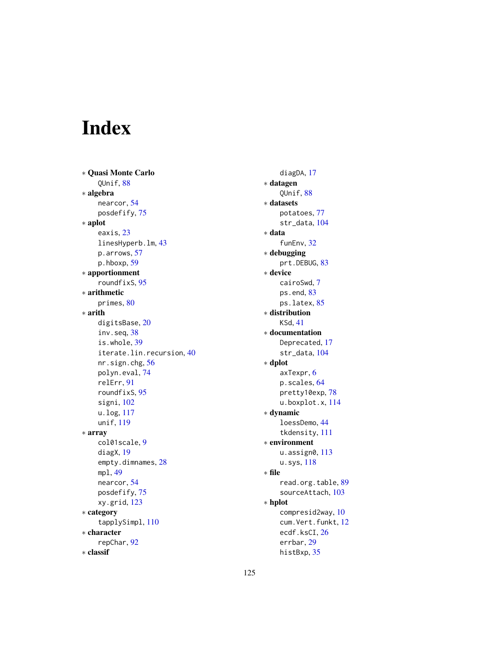# Index

∗ Quasi Monte Carlo QUnif, [88](#page-87-0) ∗ algebra nearcor, [54](#page-53-0) posdefify, [75](#page-74-0) ∗ aplot eaxis, [23](#page-22-0) linesHyperb.lm, [43](#page-42-0) p.arrows, [57](#page-56-1) p.hboxp, [59](#page-58-0) ∗ apportionment roundfixS, [95](#page-94-0) ∗ arithmetic primes, [80](#page-79-0) ∗ arith digitsBase, [20](#page-19-0) inv.seq, [38](#page-37-0) is.whole, [39](#page-38-0) iterate.lin.recursion, [40](#page-39-0) nr.sign.chg, [56](#page-55-0) polyn.eval, [74](#page-73-0) relErr, [91](#page-90-0) roundfixS, [95](#page-94-0) signi, [102](#page-101-0) u.log, [117](#page-116-0) unif, [119](#page-118-0) ∗ array col01scale, [9](#page-8-0) diagX, [19](#page-18-0) empty.dimnames, [28](#page-27-0) mpl, [49](#page-48-0) nearcor, [54](#page-53-0) posdefify, [75](#page-74-0) xy.grid, [123](#page-122-0) ∗ category tapplySimpl, [110](#page-109-0) ∗ character repChar, [92](#page-91-0) ∗ classif

diagDA, [17](#page-16-0) ∗ datagen QUnif, [88](#page-87-0) ∗ datasets potatoes, [77](#page-76-0) str\_data, [104](#page-103-0) ∗ data funEnv, [32](#page-31-0) ∗ debugging prt.DEBUG, [83](#page-82-0) ∗ device cairoSwd, [7](#page-6-0) ps.end, [83](#page-82-0) ps.latex, [85](#page-84-0) ∗ distribution KSd, [41](#page-40-0) ∗ documentation Deprecated, [17](#page-16-0) str\_data, [104](#page-103-0) ∗ dplot axTexpr, [6](#page-5-0) p.scales, [64](#page-63-0) pretty10exp, [78](#page-77-1) u.boxplot.x, [114](#page-113-0) ∗ dynamic loessDemo, [44](#page-43-0) tkdensity, [111](#page-110-0) ∗ environment u.assign0, [113](#page-112-0) u.sys, [118](#page-117-0) ∗ file read.org.table, [89](#page-88-0) sourceAttach, [103](#page-102-0) ∗ hplot compresid2way, [10](#page-9-0) cum.Vert.funkt, [12](#page-11-0) ecdf.ksCI, [26](#page-25-0) errbar, [29](#page-28-0) histBxp, [35](#page-34-0)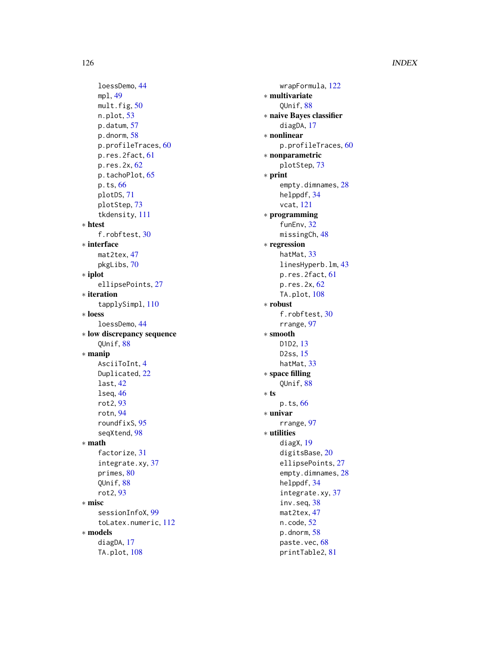loessDemo , [44](#page-43-0) mpl , [49](#page-48-0) mult.fig, [50](#page-49-0) n.plot , [53](#page-52-1) p.datum, [57](#page-56-1) p.dnorm, [58](#page-57-0) p.profileTraces , [60](#page-59-0) p.res.2fact , [61](#page-60-0) p.res.2x, <mark>[62](#page-61-0)</mark> p.tachoPlot, [65](#page-64-0) p.ts , [66](#page-65-0) plotDS , [71](#page-70-0) plotStep , [73](#page-72-0) tkdensity , [111](#page-110-0) ∗ htest f.robftest , [30](#page-29-0) ∗ interface mat2tex , [47](#page-46-0) pkgLibs , [70](#page-69-0) ∗ iplot ellipsePoints , [27](#page-26-0) ∗ iteration tapplySimpl , [110](#page-109-0) ∗ loess loessDemo , [44](#page-43-0) ∗ low discrepancy sequence QUnif , [88](#page-87-0) ∗ manip AsciiToInt, [4](#page-3-0) Duplicated, [22](#page-21-1) last , [42](#page-41-0) lseq , [46](#page-45-0) rot2 , [93](#page-92-0) rotn , [94](#page-93-0) roundfixS , [95](#page-94-0) seqXtend, [98](#page-97-0) ∗ math factorize , [31](#page-30-0) integrate.xy , [37](#page-36-0) primes, [80](#page-79-0) QUnif , [88](#page-87-0) rot2 , [93](#page-92-0) ∗ misc sessionInfoX , [99](#page-98-0) toLatex.numeric , [112](#page-111-0) ∗ models diagDA , [17](#page-16-0) TA.plot , [108](#page-107-0)

wrapFormula , [122](#page-121-0) ∗ multivariate QUnif , [88](#page-87-0) ∗ naive Bayes classifier diagDA, [17](#page-16-0) ∗ nonlinear p.profileTraces , [60](#page-59-0) ∗ nonparametric plotStep , [73](#page-72-0) ∗ print empty.dimnames, [28](#page-27-0) helppdf, [34](#page-33-0) vcat , [121](#page-120-0) ∗ programming funEnv, [32](#page-31-0) missingCh, [48](#page-47-0) ∗ regression hatMat, [33](#page-32-0) linesHyperb.lm , [43](#page-42-0) p.res.2fact , [61](#page-60-0) p.res.2x, <mark>6</mark>2 TA.plot,  $108$ ∗ robust f.robftest, [30](#page-29-0) rrange , [97](#page-96-0) ∗ smooth D1D2 , [13](#page-12-0) D2ss , [15](#page-14-0) hatMat, [33](#page-32-0) ∗ space filling QUnif , [88](#page-87-0) ∗ ts p.ts , [66](#page-65-0) ∗ univar rrange , [97](#page-96-0) ∗ utilities diagX , [19](#page-18-0) digitsBase, [20](#page-19-0) ellipsePoints, [27](#page-26-0) empty.dimnames, [28](#page-27-0) helppdf, [34](#page-33-0) integrate.xy, [37](#page-36-0) inv.seq, [38](#page-37-0) mat2tex , [47](#page-46-0) n.code, <mark>5</mark>2 p.dnorm, <mark>[58](#page-57-0)</mark> paste.vec, [68](#page-67-0) printTable2 , [81](#page-80-0)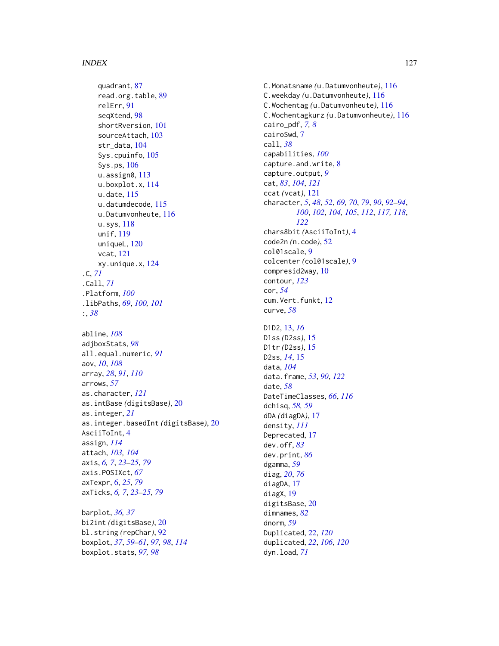quadrant, [87](#page-86-0) read.org.table, [89](#page-88-0) relErr, [91](#page-90-0) seqXtend, [98](#page-97-0) shortRversion, [101](#page-100-0) sourceAttach, [103](#page-102-0) str\_data, [104](#page-103-0) Sys.cpuinfo, [105](#page-104-0) Sys.ps, [106](#page-105-0) u.assign0, [113](#page-112-0) u.boxplot.x, [114](#page-113-0) u.date, [115](#page-114-1) u.datumdecode, [115](#page-114-1) u.Datumvonheute, [116](#page-115-1) u.sys, [118](#page-117-0) unif, [119](#page-118-0) uniqueL, [120](#page-119-0) vcat, [121](#page-120-0) xy.unique.x, [124](#page-123-0) .C, *[71](#page-70-0)* .Call, *[71](#page-70-0)* .Platform, *[100](#page-99-0)* .libPaths, *[69](#page-68-0)*, *[100,](#page-99-0) [101](#page-100-0)* :, *[38](#page-37-0)* abline, *[108](#page-107-0)*

adjboxStats, *[98](#page-97-0)* all.equal.numeric, *[91](#page-90-0)* aov, *[10](#page-9-0)*, *[108](#page-107-0)* array, *[28](#page-27-0)*, *[91](#page-90-0)*, *[110](#page-109-0)* arrows, *[57](#page-56-1)* as.character, *[121](#page-120-0)* as.intBase *(*digitsBase*)*, [20](#page-19-0) as.integer, *[21](#page-20-0)* as.integer.basedInt *(*digitsBase*)*, [20](#page-19-0) AsciiToInt, [4](#page-3-0) assign, *[114](#page-113-0)* attach, *[103,](#page-102-0) [104](#page-103-0)* axis, *[6,](#page-5-0) [7](#page-6-0)*, *[23](#page-22-0)[–25](#page-24-0)*, *[79](#page-78-0)* axis.POSIXct, *[67](#page-66-0)* axTexpr, [6,](#page-5-0) *[25](#page-24-0)*, *[79](#page-78-0)* axTicks, *[6,](#page-5-0) [7](#page-6-0)*, *[23](#page-22-0)[–25](#page-24-0)*, *[79](#page-78-0)*

barplot, *[36,](#page-35-0) [37](#page-36-0)* bi2int *(*digitsBase*)*, [20](#page-19-0) bl.string *(*repChar*)*, [92](#page-91-0) boxplot, *[37](#page-36-0)*, *[59](#page-58-0)[–61](#page-60-0)*, *[97,](#page-96-0) [98](#page-97-0)*, *[114](#page-113-0)* boxplot.stats, *[97,](#page-96-0) [98](#page-97-0)*

C.Monatsname *(*u.Datumvonheute*)*, [116](#page-115-1) C.weekday *(*u.Datumvonheute*)*, [116](#page-115-1) C.Wochentag *(*u.Datumvonheute*)*, [116](#page-115-1) C.Wochentagkurz *(*u.Datumvonheute*)*, [116](#page-115-1) cairo\_pdf, *[7,](#page-6-0) [8](#page-7-0)* cairoSwd, [7](#page-6-0) call, *[38](#page-37-0)* capabilities, *[100](#page-99-0)* capture.and.write, [8](#page-7-0) capture.output, *[9](#page-8-0)* cat, *[83](#page-82-0)*, *[104](#page-103-0)*, *[121](#page-120-0)* ccat *(*vcat*)*, [121](#page-120-0) character, *[5](#page-4-0)*, *[48](#page-47-0)*, *[52](#page-51-0)*, *[69,](#page-68-0) [70](#page-69-0)*, *[79](#page-78-0)*, *[90](#page-89-0)*, *[92](#page-91-0)[–94](#page-93-0)*, *[100](#page-99-0)*, *[102](#page-101-0)*, *[104,](#page-103-0) [105](#page-104-0)*, *[112](#page-111-0)*, *[117,](#page-116-0) [118](#page-117-0)*, *[122](#page-121-0)* chars8bit *(*AsciiToInt*)*, [4](#page-3-0) code2n *(*n.code*)*, [52](#page-51-0) col01scale, [9](#page-8-0) colcenter *(*col01scale*)*, [9](#page-8-0) compresid2way, [10](#page-9-0) contour, *[123](#page-122-0)* cor, *[54](#page-53-0)* cum.Vert.funkt, [12](#page-11-0) curve, *[58](#page-57-0)* D1D2, [13,](#page-12-0) *[16](#page-15-0)* D1ss *(*D2ss*)*, [15](#page-14-0) D1tr *(*D2ss*)*, [15](#page-14-0) D2ss, *[14](#page-13-0)*, [15](#page-14-0) data, *[104](#page-103-0)* data.frame, *[53](#page-52-1)*, *[90](#page-89-0)*, *[122](#page-121-0)* date, *[58](#page-57-0)* DateTimeClasses, *[66](#page-65-0)*, *[116](#page-115-1)* dchisq, *[58,](#page-57-0) [59](#page-58-0)* dDA *(*diagDA*)*, [17](#page-16-0) density, *[111](#page-110-0)* Deprecated, [17](#page-16-0) dev.off, *[83](#page-82-0)* dev.print, *[86](#page-85-0)* dgamma, *[59](#page-58-0)* diag, *[20](#page-19-0)*, *[76](#page-75-0)* diagDA, [17](#page-16-0) diagX, [19](#page-18-0) digitsBase, [20](#page-19-0) dimnames, *[82](#page-81-0)* dnorm, *[59](#page-58-0)* Duplicated, [22,](#page-21-1) *[120](#page-119-0)* duplicated, *[22](#page-21-1)*, *[106](#page-105-0)*, *[120](#page-119-0)* dyn.load, *[71](#page-70-0)*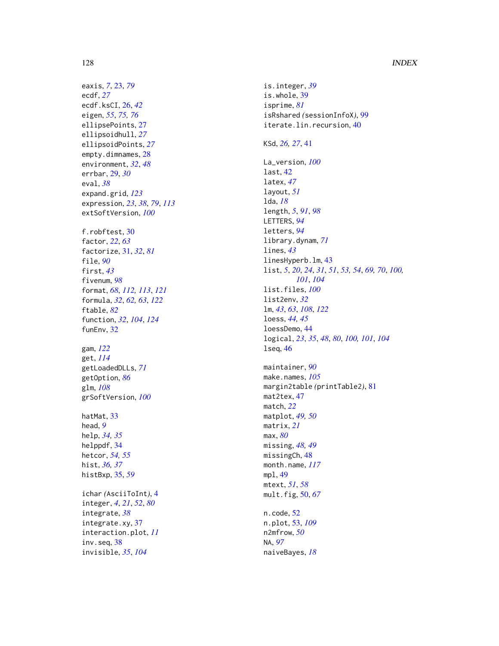eaxis , *[7](#page-6-0)* , [23](#page-22-0) , *[79](#page-78-0)* ecdf , *[27](#page-26-0)* ecdf.ksCI , [26](#page-25-0) , *[42](#page-41-0)* eigen , *[55](#page-54-0)* , *[75](#page-74-0) , [76](#page-75-0)* ellipsePoints , [27](#page-26-0) ellipsoidhull , *[27](#page-26-0)* ellipsoidPoints , *[27](#page-26-0)* empty.dimnames, [28](#page-27-0) environment , *[32](#page-31-0)* , *[48](#page-47-0)* errbar , [29](#page-28-0) , *[30](#page-29-0)* eval , *[38](#page-37-0)* expand.grid , *[123](#page-122-0)* expression , *[23](#page-22-0)* , *[38](#page-37-0)* , *[79](#page-78-0)* , *[113](#page-112-0)* extSoftVersion , *[100](#page-99-0)* f.robftest , [30](#page-29-0) factor , *[22](#page-21-1)* , *[63](#page-62-0)* factorize , [31](#page-30-0) , *[32](#page-31-0)* , *[81](#page-80-0)* file , *[90](#page-89-0)* first , *[43](#page-42-0)* fivenum , *[98](#page-97-0)* format , *[68](#page-67-0)* , *[112](#page-111-0) , [113](#page-112-0)* , *[121](#page-120-0)* formula , *[32](#page-31-0)* , *[62](#page-61-0) , [63](#page-62-0)* , *[122](#page-121-0)* ftable , *[82](#page-81-0)* function , *[32](#page-31-0)* , *[104](#page-103-0)* , *[124](#page-123-0)* funEnv, [32](#page-31-0) gam , *[122](#page-121-0)* get , *[114](#page-113-0)* getLoadedDLLs , *[71](#page-70-0)* getOption , *[86](#page-85-0)* glm , *[108](#page-107-0)* grSoftVersion , *[100](#page-99-0)* hatMat, [33](#page-32-0) head , *[9](#page-8-0)* help , *[34](#page-33-0) , [35](#page-34-0)* helppdf , [34](#page-33-0) hetcor , *[54](#page-53-0) , [55](#page-54-0)* hist , *[36,](#page-35-0) [37](#page-36-0)* histBxp , [35](#page-34-0) , *[59](#page-58-0)* ichar *(*AsciiToInt *)* , [4](#page-3-0) integer , *[4](#page-3-0)* , *[21](#page-20-0)* , *[52](#page-51-0)* , *[80](#page-79-0)* integrate , *[38](#page-37-0)* integrate.xy, [37](#page-36-0) interaction.plot , *[11](#page-10-0)* inv.seq , [38](#page-37-0) invisible , *[35](#page-34-0)* , *[104](#page-103-0)*

is.integer , *[39](#page-38-0)* is.whole, [39](#page-38-0) isprime , *[81](#page-80-0)* isRshared *(*sessionInfoX *)* , [99](#page-98-0) iterate.lin.recursion, [40](#page-39-0) KSd , *[26,](#page-25-0) [27](#page-26-0)* , [41](#page-40-0) La\_version , *[100](#page-99-0)* last , [42](#page-41-0) latex , *[47](#page-46-0)* layout , *[51](#page-50-0)* lda , *[18](#page-17-0)* length , *[5](#page-4-0)* , *[91](#page-90-0)* , *[98](#page-97-0)* LETTERS , *[94](#page-93-0)* letters , *[94](#page-93-0)* library.dynam , *[71](#page-70-0)* lines , *[43](#page-42-0)* linesHyperb.lm , [43](#page-42-0) list , *[5](#page-4-0)* , *[20](#page-19-0)* , *[24](#page-23-0)* , *[31](#page-30-0)* , *[51](#page-50-0)* , *[53](#page-52-1) , [54](#page-53-0)* , *[69](#page-68-0) , [70](#page-69-0)* , *[100](#page-99-0) , [101](#page-100-0)* , *[104](#page-103-0)* list.files , *[100](#page-99-0)* list2env , *[32](#page-31-0)* lm , *[43](#page-42-0)* , *[63](#page-62-0)* , *[108](#page-107-0)* , *[122](#page-121-0)* loess , *[44](#page-43-0) , [45](#page-44-0)* loessDemo , [44](#page-43-0) logical , *[23](#page-22-0)* , *[35](#page-34-0)* , *[48](#page-47-0)* , *[80](#page-79-0)* , *[100](#page-99-0) , [101](#page-100-0)* , *[104](#page-103-0)* lseq , [46](#page-45-0) maintainer , *[90](#page-89-0)* make.names , *[105](#page-104-0)* margin2table *(*printTable2 *)* , [81](#page-80-0) mat2tex, [47](#page-46-0) match , *[22](#page-21-1)* matplot , *[49](#page-48-0) , [50](#page-49-0)* matrix , *[21](#page-20-0)* max , *[80](#page-79-0)* missing , *[48](#page-47-0) , [49](#page-48-0)* missingCh, [48](#page-47-0) month.name , *[117](#page-116-0)* mpl , [49](#page-48-0) mtext , *[51](#page-50-0)* , *[58](#page-57-0)* mult.fig , [50](#page-49-0) , *[67](#page-66-0)* n.code , [52](#page-51-0) n.plot , [53](#page-52-1) , *[109](#page-108-0)* n2mfrow , *[50](#page-49-0)* NA , *[97](#page-96-0)* naiveBayes , *[18](#page-17-0)*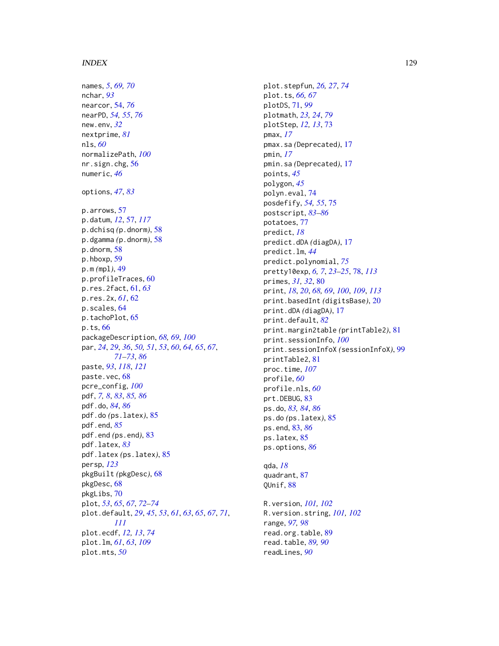names, *[5](#page-4-0)*, *[69,](#page-68-0) [70](#page-69-0)* nchar, *[93](#page-92-0)* nearcor, [54,](#page-53-0) *[76](#page-75-0)* nearPD, *[54,](#page-53-0) [55](#page-54-0)*, *[76](#page-75-0)* new.env, *[32](#page-31-0)* nextprime, *[81](#page-80-0)* nls, *[60](#page-59-0)* normalizePath, *[100](#page-99-0)* nr.sign.chg, [56](#page-55-0) numeric, *[46](#page-45-0)* options, *[47](#page-46-0)*, *[83](#page-82-0)* p.arrows, [57](#page-56-1) p.datum, *[12](#page-11-0)*, [57,](#page-56-1) *[117](#page-116-0)* p.dchisq *(*p.dnorm*)*, [58](#page-57-0) p.dgamma *(*p.dnorm*)*, [58](#page-57-0) p.dnorm, [58](#page-57-0) p.hboxp, [59](#page-58-0) p.m *(*mpl*)*, [49](#page-48-0) p.profileTraces, [60](#page-59-0) p.res.2fact, [61,](#page-60-0) *[63](#page-62-0)* p.res.2x, *[61](#page-60-0)*, [62](#page-61-0) p.scales, [64](#page-63-0) p.tachoPlot, [65](#page-64-0) p.ts, [66](#page-65-0) packageDescription, *[68,](#page-67-0) [69](#page-68-0)*, *[100](#page-99-0)* par, *[24](#page-23-0)*, *[29](#page-28-0)*, *[36](#page-35-0)*, *[50,](#page-49-0) [51](#page-50-0)*, *[53](#page-52-1)*, *[60](#page-59-0)*, *[64,](#page-63-0) [65](#page-64-0)*, *[67](#page-66-0)*, *[71](#page-70-0)[–73](#page-72-0)*, *[86](#page-85-0)* paste, *[93](#page-92-0)*, *[118](#page-117-0)*, *[121](#page-120-0)* paste.vec, [68](#page-67-0) pcre\_config, *[100](#page-99-0)* pdf, *[7,](#page-6-0) [8](#page-7-0)*, *[83](#page-82-0)*, *[85,](#page-84-0) [86](#page-85-0)* pdf.do, *[84](#page-83-0)*, *[86](#page-85-0)* pdf.do *(*ps.latex*)*, [85](#page-84-0) pdf.end, *[85](#page-84-0)* pdf.end *(*ps.end*)*, [83](#page-82-0) pdf.latex, *[83](#page-82-0)* pdf.latex *(*ps.latex*)*, [85](#page-84-0) persp, *[123](#page-122-0)* pkgBuilt *(*pkgDesc*)*, [68](#page-67-0) pkgDesc, [68](#page-67-0) pkgLibs, [70](#page-69-0) plot, *[53](#page-52-1)*, *[65](#page-64-0)*, *[67](#page-66-0)*, *[72](#page-71-0)[–74](#page-73-0)* plot.default, *[29](#page-28-0)*, *[45](#page-44-0)*, *[53](#page-52-1)*, *[61](#page-60-0)*, *[63](#page-62-0)*, *[65](#page-64-0)*, *[67](#page-66-0)*, *[71](#page-70-0)*, *[111](#page-110-0)* plot.ecdf, *[12,](#page-11-0) [13](#page-12-0)*, *[74](#page-73-0)* plot.lm, *[61](#page-60-0)*, *[63](#page-62-0)*, *[109](#page-108-0)* plot.mts, *[50](#page-49-0)*

plot.stepfun, *[26,](#page-25-0) [27](#page-26-0)*, *[74](#page-73-0)* plot.ts, *[66,](#page-65-0) [67](#page-66-0)* plotDS, [71,](#page-70-0) *[99](#page-98-0)* plotmath, *[23,](#page-22-0) [24](#page-23-0)*, *[79](#page-78-0)* plotStep, *[12,](#page-11-0) [13](#page-12-0)*, [73](#page-72-0) pmax, *[17](#page-16-0)* pmax.sa *(*Deprecated*)*, [17](#page-16-0) pmin, *[17](#page-16-0)* pmin.sa *(*Deprecated*)*, [17](#page-16-0) points, *[45](#page-44-0)* polygon, *[45](#page-44-0)* polyn.eval, [74](#page-73-0) posdefify, *[54,](#page-53-0) [55](#page-54-0)*, [75](#page-74-0) postscript, *[83](#page-82-0)[–86](#page-85-0)* potatoes, [77](#page-76-0) predict, *[18](#page-17-0)* predict.dDA *(*diagDA*)*, [17](#page-16-0) predict.lm, *[44](#page-43-0)* predict.polynomial, *[75](#page-74-0)* pretty10exp, *[6,](#page-5-0) [7](#page-6-0)*, *[23](#page-22-0)[–25](#page-24-0)*, [78,](#page-77-1) *[113](#page-112-0)* primes, *[31,](#page-30-0) [32](#page-31-0)*, [80](#page-79-0) print, *[18](#page-17-0)*, *[20](#page-19-0)*, *[68,](#page-67-0) [69](#page-68-0)*, *[100](#page-99-0)*, *[109](#page-108-0)*, *[113](#page-112-0)* print.basedInt *(*digitsBase*)*, [20](#page-19-0) print.dDA *(*diagDA*)*, [17](#page-16-0) print.default, *[82](#page-81-0)* print.margin2table *(*printTable2*)*, [81](#page-80-0) print.sessionInfo, *[100](#page-99-0)* print.sessionInfoX *(*sessionInfoX*)*, [99](#page-98-0) printTable2, [81](#page-80-0) proc.time, *[107](#page-106-0)* profile, *[60](#page-59-0)* profile.nls, *[60](#page-59-0)* prt.DEBUG, [83](#page-82-0) ps.do, *[83,](#page-82-0) [84](#page-83-0)*, *[86](#page-85-0)* ps.do *(*ps.latex*)*, [85](#page-84-0) ps.end, [83,](#page-82-0) *[86](#page-85-0)* ps.latex, [85](#page-84-0) ps.options, *[86](#page-85-0)* qda, *[18](#page-17-0)*

quadrant, [87](#page-86-0) QUnif, [88](#page-87-0)

R.version, *[101,](#page-100-0) [102](#page-101-0)* R.version.string, *[101,](#page-100-0) [102](#page-101-0)* range, *[97,](#page-96-0) [98](#page-97-0)* read.org.table, [89](#page-88-0) read.table, *[89,](#page-88-0) [90](#page-89-0)* readLines, *[90](#page-89-0)*